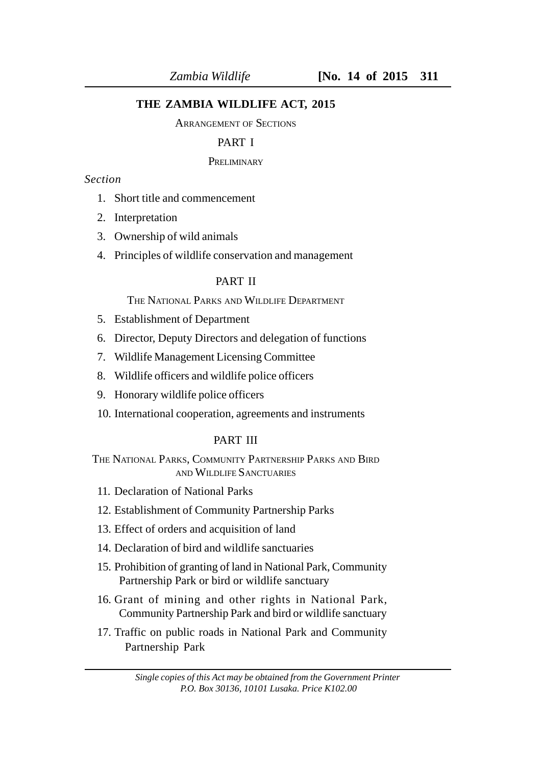## **THE ZAMBIA WILDLIFE ACT, 2015**

#### ARRANGEMENT OF SECTIONS

# PART I

#### **PRELIMINARY**

# *Section*

- 1. Short title and commencement
- 2. Interpretation
- 3. Ownership of wild animals
- 4. Principles of wildlife conservation and management

## PART II

THE NATIONAL PARKS AND WILDLIFE DEPARTMENT

- 5. Establishment of Department
- 6. Director, Deputy Directors and delegation of functions
- 7. Wildlife Management Licensing Committee
- 8. Wildlife officers and wildlife police officers
- 9. Honorary wildlife police officers
- 10. International cooperation, agreements and instruments

## PART III

THE NATIONAL PARKS, COMMUNITY PARTNERSHIP PARKS AND BIRD AND WILDLIFE SANCTUARIES

- 11. Declaration of National Parks
- 12. Establishment of Community Partnership Parks
- 13. Effect of orders and acquisition of land
- 14. Declaration of bird and wildlife sanctuaries
- 15. Prohibition of granting of land in National Park, Community Partnership Park or bird or wildlife sanctuary
- 16. Grant of mining and other rights in National Park, Community Partnership Park and bird or wildlife sanctuary
- 17. Traffic on public roads in National Park and Community Partnership Park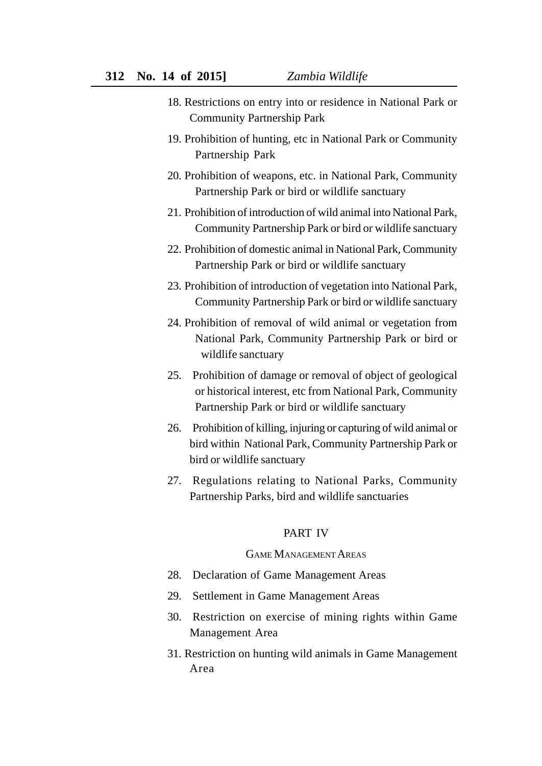- 18. Restrictions on entry into or residence in National Park or Community Partnership Park
- 19. Prohibition of hunting, etc in National Park or Community Partnership Park
- 20. Prohibition of weapons, etc. in National Park, Community Partnership Park or bird or wildlife sanctuary
- 21. Prohibition of introduction of wild animal into National Park, Community Partnership Park or bird or wildlife sanctuary
- 22. Prohibition of domestic animal in National Park, Community Partnership Park or bird or wildlife sanctuary
- 23. Prohibition of introduction of vegetation into National Park, Community Partnership Park or bird or wildlife sanctuary
- 24. Prohibition of removal of wild animal or vegetation from National Park, Community Partnership Park or bird or wildlife sanctuary
- 25. Prohibition of damage or removal of object of geological or historical interest, etc from National Park, Community Partnership Park or bird or wildlife sanctuary
- 26. Prohibition of killing, injuring or capturing of wild animal or bird within National Park, Community Partnership Park or bird or wildlife sanctuary
- 27. Regulations relating to National Parks, Community Partnership Parks, bird and wildlife sanctuaries

## PART IV

#### GAME MANAGEMENT AREAS

- 28. Declaration of Game Management Areas
- 29. Settlement in Game Management Areas
- 30. Restriction on exercise of mining rights within Game Management Area
- 31. Restriction on hunting wild animals in Game Management Area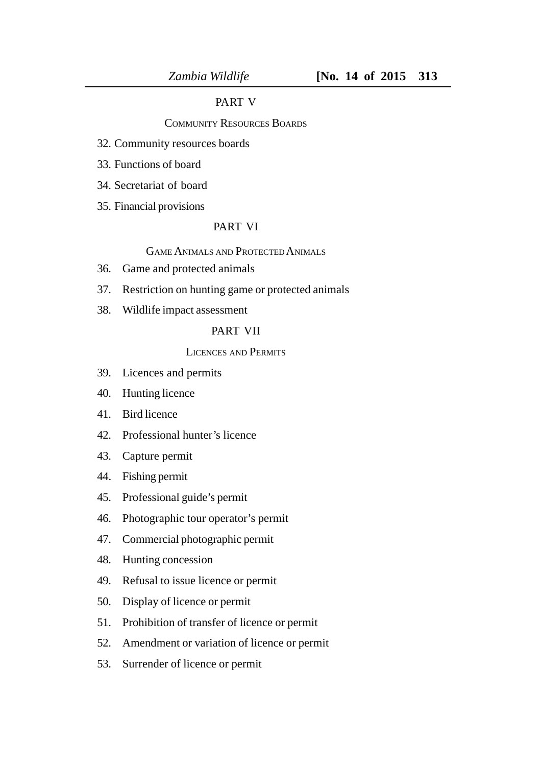# PART V

## COMMUNITY RESOURCES BOARDS

- 32. Community resources boards
- 33. Functions of board
- 34. Secretariat of board
- 35. Financial provisions

# PART VI

## GAME ANIMALS AND PROTECTED ANIMALS

- 36. Game and protected animals
- 37. Restriction on hunting game or protected animals
- 38. Wildlife impact assessment

## PART VII

## LICENCES AND PERMITS

- 39. Licences and permits
- 40. Hunting licence
- 41. Bird licence
- 42. Professional hunter's licence
- 43. Capture permit
- 44. Fishing permit
- 45. Professional guide's permit
- 46. Photographic tour operator's permit
- 47. Commercial photographic permit
- 48. Hunting concession
- 49. Refusal to issue licence or permit
- 50. Display of licence or permit
- 51. Prohibition of transfer of licence or permit
- 52. Amendment or variation of licence or permit
- 53. Surrender of licence or permit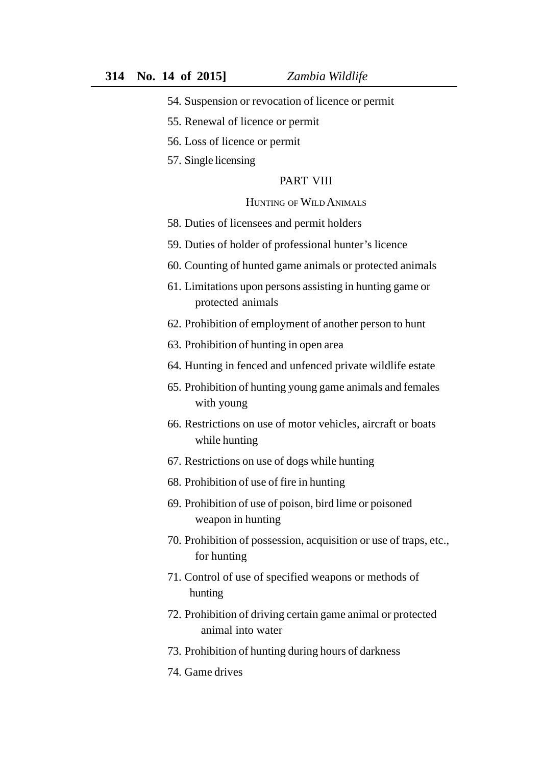- 54. Suspension or revocation of licence or permit
- 55. Renewal of licence or permit
- 56. Loss of licence or permit
- 57. Single licensing

#### PART VIII

#### HUNTING OF WILD ANIMALS

- 58. Duties of licensees and permit holders
- 59. Duties of holder of professional hunter's licence
- 60. Counting of hunted game animals or protected animals
- 61. Limitations upon persons assisting in hunting game or protected animals
- 62. Prohibition of employment of another person to hunt
- 63. Prohibition of hunting in open area
- 64. Hunting in fenced and unfenced private wildlife estate
- 65. Prohibition of hunting young game animals and females with young
- 66. Restrictions on use of motor vehicles, aircraft or boats while hunting
- 67. Restrictions on use of dogs while hunting
- 68. Prohibition of use of fire in hunting
- 69. Prohibition of use of poison, bird lime or poisoned weapon in hunting
- 70. Prohibition of possession, acquisition or use of traps, etc., for hunting
- 71. Control of use of specified weapons or methods of hunting
- 72. Prohibition of driving certain game animal or protected animal into water
- 73. Prohibition of hunting during hours of darkness
- 74. Game drives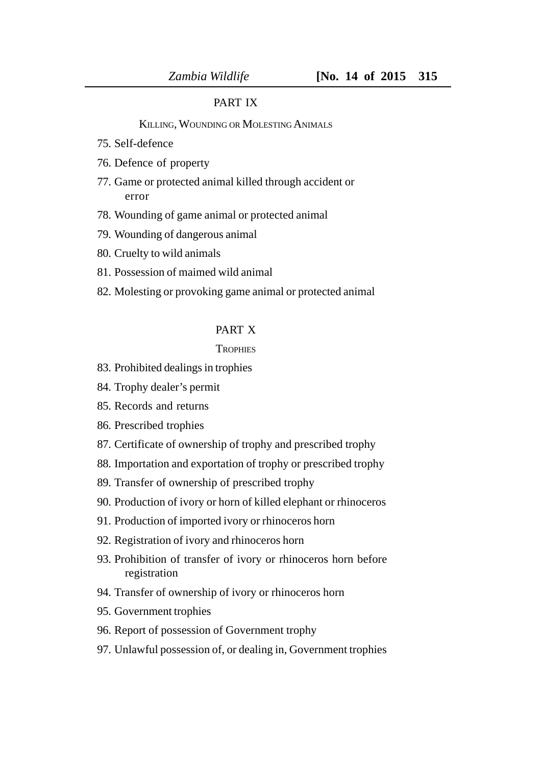## PART IX

#### KILLING, WOUNDING OR MOLESTING ANIMALS

- 75. Self-defence
- 76. Defence of property
- 77. Game or protected animal killed through accident or error
- 78. Wounding of game animal or protected animal
- 79. Wounding of dangerous animal
- 80. Cruelty to wild animals
- 81. Possession of maimed wild animal
- 82. Molesting or provoking game animal or protected animal

#### PART X

#### **TROPHIES**

- 83. Prohibited dealings in trophies
- 84. Trophy dealer's permit
- 85. Records and returns
- 86. Prescribed trophies
- 87. Certificate of ownership of trophy and prescribed trophy
- 88. Importation and exportation of trophy or prescribed trophy
- 89. Transfer of ownership of prescribed trophy
- 90. Production of ivory or horn of killed elephant or rhinoceros
- 91. Production of imported ivory or rhinoceros horn
- 92. Registration of ivory and rhinoceros horn
- 93. Prohibition of transfer of ivory or rhinoceros horn before registration
- 94. Transfer of ownership of ivory or rhinoceros horn
- 95. Government trophies
- 96. Report of possession of Government trophy
- 97. Unlawful possession of, or dealing in, Government trophies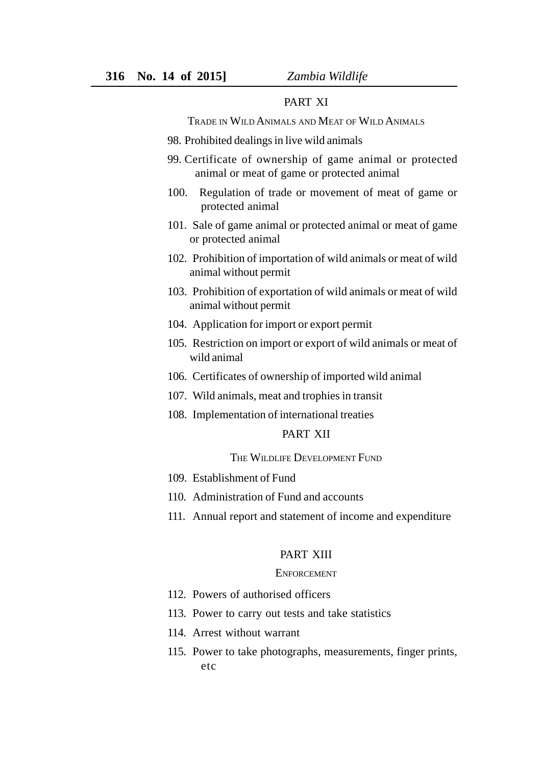## PART XI

TRADE IN WILD ANIMALS AND MEAT OF WILD ANIMALS

- 98. Prohibited dealings in live wild animals
- 99. Certificate of ownership of game animal or protected animal or meat of game or protected animal
- 100. Regulation of trade or movement of meat of game or protected animal
- 101. Sale of game animal or protected animal or meat of game or protected animal
- 102. Prohibition of importation of wild animals or meat of wild animal without permit
- 103. Prohibition of exportation of wild animals or meat of wild animal without permit
- 104. Application for import or export permit
- 105. Restriction on import or export of wild animals or meat of wild animal
- 106. Certificates of ownership of imported wild animal
- 107. Wild animals, meat and trophies in transit
- 108. Implementation of international treaties

# PART XII

#### THE WILDLIFE DEVELOPMENT FUND

- 109. Establishment of Fund
- 110. Administration of Fund and accounts
- 111. Annual report and statement of income and expenditure

#### PART XIII

#### **ENFORCEMENT**

- 112. Powers of authorised officers
- 113. Power to carry out tests and take statistics
- 114. Arrest without warrant
- 115. Power to take photographs, measurements, finger prints, etc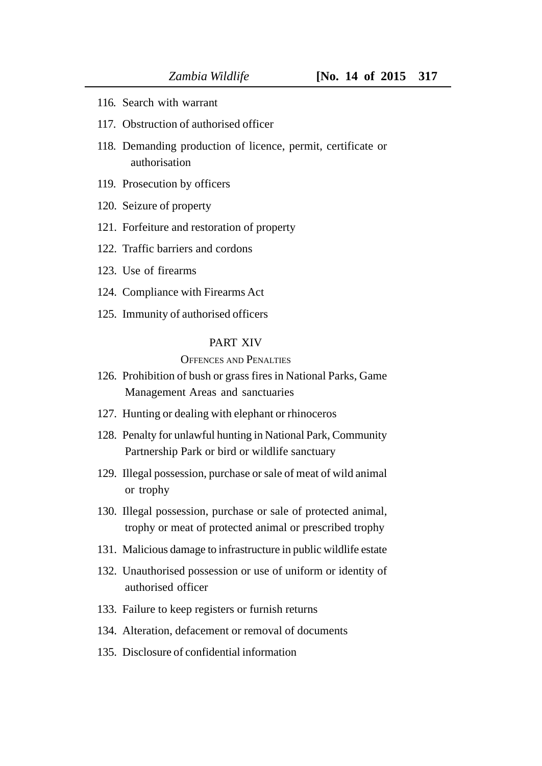- 116. Search with warrant
- 117. Obstruction of authorised officer
- 118. Demanding production of licence, permit, certificate or authorisation
- 119. Prosecution by officers
- 120. Seizure of property
- 121. Forfeiture and restoration of property
- 122. Traffic barriers and cordons
- 123. Use of firearms
- 124. Compliance with Firearms Act
- 125. Immunity of authorised officers

## PART XIV

#### OFFENCES AND PENALTIES

- 126. Prohibition of bush or grass fires in National Parks, Game Management Areas and sanctuaries
- 127. Hunting or dealing with elephant or rhinoceros
- 128. Penalty for unlawful hunting in National Park, Community Partnership Park or bird or wildlife sanctuary
- 129. Illegal possession, purchase or sale of meat of wild animal or trophy
- 130. Illegal possession, purchase or sale of protected animal, trophy or meat of protected animal or prescribed trophy
- 131. Malicious damage to infrastructure in public wildlife estate
- 132. Unauthorised possession or use of uniform or identity of authorised officer
- 133. Failure to keep registers or furnish returns
- 134. Alteration, defacement or removal of documents
- 135. Disclosure of confidential information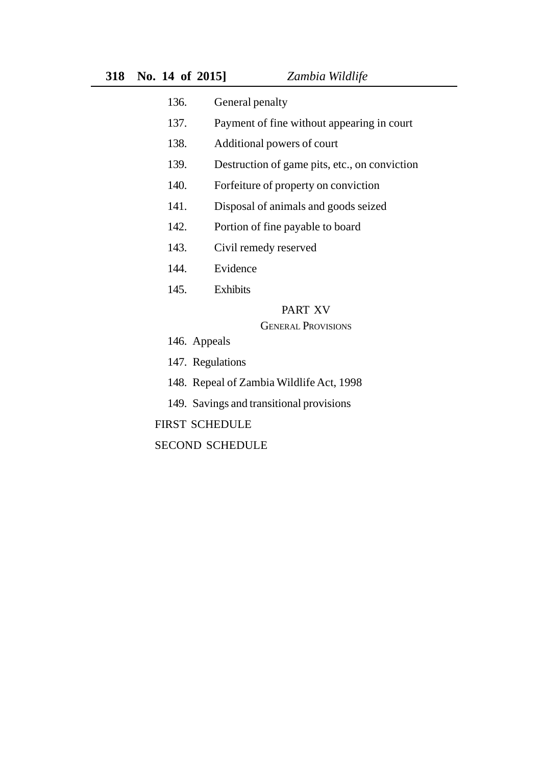- 136. General penalty
- 137. Payment of fine without appearing in court
- 138. Additional powers of court
- 139. Destruction of game pits, etc., on conviction
- 140. Forfeiture of property on conviction
- 141. Disposal of animals and goods seized
- 142. Portion of fine payable to board
- 143. Civil remedy reserved
- 144. Evidence
- 145. Exhibits

## PART XV

## GENERAL PROVISIONS

- 146. Appeals
- 147. Regulations
- 148. Repeal of Zambia Wildlife Act, 1998
- 149. Savings and transitional provisions

#### FIRST SCHEDULE

SECOND SCHEDULE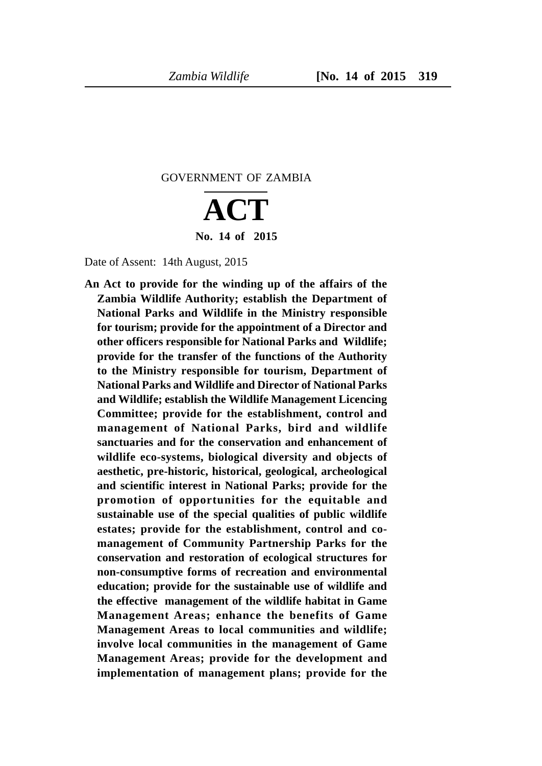GOVERNMENT OF ZAMBIA

# **ACT No. 14 of 2015**

Date of Assent: 14th August, 2015

**An Act to provide for the winding up of the affairs of the Zambia Wildlife Authority; establish the Department of National Parks and Wildlife in the Ministry responsible for tourism; provide for the appointment of a Director and other officers responsible for National Parks and Wildlife; provide for the transfer of the functions of the Authority to the Ministry responsible for tourism, Department of National Parks and Wildlife and Director of National Parks and Wildlife; establish the Wildlife Management Licencing Committee; provide for the establishment, control and management of National Parks, bird and wildlife sanctuaries and for the conservation and enhancement of wildlife eco-systems, biological diversity and objects of aesthetic, pre-historic, historical, geological, archeological and scientific interest in National Parks; provide for the promotion of opportunities for the equitable and sustainable use of the special qualities of public wildlife estates; provide for the establishment, control and comanagement of Community Partnership Parks for the conservation and restoration of ecological structures for non-consumptive forms of recreation and environmental education; provide for the sustainable use of wildlife and the effective management of the wildlife habitat in Game Management Areas; enhance the benefits of Game Management Areas to local communities and wildlife; involve local communities in the management of Game Management Areas; provide for the development and implementation of management plans; provide for the**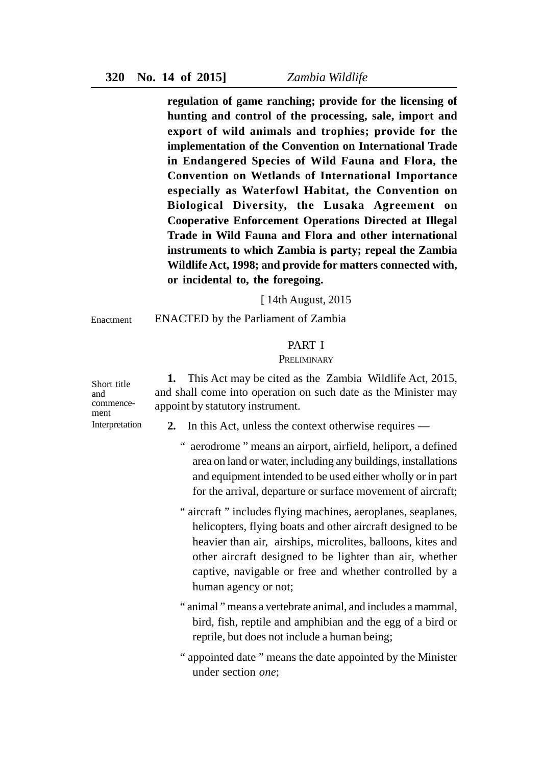**regulation of game ranching; provide for the licensing of hunting and control of the processing, sale, import and export of wild animals and trophies; provide for the implementation of the Convention on International Trade in Endangered Species of Wild Fauna and Flora, the Convention on Wetlands of International Importance especially as Waterfowl Habitat, the Convention on Biological Diversity, the Lusaka Agreement on Cooperative Enforcement Operations Directed at Illegal Trade in Wild Fauna and Flora and other international instruments to which Zambia is party; repeal the Zambia Wildlife Act, 1998; and provide for matters connected with, or incidental to, the foregoing.**

[ 14th August, 2015

**Enactment** 

ENACTED by the Parliament of Zambia

## PART I

#### **PRELIMINARY**

**1.** This Act may be cited as the Zambia Wildlife Act, 2015, and shall come into operation on such date as the Minister may appoint by statutory instrument.

commencement Interpretation

Short title and

- **2.** In this Act, unless the context otherwise requires
	- " aerodrome " means an airport, airfield, heliport, a defined area on land or water, including any buildings, installations and equipment intended to be used either wholly or in part for the arrival, departure or surface movement of aircraft;
	- " aircraft " includes flying machines, aeroplanes, seaplanes, helicopters, flying boats and other aircraft designed to be heavier than air, airships, microlites, balloons, kites and other aircraft designed to be lighter than air, whether captive, navigable or free and whether controlled by a human agency or not;
	- " animal " means a vertebrate animal, and includes a mammal, bird, fish, reptile and amphibian and the egg of a bird or reptile, but does not include a human being;
	- " appointed date " means the date appointed by the Minister under section *one*;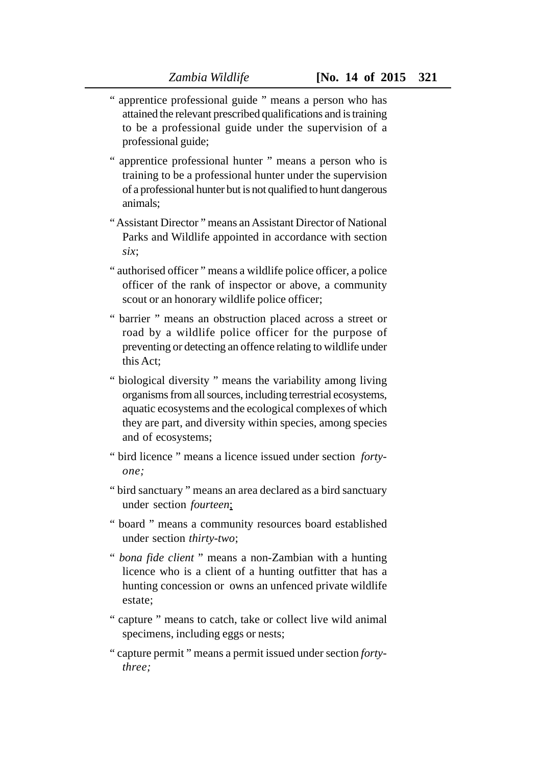- " apprentice professional guide " means a person who has attained the relevant prescribed qualifications and is training to be a professional guide under the supervision of a professional guide;
- " apprentice professional hunter " means a person who is training to be a professional hunter under the supervision of a professional hunter but is not qualified to hunt dangerous animals;
- " Assistant Director " means an Assistant Director of National Parks and Wildlife appointed in accordance with section *six*;
- " authorised officer " means a wildlife police officer, a police officer of the rank of inspector or above, a community scout or an honorary wildlife police officer;
- " barrier " means an obstruction placed across a street or road by a wildlife police officer for the purpose of preventing or detecting an offence relating to wildlife under this Act;
- " biological diversity " means the variability among living organisms from all sources, including terrestrial ecosystems, aquatic ecosystems and the ecological complexes of which they are part, and diversity within species, among species and of ecosystems;
- " bird licence " means a licence issued under section *fortyone;*
- " bird sanctuary " means an area declared as a bird sanctuary under section *fourteen*;
- " board " means a community resources board established under section *thirty-two*;
- " *bona fide client* " means a non-Zambian with a hunting licence who is a client of a hunting outfitter that has a hunting concession or owns an unfenced private wildlife estate;
- " capture " means to catch, take or collect live wild animal specimens, including eggs or nests;
- " capture permit " means a permit issued under section *fortythree;*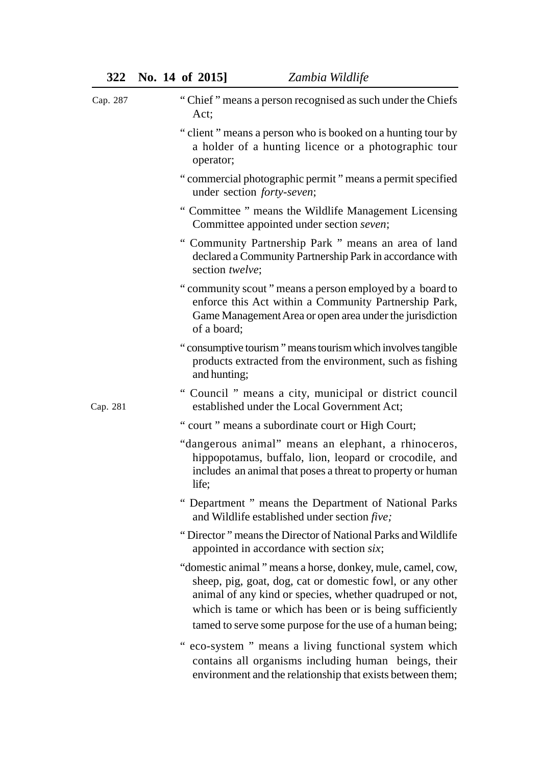| Cap. 287 | "Chief" means a person recognised as such under the Chiefs<br>Act;                                                                                                                                                                                                                                           |
|----------|--------------------------------------------------------------------------------------------------------------------------------------------------------------------------------------------------------------------------------------------------------------------------------------------------------------|
|          | "client" means a person who is booked on a hunting tour by<br>a holder of a hunting licence or a photographic tour<br>operator;                                                                                                                                                                              |
|          | " commercial photographic permit " means a permit specified<br>under section forty-seven;                                                                                                                                                                                                                    |
|          | " Committee " means the Wildlife Management Licensing<br>Committee appointed under section seven;                                                                                                                                                                                                            |
|          | " Community Partnership Park " means an area of land<br>declared a Community Partnership Park in accordance with<br>section twelve;                                                                                                                                                                          |
|          | "community scout" means a person employed by a board to<br>enforce this Act within a Community Partnership Park,<br>Game Management Area or open area under the jurisdiction<br>of a board;                                                                                                                  |
|          | "consumptive tourism" means tourism which involves tangible<br>products extracted from the environment, such as fishing<br>and hunting;                                                                                                                                                                      |
| Cap. 281 | " Council " means a city, municipal or district council<br>established under the Local Government Act;                                                                                                                                                                                                       |
|          | " court " means a subordinate court or High Court;                                                                                                                                                                                                                                                           |
|          | "dangerous animal" means an elephant, a rhinoceros,<br>hippopotamus, buffalo, lion, leopard or crocodile, and<br>includes an animal that poses a threat to property or human<br>life;                                                                                                                        |
|          | " Department " means the Department of National Parks<br>and Wildlife established under section five;                                                                                                                                                                                                        |
|          | "Director" means the Director of National Parks and Wildlife<br>appointed in accordance with section six;                                                                                                                                                                                                    |
|          | "domestic animal" means a horse, donkey, mule, camel, cow,<br>sheep, pig, goat, dog, cat or domestic fowl, or any other<br>animal of any kind or species, whether quadruped or not,<br>which is tame or which has been or is being sufficiently<br>tamed to serve some purpose for the use of a human being; |
|          | eco-system " means a living functional system which<br>contains all organisms including human beings, their<br>environment and the relationship that exists between them;                                                                                                                                    |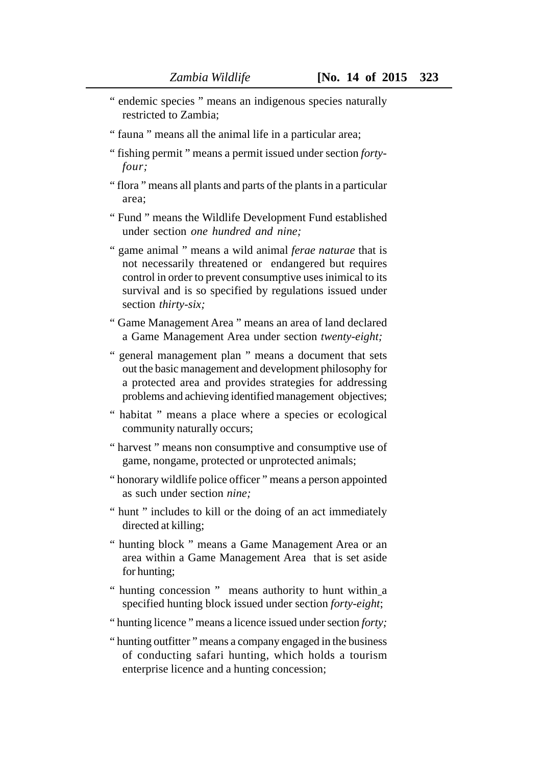- " endemic species " means an indigenous species naturally restricted to Zambia;
- " fauna " means all the animal life in a particular area;
- " fishing permit " means a permit issued under section *fortyfour;*
- " flora " means all plants and parts of the plants in a particular area;
- " Fund " means the Wildlife Development Fund established under section *one hundred and nine;*
- " game animal " means a wild animal *ferae naturae* that is not necessarily threatened or endangered but requires control in order to prevent consumptive uses inimical to its survival and is so specified by regulations issued under section *thirty-six;*
- " Game Management Area " means an area of land declared a Game Management Area under section *twenty-eight;*
- " general management plan " means a document that sets out the basic management and development philosophy for a protected area and provides strategies for addressing problems and achieving identified management objectives;
- " habitat " means a place where a species or ecological community naturally occurs;
- " harvest " means non consumptive and consumptive use of game, nongame, protected or unprotected animals;
- " honorary wildlife police officer " means a person appointed as such under section *nine;*
- " hunt " includes to kill or the doing of an act immediately directed at killing;
- " hunting block " means a Game Management Area or an area within a Game Management Area that is set aside for hunting;
- " hunting concession " means authority to hunt within a specified hunting block issued under section *forty-eight*;
- " hunting licence " means a licence issued under section *forty;*
- " hunting outfitter " means a company engaged in the business of conducting safari hunting, which holds a tourism enterprise licence and a hunting concession;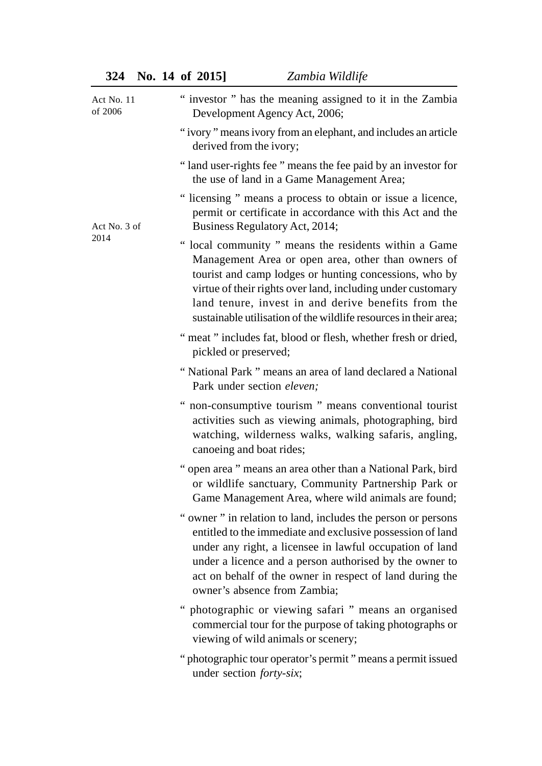| Act No. 11<br>of 2006 | " investor " has the meaning assigned to it in the Zambia<br>Development Agency Act, 2006;                                                                                                                                                                                                                                                                      |
|-----------------------|-----------------------------------------------------------------------------------------------------------------------------------------------------------------------------------------------------------------------------------------------------------------------------------------------------------------------------------------------------------------|
|                       | "ivory" means ivory from an elephant, and includes an article<br>derived from the ivory;                                                                                                                                                                                                                                                                        |
|                       | "land user-rights fee " means the fee paid by an investor for<br>the use of land in a Game Management Area;                                                                                                                                                                                                                                                     |
| Act No. 3 of<br>2014  | " licensing " means a process to obtain or issue a licence,<br>permit or certificate in accordance with this Act and the<br>Business Regulatory Act, 2014;                                                                                                                                                                                                      |
|                       | " local community " means the residents within a Game<br>Management Area or open area, other than owners of<br>tourist and camp lodges or hunting concessions, who by<br>virtue of their rights over land, including under customary<br>land tenure, invest in and derive benefits from the<br>sustainable utilisation of the wildlife resources in their area; |
|                       | " meat " includes fat, blood or flesh, whether fresh or dried,<br>pickled or preserved;                                                                                                                                                                                                                                                                         |
|                       | "National Park" means an area of land declared a National<br>Park under section eleven;                                                                                                                                                                                                                                                                         |
|                       | " non-consumptive tourism " means conventional tourist<br>activities such as viewing animals, photographing, bird<br>watching, wilderness walks, walking safaris, angling,<br>canoeing and boat rides;                                                                                                                                                          |
|                       | " open area " means an area other than a National Park, bird<br>or wildlife sanctuary, Community Partnership Park or<br>Game Management Area, where wild animals are found;                                                                                                                                                                                     |
|                       | " owner " in relation to land, includes the person or persons<br>entitled to the immediate and exclusive possession of land<br>under any right, a licensee in lawful occupation of land<br>under a licence and a person authorised by the owner to<br>act on behalf of the owner in respect of land during the<br>owner's absence from Zambia;                  |

- " photographic or viewing safari " means an organised commercial tour for the purpose of taking photographs or viewing of wild animals or scenery;
- " photographic tour operator's permit " means a permit issued under section *forty-six*;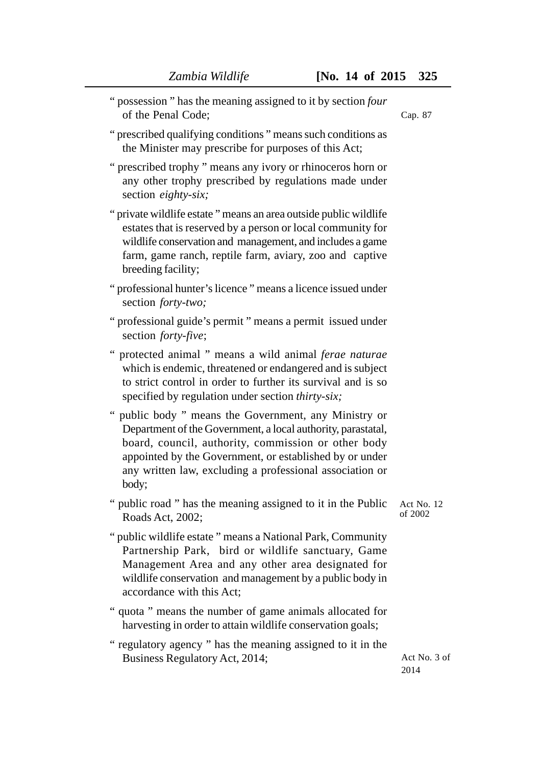- " possession " has the meaning assigned to it by section *four* of the Penal Code;
- " prescribed qualifying conditions " means such conditions as the Minister may prescribe for purposes of this Act;
- " prescribed trophy " means any ivory or rhinoceros horn or any other trophy prescribed by regulations made under section *eighty-six;*
- " private wildlife estate " means an area outside public wildlife estates that is reserved by a person or local community for wildlife conservation and management, and includes a game farm, game ranch, reptile farm, aviary, zoo and captive breeding facility;
- " professional hunter's licence " means a licence issued under section *forty-two;*
- " professional guide's permit " means a permit issued under section *forty-five*;
- " protected animal " means a wild animal *ferae naturae* which is endemic, threatened or endangered and is subject to strict control in order to further its survival and is so specified by regulation under section *thirty-six;*
- " public body " means the Government, any Ministry or Department of the Government, a local authority, parastatal, board, council, authority, commission or other body appointed by the Government, or established by or under any written law, excluding a professional association or body;
- " public road " has the meaning assigned to it in the Public Roads Act, 2002; Act No. 12 of 2002
- " public wildlife estate " means a National Park, Community Partnership Park, bird or wildlife sanctuary, Game Management Area and any other area designated for wildlife conservation and management by a public body in accordance with this Act;
- " quota " means the number of game animals allocated for harvesting in order to attain wildlife conservation goals;
- " regulatory agency " has the meaning assigned to it in the Business Regulatory Act, 2014;

Act No. 3 of 2014

Cap. 87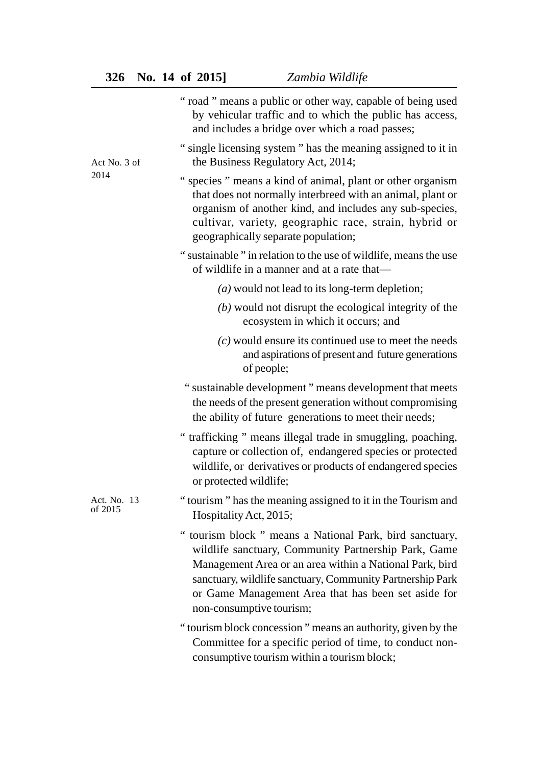|                        | " road " means a public or other way, capable of being used<br>by vehicular traffic and to which the public has access,<br>and includes a bridge over which a road passes;                                                                                                                                                  |
|------------------------|-----------------------------------------------------------------------------------------------------------------------------------------------------------------------------------------------------------------------------------------------------------------------------------------------------------------------------|
| Act No. 3 of           | " single licensing system" has the meaning assigned to it in<br>the Business Regulatory Act, 2014;                                                                                                                                                                                                                          |
| 2014                   | " species " means a kind of animal, plant or other organism<br>that does not normally interbreed with an animal, plant or<br>organism of another kind, and includes any sub-species,<br>cultivar, variety, geographic race, strain, hybrid or<br>geographically separate population;                                        |
|                        | "sustainable" in relation to the use of wildlife, means the use<br>of wildlife in a manner and at a rate that-                                                                                                                                                                                                              |
|                        | $(a)$ would not lead to its long-term depletion;                                                                                                                                                                                                                                                                            |
|                        | $(b)$ would not disrupt the ecological integrity of the<br>ecosystem in which it occurs; and                                                                                                                                                                                                                                |
|                        | $(c)$ would ensure its continued use to meet the needs<br>and aspirations of present and future generations<br>of people;                                                                                                                                                                                                   |
|                        | " sustainable development " means development that meets<br>the needs of the present generation without compromising<br>the ability of future generations to meet their needs;                                                                                                                                              |
|                        | " trafficking " means illegal trade in smuggling, poaching,<br>capture or collection of, endangered species or protected<br>wildlife, or derivatives or products of endangered species<br>or protected wildlife;                                                                                                            |
| Act. No. 13<br>of 2015 | "tourism" has the meaning assigned to it in the Tourism and<br>Hospitality Act, 2015;                                                                                                                                                                                                                                       |
|                        | " tourism block " means a National Park, bird sanctuary,<br>wildlife sanctuary, Community Partnership Park, Game<br>Management Area or an area within a National Park, bird<br>sanctuary, wildlife sanctuary, Community Partnership Park<br>or Game Management Area that has been set aside for<br>non-consumptive tourism; |
|                        | "tourism block concession" means an authority, given by the<br>Committee for a specific period of time, to conduct non-<br>consumptive tourism within a tourism block;                                                                                                                                                      |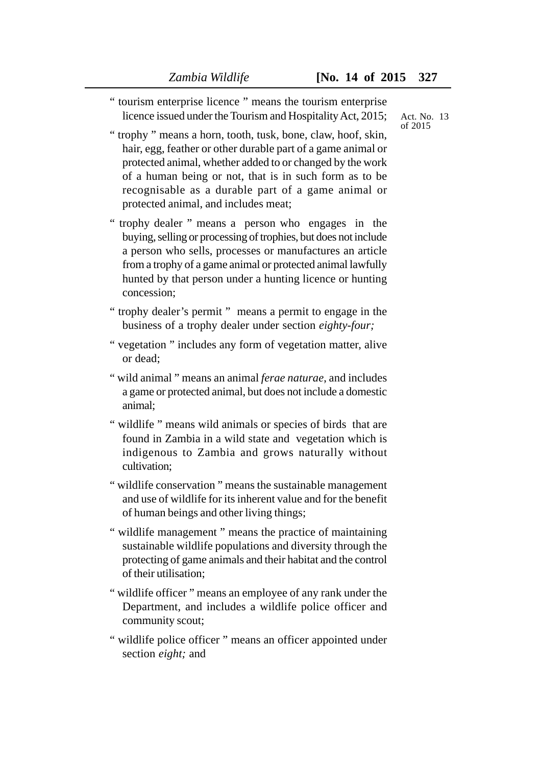" tourism enterprise licence " means the tourism enterprise licence issued under the Tourism and Hospitality Act, 2015;

Act. No. 13 of 2015

- " trophy " means a horn, tooth, tusk, bone, claw, hoof, skin, hair, egg, feather or other durable part of a game animal or protected animal, whether added to or changed by the work of a human being or not, that is in such form as to be recognisable as a durable part of a game animal or protected animal, and includes meat;
- " trophy dealer " means a person who engages in the buying, selling or processing of trophies, but does not include a person who sells, processes or manufactures an article from a trophy of a game animal or protected animal lawfully hunted by that person under a hunting licence or hunting concession;
- " trophy dealer's permit " means a permit to engage in the business of a trophy dealer under section *eighty-four;*
- " vegetation " includes any form of vegetation matter, alive or dead;
- " wild animal " means an animal *ferae naturae*, and includes a game or protected animal, but does not include a domestic animal;
- " wildlife " means wild animals or species of birds that are found in Zambia in a wild state and vegetation which is indigenous to Zambia and grows naturally without cultivation;
- " wildlife conservation " means the sustainable management and use of wildlife for its inherent value and for the benefit of human beings and other living things;
- " wildlife management " means the practice of maintaining sustainable wildlife populations and diversity through the protecting of game animals and their habitat and the control of their utilisation;
- " wildlife officer " means an employee of any rank under the Department, and includes a wildlife police officer and community scout;
- " wildlife police officer " means an officer appointed under section *eight;* and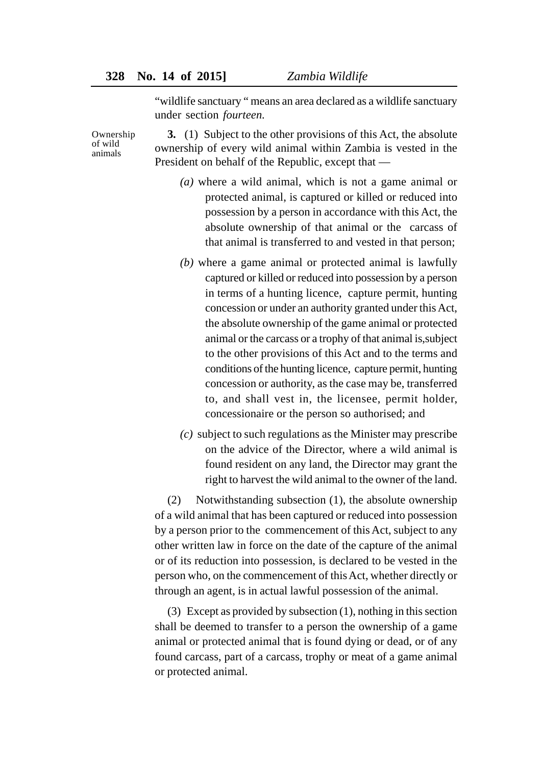"wildlife sanctuary " means an area declared as a wildlife sanctuary under section *fourteen.*

Ownership of wild animals

**3.** (1) Subject to the other provisions of this Act, the absolute ownership of every wild animal within Zambia is vested in the President on behalf of the Republic, except that —

- *(a)* where a wild animal, which is not a game animal or protected animal, is captured or killed or reduced into possession by a person in accordance with this Act, the absolute ownership of that animal or the carcass of that animal is transferred to and vested in that person;
- *(b)* where a game animal or protected animal is lawfully captured or killed or reduced into possession by a person in terms of a hunting licence, capture permit, hunting concession or under an authority granted under this Act, the absolute ownership of the game animal or protected animal or the carcass or a trophy of that animal is,subject to the other provisions of this Act and to the terms and conditions of the hunting licence, capture permit, hunting concession or authority, as the case may be, transferred to, and shall vest in, the licensee, permit holder, concessionaire or the person so authorised; and
- *(c)* subject to such regulations as the Minister may prescribe on the advice of the Director, where a wild animal is found resident on any land, the Director may grant the right to harvest the wild animal to the owner of the land.

(2) Notwithstanding subsection (1), the absolute ownership of a wild animal that has been captured or reduced into possession by a person prior to the commencement of this Act, subject to any other written law in force on the date of the capture of the animal or of its reduction into possession, is declared to be vested in the person who, on the commencement of this Act, whether directly or through an agent, is in actual lawful possession of the animal.

(3) Except as provided by subsection (1), nothing in this section shall be deemed to transfer to a person the ownership of a game animal or protected animal that is found dying or dead, or of any found carcass, part of a carcass, trophy or meat of a game animal or protected animal.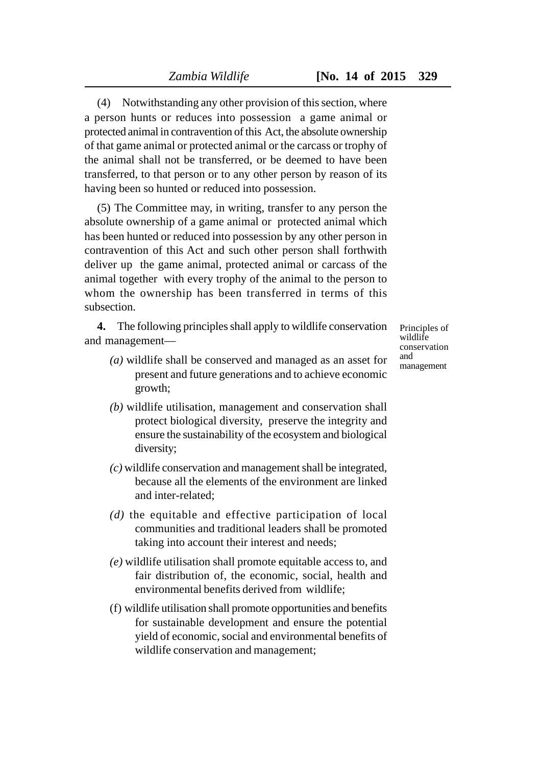(4) Notwithstanding any other provision of this section, where a person hunts or reduces into possession a game animal or protected animal in contravention of this Act, the absolute ownership of that game animal or protected animal or the carcass or trophy of the animal shall not be transferred, or be deemed to have been transferred, to that person or to any other person by reason of its having been so hunted or reduced into possession.

(5) The Committee may, in writing, transfer to any person the absolute ownership of a game animal or protected animal which has been hunted or reduced into possession by any other person in contravention of this Act and such other person shall forthwith deliver up the game animal, protected animal or carcass of the animal together with every trophy of the animal to the person to whom the ownership has been transferred in terms of this subsection.

**4.** The following principles shall apply to wildlife conservation and management—

- *(a)* wildlife shall be conserved and managed as an asset for present and future generations and to achieve economic growth;
- *(b)* wildlife utilisation, management and conservation shall protect biological diversity, preserve the integrity and ensure the sustainability of the ecosystem and biological diversity;
- *(c)* wildlife conservation and management shall be integrated, because all the elements of the environment are linked and inter-related;
- *(d)* the equitable and effective participation of local communities and traditional leaders shall be promoted taking into account their interest and needs;
- *(e)* wildlife utilisation shall promote equitable access to, and fair distribution of, the economic, social, health and environmental benefits derived from wildlife;
- (f) wildlife utilisation shall promote opportunities and benefits for sustainable development and ensure the potential yield of economic, social and environmental benefits of wildlife conservation and management;

Principles of wildlife conservation and management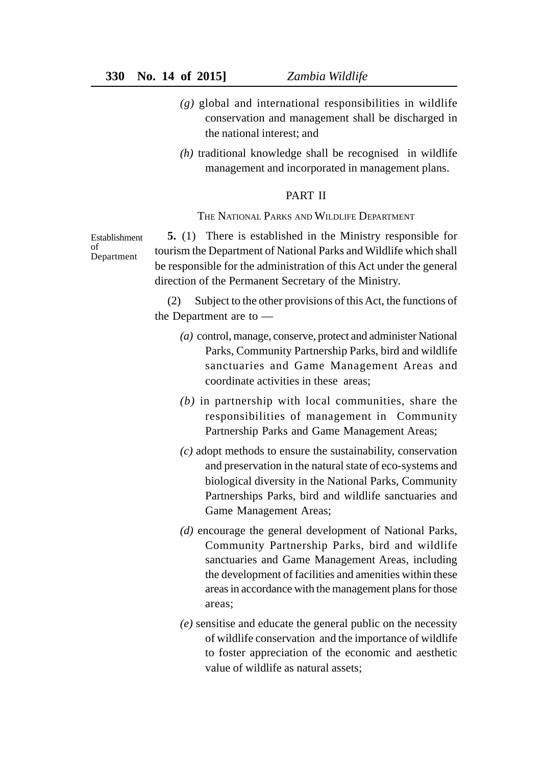- $(g)$  global and international responsibilities in wildlife conservation and management shall be discharged in the national interest; and
- *(h)* traditional knowledge shall be recognised in wildlife management and incorporated in management plans.

#### PART II

#### THE NATIONAL PARKS AND WILDLIFE DEPARTMENT

Establishment of Department

**5.** (1) There is established in the Ministry responsible for tourism the Department of National Parks and Wildlife which shall be responsible for the administration of this Act under the general direction of the Permanent Secretary of the Ministry.

(2) Subject to the other provisions of this Act, the functions of the Department are to —

- *(a)* control, manage, conserve, protect and administer National Parks, Community Partnership Parks, bird and wildlife sanctuaries and Game Management Areas and coordinate activities in these areas;
- *(b)* in partnership with local communities, share the responsibilities of management in Community Partnership Parks and Game Management Areas;
- *(c)* adopt methods to ensure the sustainability, conservation and preservation in the natural state of eco-systems and biological diversity in the National Parks, Community Partnerships Parks, bird and wildlife sanctuaries and Game Management Areas;
- *(d)* encourage the general development of National Parks, Community Partnership Parks, bird and wildlife sanctuaries and Game Management Areas, including the development of facilities and amenities within these areas in accordance with the management plans for those areas;
- *(e)* sensitise and educate the general public on the necessity of wildlife conservation and the importance of wildlife to foster appreciation of the economic and aesthetic value of wildlife as natural assets;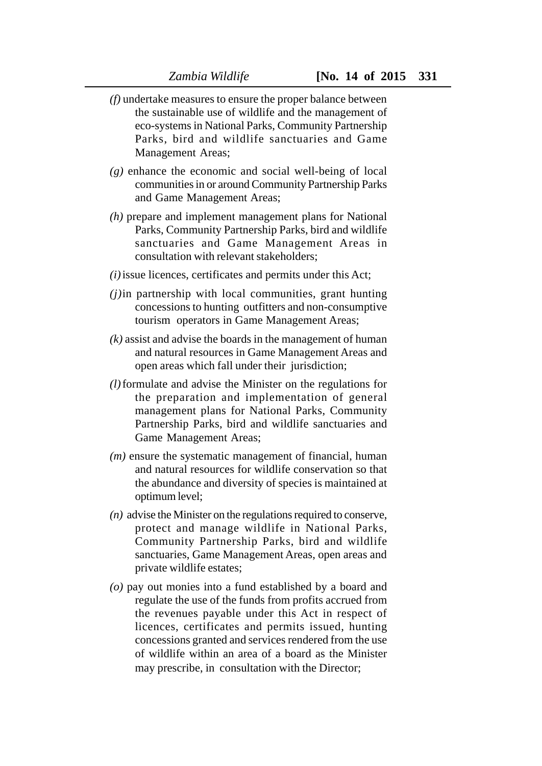- *(f)* undertake measures to ensure the proper balance between the sustainable use of wildlife and the management of eco-systems in National Parks, Community Partnership Parks, bird and wildlife sanctuaries and Game Management Areas;
- *(g)* enhance the economic and social well-being of local communities in or around Community Partnership Parks and Game Management Areas;
- *(h)* prepare and implement management plans for National Parks, Community Partnership Parks, bird and wildlife sanctuaries and Game Management Areas in consultation with relevant stakeholders;
- *(i)*issue licences, certificates and permits under this Act;
- *(j)*in partnership with local communities, grant hunting concessions to hunting outfitters and non-consumptive tourism operators in Game Management Areas;
- *(k)* assist and advise the boards in the management of human and natural resources in Game Management Areas and open areas which fall under their jurisdiction;
- *(l)*formulate and advise the Minister on the regulations for the preparation and implementation of general management plans for National Parks, Community Partnership Parks, bird and wildlife sanctuaries and Game Management Areas;
- *(m)* ensure the systematic management of financial, human and natural resources for wildlife conservation so that the abundance and diversity of species is maintained at optimum level;
- *(n)* advise the Minister on the regulations required to conserve, protect and manage wildlife in National Parks, Community Partnership Parks, bird and wildlife sanctuaries, Game Management Areas, open areas and private wildlife estates;
- *(o)* pay out monies into a fund established by a board and regulate the use of the funds from profits accrued from the revenues payable under this Act in respect of licences, certificates and permits issued, hunting concessions granted and services rendered from the use of wildlife within an area of a board as the Minister may prescribe, in consultation with the Director;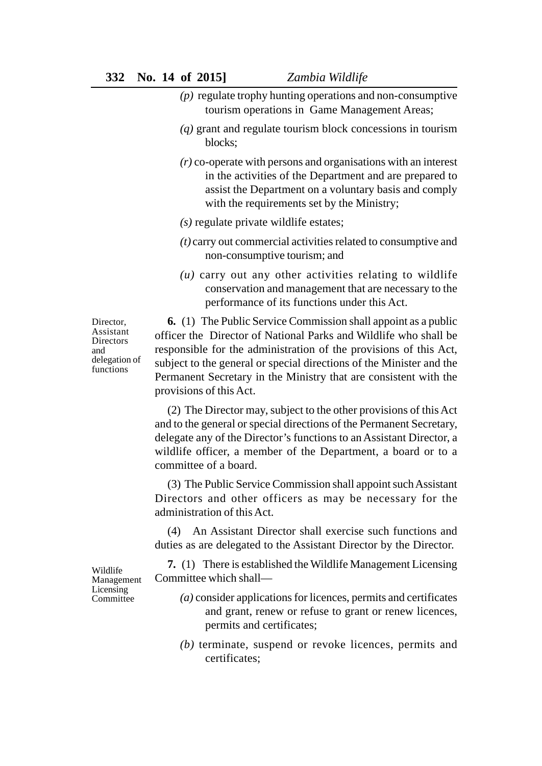- *(p)* regulate trophy hunting operations and non-consumptive tourism operations in Game Management Areas;
- *(q)* grant and regulate tourism block concessions in tourism blocks;
- *(r)* co-operate with persons and organisations with an interest in the activities of the Department and are prepared to assist the Department on a voluntary basis and comply with the requirements set by the Ministry;
- *(s)* regulate private wildlife estates;
- *(t)* carry out commercial activities related to consumptive and non-consumptive tourism; and
- *(u)* carry out any other activities relating to wildlife conservation and management that are necessary to the performance of its functions under this Act.

Director, Assistant Directors and delegation of functions

**6.** (1) The Public Service Commission shall appoint as a public officer the Director of National Parks and Wildlife who shall be responsible for the administration of the provisions of this Act, subject to the general or special directions of the Minister and the Permanent Secretary in the Ministry that are consistent with the provisions of this Act.

(2) The Director may, subject to the other provisions of this Act and to the general or special directions of the Permanent Secretary, delegate any of the Director's functions to an Assistant Director, a wildlife officer, a member of the Department, a board or to a committee of a board.

(3) The Public Service Commission shall appoint such Assistant Directors and other officers as may be necessary for the administration of this Act.

(4) An Assistant Director shall exercise such functions and duties as are delegated to the Assistant Director by the Director.

**7.** (1) There is established the Wildlife Management Licensing Committee which shall—

- *(a)* consider applications for licences, permits and certificates and grant, renew or refuse to grant or renew licences, permits and certificates;
- *(b)* terminate, suspend or revoke licences, permits and certificates;

Wildlife Management Licensing **Committee**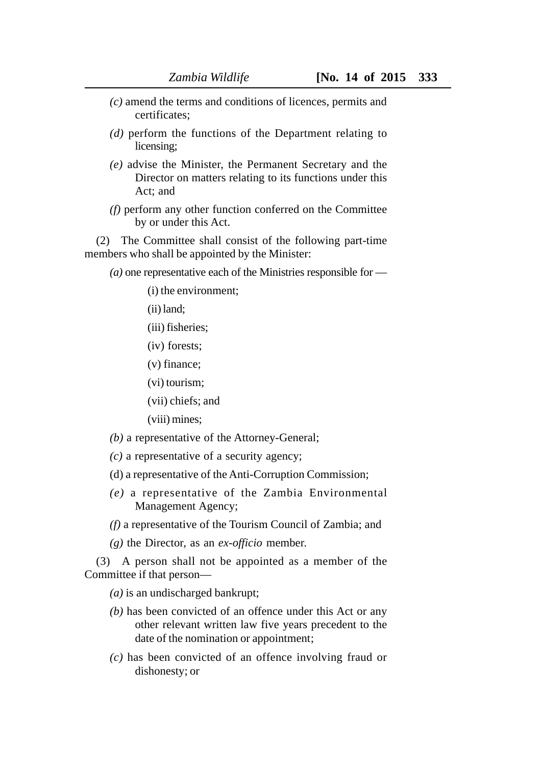- *(c)* amend the terms and conditions of licences, permits and certificates;
- *(d)* perform the functions of the Department relating to licensing;
- *(e)* advise the Minister, the Permanent Secretary and the Director on matters relating to its functions under this Act; and
- *(f)* perform any other function conferred on the Committee by or under this Act.

(2) The Committee shall consist of the following part-time members who shall be appointed by the Minister:

*(a)* one representative each of the Ministries responsible for —

(i) the environment;

- (ii) land;
- (iii) fisheries;
- (iv) forests;
- (v) finance;
- (vi) tourism;
- (vii) chiefs; and
- (viii) mines;
- *(b)* a representative of the Attorney-General;
- *(c)* a representative of a security agency;
- (d) a representative of the Anti-Corruption Commission;
- *(e)* a representative of the Zambia Environmental Management Agency;
- *(f)* a representative of the Tourism Council of Zambia; and
- *(g)* the Director, as an *ex-officio* member.

(3) A person shall not be appointed as a member of the Committee if that person—

*(a)* is an undischarged bankrupt;

- *(b)* has been convicted of an offence under this Act or any other relevant written law five years precedent to the date of the nomination or appointment;
- *(c)* has been convicted of an offence involving fraud or dishonesty; or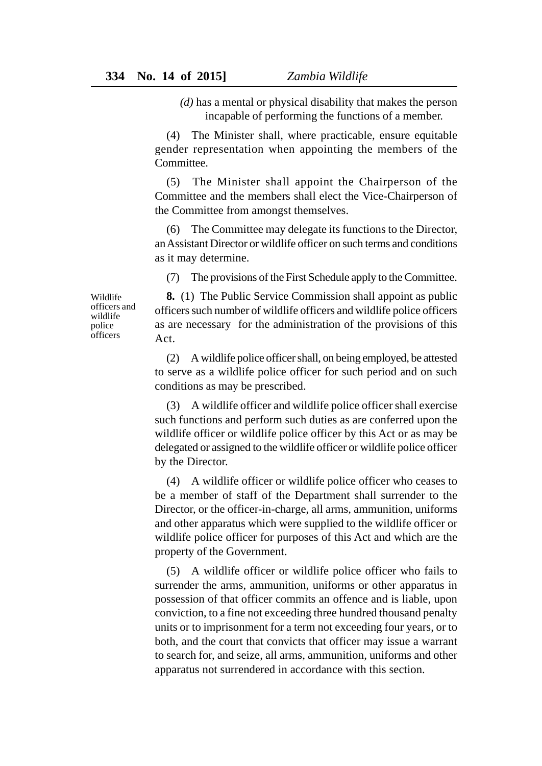*(d)* has a mental or physical disability that makes the person incapable of performing the functions of a member.

(4) The Minister shall, where practicable, ensure equitable gender representation when appointing the members of the Committee.

(5) The Minister shall appoint the Chairperson of the Committee and the members shall elect the Vice-Chairperson of the Committee from amongst themselves.

(6) The Committee may delegate its functions to the Director, an Assistant Director or wildlife officer on such terms and conditions as it may determine.

(7) The provisions of the First Schedule apply to the Committee.

Wildlife officers and wildlife police **officers** 

**8.** (1) The Public Service Commission shall appoint as public officers such number of wildlife officers and wildlife police officers as are necessary for the administration of the provisions of this Act.

(2) A wildlife police officer shall, on being employed, be attested to serve as a wildlife police officer for such period and on such conditions as may be prescribed.

(3) A wildlife officer and wildlife police officer shall exercise such functions and perform such duties as are conferred upon the wildlife officer or wildlife police officer by this Act or as may be delegated or assigned to the wildlife officer or wildlife police officer by the Director.

(4) A wildlife officer or wildlife police officer who ceases to be a member of staff of the Department shall surrender to the Director, or the officer-in-charge, all arms, ammunition, uniforms and other apparatus which were supplied to the wildlife officer or wildlife police officer for purposes of this Act and which are the property of the Government.

(5) A wildlife officer or wildlife police officer who fails to surrender the arms, ammunition, uniforms or other apparatus in possession of that officer commits an offence and is liable, upon conviction, to a fine not exceeding three hundred thousand penalty units or to imprisonment for a term not exceeding four years, or to both, and the court that convicts that officer may issue a warrant to search for, and seize, all arms, ammunition, uniforms and other apparatus not surrendered in accordance with this section.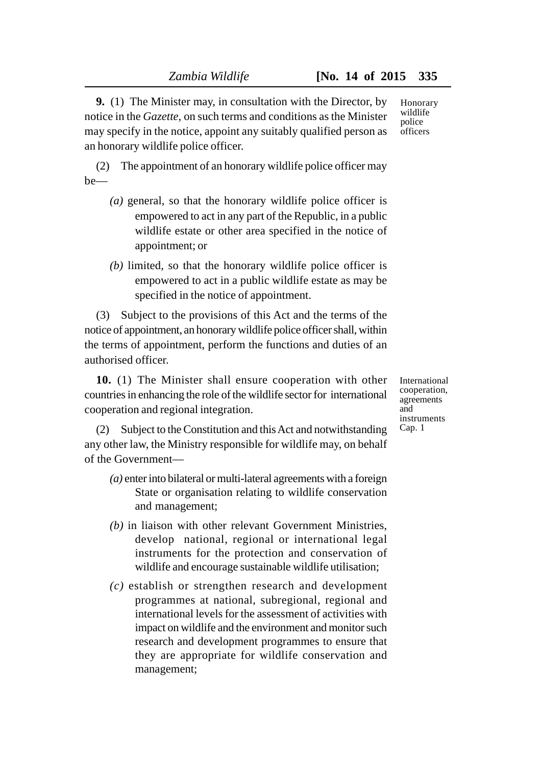**9.** (1) The Minister may, in consultation with the Director, by notice in the *Gazette,* on such terms and conditions as the Minister may specify in the notice, appoint any suitably qualified person as an honorary wildlife police officer.

(2) The appointment of an honorary wildlife police officer may be—

- *(a)* general, so that the honorary wildlife police officer is empowered to act in any part of the Republic, in a public wildlife estate or other area specified in the notice of appointment; or
- *(b)* limited, so that the honorary wildlife police officer is empowered to act in a public wildlife estate as may be specified in the notice of appointment.

(3) Subject to the provisions of this Act and the terms of the notice of appointment, an honorary wildlife police officer shall, within the terms of appointment, perform the functions and duties of an authorised officer.

**10.** (1) The Minister shall ensure cooperation with other countries in enhancing the role of the wildlife sector for international cooperation and regional integration.

(2) Subject to the Constitution and this Act and notwithstanding any other law, the Ministry responsible for wildlife may, on behalf of the Government—

- *(a)* enter into bilateral or multi-lateral agreements with a foreign State or organisation relating to wildlife conservation and management;
- *(b)* in liaison with other relevant Government Ministries, develop national, regional or international legal instruments for the protection and conservation of wildlife and encourage sustainable wildlife utilisation;
- *(c)* establish or strengthen research and development programmes at national, subregional, regional and international levels for the assessment of activities with impact on wildlife and the environment and monitor such research and development programmes to ensure that they are appropriate for wildlife conservation and management;

Honorary wildlife police officers

International cooperation, agreements and instruments Cap. 1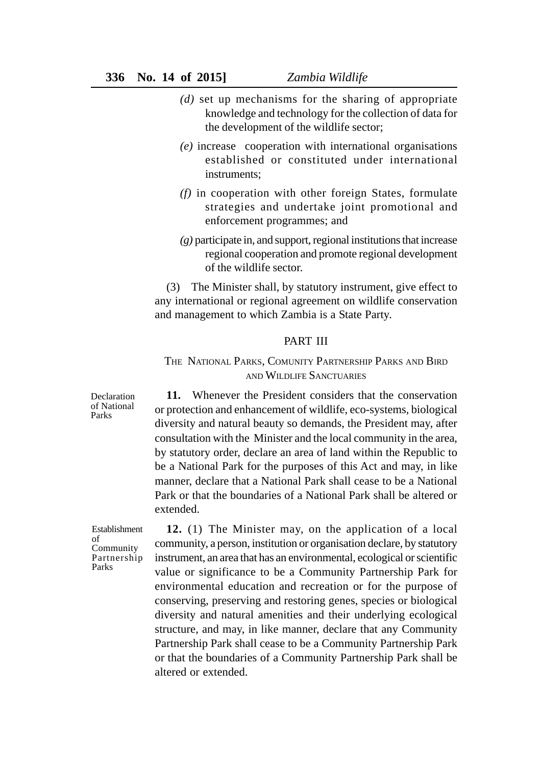- *(d)* set up mechanisms for the sharing of appropriate knowledge and technology for the collection of data for the development of the wildlife sector;
- *(e)* increase cooperation with international organisations established or constituted under international instruments;
- *(f)* in cooperation with other foreign States, formulate strategies and undertake joint promotional and enforcement programmes; and
- *(g)* participate in, and support, regional institutions that increase regional cooperation and promote regional development of the wildlife sector.

(3) The Minister shall, by statutory instrument, give effect to any international or regional agreement on wildlife conservation and management to which Zambia is a State Party.

#### PART III

# THE NATIONAL PARKS, COMUNITY PARTNERSHIP PARKS AND BIRD AND WILDLIFE SANCTUARIES

**11.** Whenever the President considers that the conservation or protection and enhancement of wildlife, eco-systems, biological diversity and natural beauty so demands, the President may, after consultation with the Minister and the local community in the area, by statutory order, declare an area of land within the Republic to be a National Park for the purposes of this Act and may, in like manner, declare that a National Park shall cease to be a National Park or that the boundaries of a National Park shall be altered or extended.

Establishment of Community Partnership Parks

Declaration of National Parks

> **12.** (1) The Minister may, on the application of a local community, a person, institution or organisation declare, by statutory instrument, an area that has an environmental, ecological or scientific value or significance to be a Community Partnership Park for environmental education and recreation or for the purpose of conserving, preserving and restoring genes, species or biological diversity and natural amenities and their underlying ecological structure, and may, in like manner, declare that any Community Partnership Park shall cease to be a Community Partnership Park or that the boundaries of a Community Partnership Park shall be altered or extended.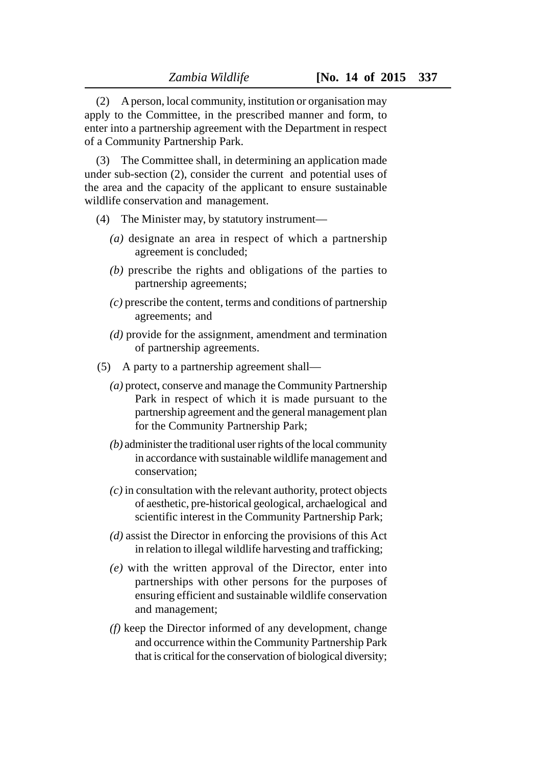(2) A person, local community, institution or organisation may apply to the Committee, in the prescribed manner and form, to enter into a partnership agreement with the Department in respect of a Community Partnership Park.

(3) The Committee shall, in determining an application made under sub-section (2), consider the current and potential uses of the area and the capacity of the applicant to ensure sustainable wildlife conservation and management.

- (4) The Minister may, by statutory instrument—
	- *(a)* designate an area in respect of which a partnership agreement is concluded;
	- *(b)* prescribe the rights and obligations of the parties to partnership agreements;
	- *(c)* prescribe the content, terms and conditions of partnership agreements; and
	- *(d)* provide for the assignment, amendment and termination of partnership agreements.
- (5) A party to a partnership agreement shall—
	- *(a)* protect, conserve and manage the Community Partnership Park in respect of which it is made pursuant to the partnership agreement and the general management plan for the Community Partnership Park;
	- *(b)* administer the traditional user rights of the local community in accordance with sustainable wildlife management and conservation;
	- *(c)* in consultation with the relevant authority, protect objects of aesthetic, pre-historical geological, archaelogical and scientific interest in the Community Partnership Park;
	- *(d)* assist the Director in enforcing the provisions of this Act in relation to illegal wildlife harvesting and trafficking;
	- *(e)* with the written approval of the Director, enter into partnerships with other persons for the purposes of ensuring efficient and sustainable wildlife conservation and management;
	- *(f)* keep the Director informed of any development, change and occurrence within the Community Partnership Park that is critical for the conservation of biological diversity;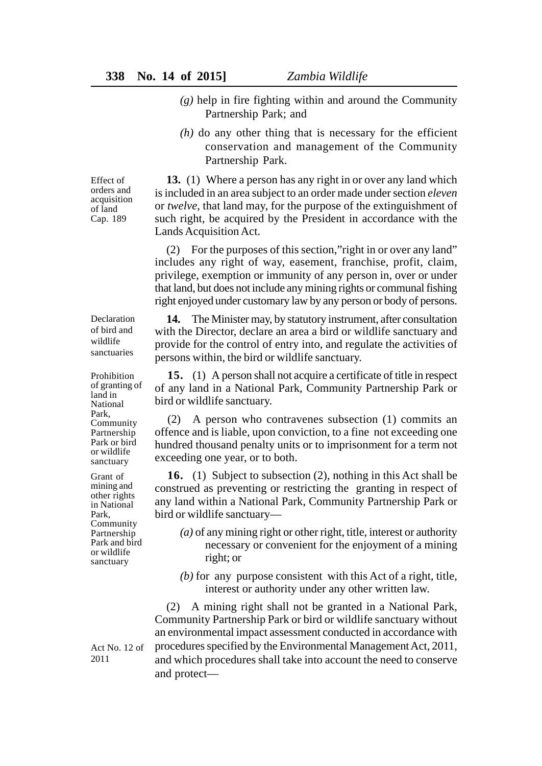- *(g)* help in fire fighting within and around the Community Partnership Park; and
- $(h)$  do any other thing that is necessary for the efficient conservation and management of the Community Partnership Park.

**13.** (1) Where a person has any right in or over any land which is included in an area subject to an order made under section *eleven* or *twelve*, that land may, for the purpose of the extinguishment of

Effect of orders and acquisition of land Cap. 189

Declaration of bird and wildlife sanctuaries

Prohibition of granting of land in National Park, Community Partnership Park or bird or wildlife sanctuary

Grant of mining and other rights in National Park, Community Partnership Park and bird or wildlife sanctuary

such right, be acquired by the President in accordance with the Lands Acquisition Act. (2) For the purposes of this section,"right in or over any land" includes any right of way, easement, franchise, profit, claim,

privilege, exemption or immunity of any person in, over or under that land, but does not include any mining rights or communal fishing right enjoyed under customary law by any person or body of persons.

**14.** The Minister may, by statutory instrument, after consultation with the Director, declare an area a bird or wildlife sanctuary and provide for the control of entry into, and regulate the activities of persons within, the bird or wildlife sanctuary.

**15.** (1) A person shall not acquire a certificate of title in respect of any land in a National Park, Community Partnership Park or bird or wildlife sanctuary.

(2) A person who contravenes subsection (1) commits an offence and is liable, upon conviction, to a fine not exceeding one hundred thousand penalty units or to imprisonment for a term not exceeding one year, or to both.

**16.** (1) Subject to subsection (2), nothing in this Act shall be construed as preventing or restricting the granting in respect of any land within a National Park, Community Partnership Park or bird or wildlife sanctuary—

- *(a)* of any mining right or other right, title, interest or authority necessary or convenient for the enjoyment of a mining right; or
- *(b)* for any purpose consistent with this Act of a right, title, interest or authority under any other written law.

(2) A mining right shall not be granted in a National Park, Community Partnership Park or bird or wildlife sanctuary without an environmental impact assessment conducted in accordance with procedures specified by the Environmental Management Act, 2011, and which procedures shall take into account the need to conserve and protect—

Act No. 12 of 2011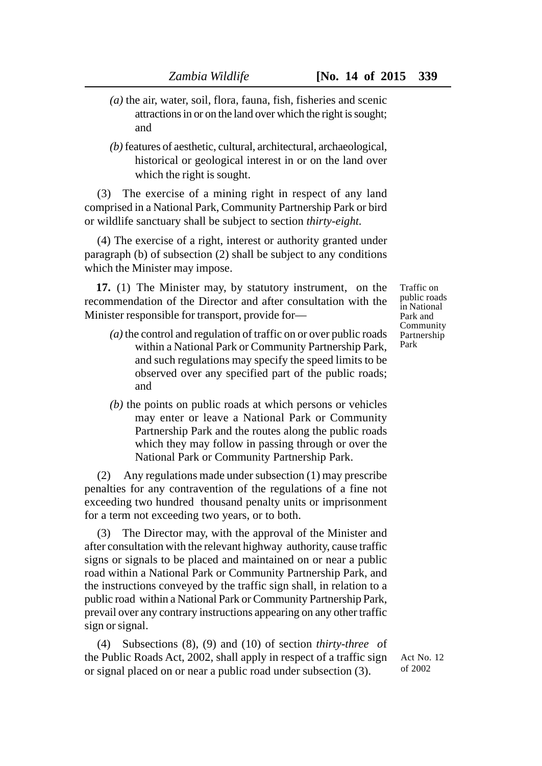- *(a)* the air, water, soil, flora, fauna, fish, fisheries and scenic attractions in or on the land over which the right is sought; and
- *(b)* features of aesthetic, cultural, architectural, archaeological, historical or geological interest in or on the land over which the right is sought.

(3) The exercise of a mining right in respect of any land comprised in a National Park, Community Partnership Park or bird or wildlife sanctuary shall be subject to section *thirty-eight.*

(4) The exercise of a right, interest or authority granted under paragraph (b) of subsection (2) shall be subject to any conditions which the Minister may impose.

**17.** (1) The Minister may, by statutory instrument, on the recommendation of the Director and after consultation with the Minister responsible for transport, provide for—

- *(a)* the control and regulation of traffic on or over public roads within a National Park or Community Partnership Park, and such regulations may specify the speed limits to be observed over any specified part of the public roads; and
- *(b)* the points on public roads at which persons or vehicles may enter or leave a National Park or Community Partnership Park and the routes along the public roads which they may follow in passing through or over the National Park or Community Partnership Park.

(2) Any regulations made under subsection (1) may prescribe penalties for any contravention of the regulations of a fine not exceeding two hundred thousand penalty units or imprisonment for a term not exceeding two years, or to both.

(3) The Director may, with the approval of the Minister and after consultation with the relevant highway authority, cause traffic signs or signals to be placed and maintained on or near a public road within a National Park or Community Partnership Park, and the instructions conveyed by the traffic sign shall, in relation to a public road within a National Park or Community Partnership Park, prevail over any contrary instructions appearing on any other traffic sign or signal.

(4) Subsections (8), (9) and (10) of section *thirty-three o*f the Public Roads Act, 2002, shall apply in respect of a traffic sign or signal placed on or near a public road under subsection (3).

Traffic on public roads in National Park and Community Partnership Park

Act No. 12 of 2002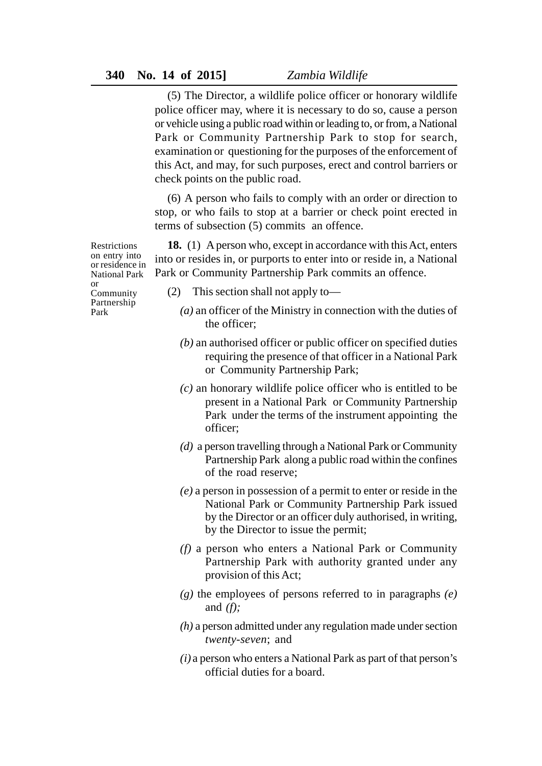(5) The Director, a wildlife police officer or honorary wildlife police officer may, where it is necessary to do so, cause a person or vehicle using a public road within or leading to, or from, a National Park or Community Partnership Park to stop for search, examination or questioning for the purposes of the enforcement of this Act, and may, for such purposes, erect and control barriers or check points on the public road.

(6) A person who fails to comply with an order or direction to stop, or who fails to stop at a barrier or check point erected in terms of subsection (5) commits an offence.

**18.** (1) A person who, except in accordance with this Act, enters into or resides in, or purports to enter into or reside in, a National Park or Community Partnership Park commits an offence.

**Restrictions** on entry into or residence in National Park or Community Partnership Park

- (2) This section shall not apply to—
	- *(a)* an officer of the Ministry in connection with the duties of the officer;
	- *(b)* an authorised officer or public officer on specified duties requiring the presence of that officer in a National Park or Community Partnership Park;
	- *(c)* an honorary wildlife police officer who is entitled to be present in a National Park or Community Partnership Park under the terms of the instrument appointing the officer;
	- *(d)* a person travelling through a National Park or Community Partnership Park along a public road within the confines of the road reserve;
	- *(e)* a person in possession of a permit to enter or reside in the National Park or Community Partnership Park issued by the Director or an officer duly authorised, in writing, by the Director to issue the permit;
	- *(f)* a person who enters a National Park or Community Partnership Park with authority granted under any provision of this Act;
	- *(g)* the employees of persons referred to in paragraphs *(e)* and *(f);*
	- *(h)* a person admitted under any regulation made under section *twenty-seven*; and
	- *(i)* a person who enters a National Park as part of that person's official duties for a board.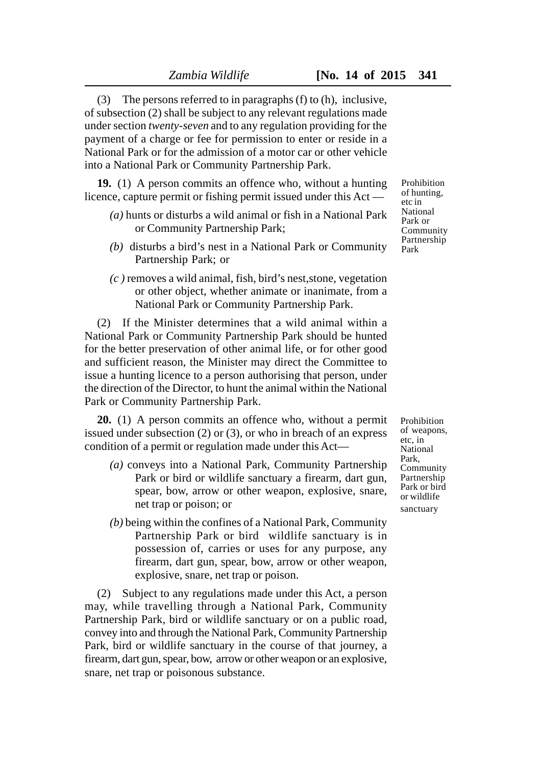(3) The persons referred to in paragraphs (f) to (h), inclusive, of subsection (2) shall be subject to any relevant regulations made under section *twenty-seven* and to any regulation providing for the payment of a charge or fee for permission to enter or reside in a National Park or for the admission of a motor car or other vehicle into a National Park or Community Partnership Park.

**19.** (1) A person commits an offence who, without a hunting licence, capture permit or fishing permit issued under this Act —

- *(a)* hunts or disturbs a wild animal or fish in a National Park or Community Partnership Park;
- *(b)* disturbs a bird's nest in a National Park or Community Partnership Park; or
- *(c )* removes a wild animal, fish, bird's nest,stone, vegetation or other object, whether animate or inanimate, from a National Park or Community Partnership Park.

(2) If the Minister determines that a wild animal within a National Park or Community Partnership Park should be hunted for the better preservation of other animal life, or for other good and sufficient reason, the Minister may direct the Committee to issue a hunting licence to a person authorising that person, under the direction of the Director, to hunt the animal within the National Park or Community Partnership Park.

**20.** (1) A person commits an offence who, without a permit issued under subsection (2) or (3), or who in breach of an express condition of a permit or regulation made under this Act—

- *(a)* conveys into a National Park, Community Partnership Park or bird or wildlife sanctuary a firearm, dart gun, spear, bow, arrow or other weapon, explosive, snare, net trap or poison; or
- *(b)* being within the confines of a National Park, Community Partnership Park or bird wildlife sanctuary is in possession of, carries or uses for any purpose, any firearm, dart gun, spear, bow, arrow or other weapon, explosive, snare, net trap or poison.

(2) Subject to any regulations made under this Act, a person may, while travelling through a National Park, Community Partnership Park, bird or wildlife sanctuary or on a public road, convey into and through the National Park, Community Partnership Park, bird or wildlife sanctuary in the course of that journey, a firearm, dart gun, spear, bow, arrow or other weapon or an explosive, snare, net trap or poisonous substance.

Prohibition of hunting, etc in National Park or Community Partnership Park

Prohibition of weapons, etc, in National Park, Community Partnership Park or bird or wildlife sanctuary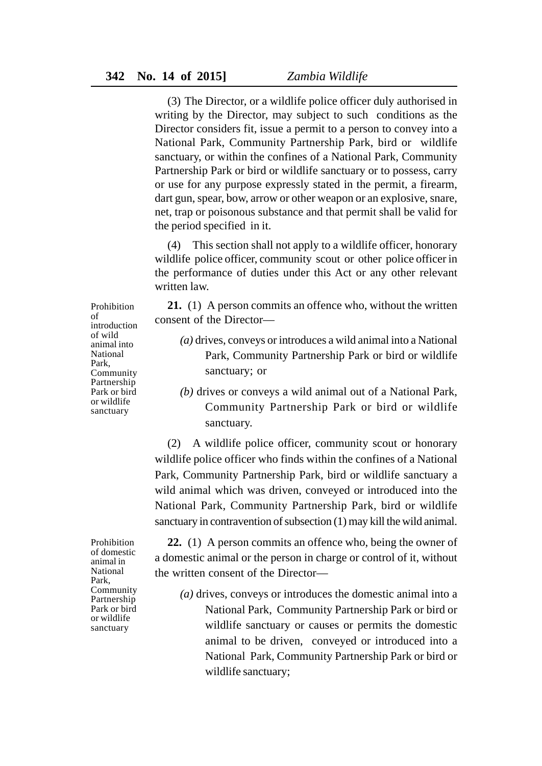(3) The Director, or a wildlife police officer duly authorised in writing by the Director, may subject to such conditions as the Director considers fit, issue a permit to a person to convey into a National Park, Community Partnership Park, bird or wildlife sanctuary, or within the confines of a National Park, Community Partnership Park or bird or wildlife sanctuary or to possess, carry or use for any purpose expressly stated in the permit, a firearm, dart gun, spear, bow, arrow or other weapon or an explosive, snare, net, trap or poisonous substance and that permit shall be valid for the period specified in it.

(4) This section shall not apply to a wildlife officer, honorary wildlife police officer, community scout or other police officer in the performance of duties under this Act or any other relevant written law.

**21.** (1) A person commits an offence who, without the written consent of the Director—

- *(a)* drives, conveys or introduces a wild animal into a National Park, Community Partnership Park or bird or wildlife sanctuary; or
- *(b)* drives or conveys a wild animal out of a National Park, Community Partnership Park or bird or wildlife sanctuary.

(2) A wildlife police officer, community scout or honorary wildlife police officer who finds within the confines of a National Park, Community Partnership Park, bird or wildlife sanctuary a wild animal which was driven, conveyed or introduced into the National Park, Community Partnership Park, bird or wildlife sanctuary in contravention of subsection (1) may kill the wild animal.

**22.** (1) A person commits an offence who, being the owner of a domestic animal or the person in charge or control of it, without the written consent of the Director—

*(a)* drives, conveys or introduces the domestic animal into a National Park, Community Partnership Park or bird or wildlife sanctuary or causes or permits the domestic animal to be driven, conveyed or introduced into a National Park, Community Partnership Park or bird or wildlife sanctuary;

Prohibition of introduction of wild animal into National Park, Community Partnership Park or bird or wildlife sanctuary

Prohibition of domestic animal in National Park, Community Partnership Park or bird or wildlife sanctuary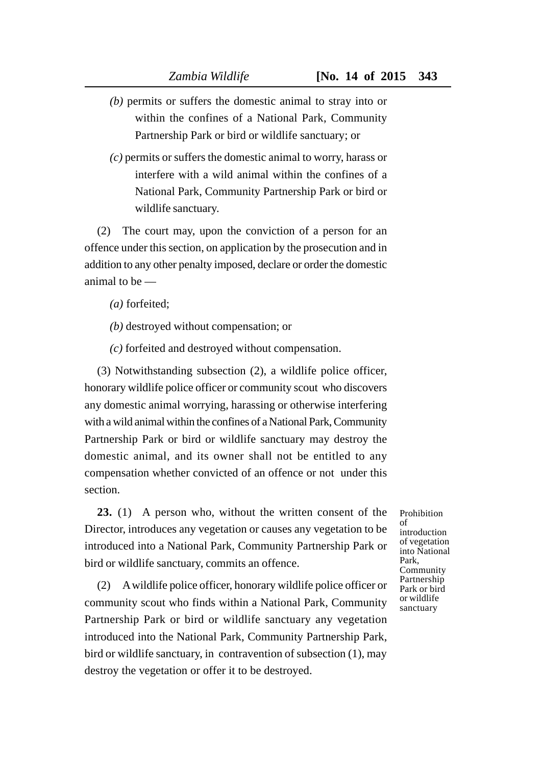- *(b)* permits or suffers the domestic animal to stray into or within the confines of a National Park, Community Partnership Park or bird or wildlife sanctuary; or
- *(c)* permits or suffers the domestic animal to worry, harass or interfere with a wild animal within the confines of a National Park, Community Partnership Park or bird or wildlife sanctuary.

(2) The court may, upon the conviction of a person for an offence under this section, on application by the prosecution and in addition to any other penalty imposed, declare or order the domestic animal to be —

- *(a)* forfeited;
- *(b)* destroyed without compensation; or
- *(c)* forfeited and destroyed without compensation.

(3) Notwithstanding subsection (2), a wildlife police officer, honorary wildlife police officer or community scout who discovers any domestic animal worrying, harassing or otherwise interfering with a wild animal within the confines of a National Park, Community Partnership Park or bird or wildlife sanctuary may destroy the domestic animal, and its owner shall not be entitled to any compensation whether convicted of an offence or not under this section.

**23.** (1) A person who, without the written consent of the Director, introduces any vegetation or causes any vegetation to be introduced into a National Park, Community Partnership Park or bird or wildlife sanctuary, commits an offence.

(2) A wildlife police officer, honorary wildlife police officer or community scout who finds within a National Park, Community Partnership Park or bird or wildlife sanctuary any vegetation introduced into the National Park, Community Partnership Park, bird or wildlife sanctuary, in contravention of subsection (1), may destroy the vegetation or offer it to be destroyed.

of introduction of vegetation into National Park, **Community** Partnership Park or bird or wildlife sanctuary

Prohibition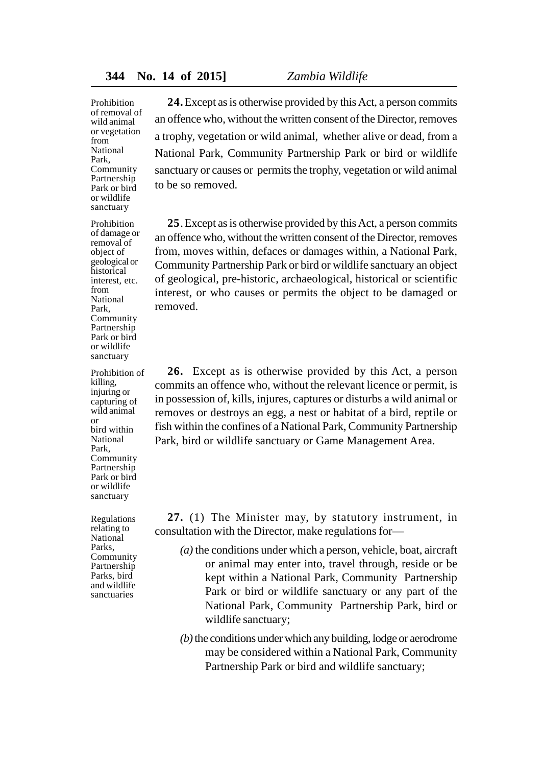Prohibition of removal of wild animal or vegetation from National Park, Community Partnership Park or bird or wildlife sanctuary

Prohibition of damage or removal of object of geological or historical interest, etc. from National Park, Community Partnership Park or bird or wildlife sanctuary

Prohibition of killing, injuring or capturing of wild animal or bird within National Park, Community Partnership Park or bird or wildlife sanctuary

Regulations relating to National Parks, Community Partnership Parks, bird and wildlife sanctuaries

**24.**Except as is otherwise provided by this Act, a person commits an offence who, without the written consent of the Director, removes a trophy, vegetation or wild animal, whether alive or dead, from a National Park, Community Partnership Park or bird or wildlife sanctuary or causes or permits the trophy, vegetation or wild animal to be so removed.

**25**.Except as is otherwise provided by this Act, a person commits an offence who, without the written consent of the Director, removes from, moves within, defaces or damages within, a National Park, Community Partnership Park or bird or wildlife sanctuary an object of geological, pre-historic, archaeological, historical or scientific interest, or who causes or permits the object to be damaged or removed.

**26.** Except as is otherwise provided by this Act, a person commits an offence who, without the relevant licence or permit, is in possession of, kills, injures, captures or disturbs a wild animal or removes or destroys an egg, a nest or habitat of a bird, reptile or fish within the confines of a National Park, Community Partnership Park, bird or wildlife sanctuary or Game Management Area.

**27.** (1) The Minister may, by statutory instrument, in consultation with the Director, make regulations for—

- *(a)* the conditions under which a person, vehicle, boat, aircraft or animal may enter into, travel through, reside or be kept within a National Park, Community Partnership Park or bird or wildlife sanctuary or any part of the National Park, Community Partnership Park, bird or wildlife sanctuary;
- *(b)* the conditions under which any building, lodge or aerodrome may be considered within a National Park, Community Partnership Park or bird and wildlife sanctuary;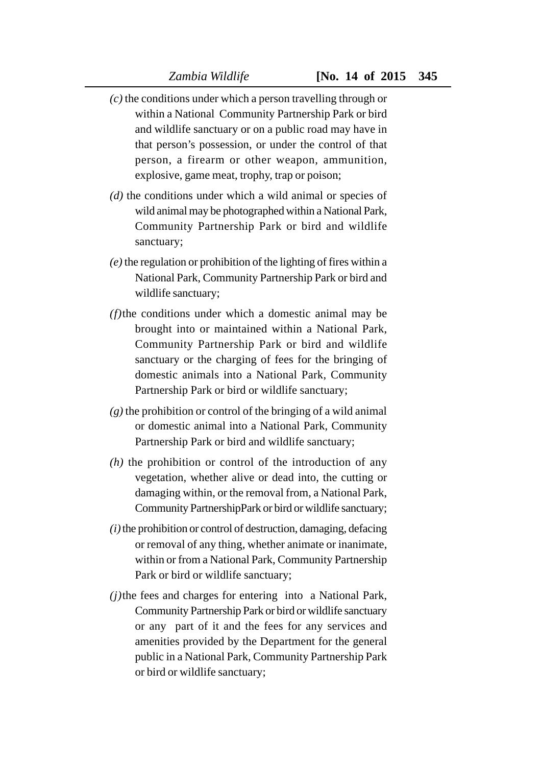- *(c)* the conditions under which a person travelling through or within a National Community Partnership Park or bird and wildlife sanctuary or on a public road may have in that person's possession, or under the control of that person, a firearm or other weapon, ammunition, explosive, game meat, trophy, trap or poison;
- *(d)* the conditions under which a wild animal or species of wild animal may be photographed within a National Park, Community Partnership Park or bird and wildlife sanctuary;
- *(e)* the regulation or prohibition of the lighting of fires within a National Park, Community Partnership Park or bird and wildlife sanctuary;
- *(f)*the conditions under which a domestic animal may be brought into or maintained within a National Park, Community Partnership Park or bird and wildlife sanctuary or the charging of fees for the bringing of domestic animals into a National Park, Community Partnership Park or bird or wildlife sanctuary;
- *(g)* the prohibition or control of the bringing of a wild animal or domestic animal into a National Park, Community Partnership Park or bird and wildlife sanctuary;
- *(h)* the prohibition or control of the introduction of any vegetation, whether alive or dead into, the cutting or damaging within, or the removal from, a National Park, Community PartnershipPark or bird or wildlife sanctuary;
- $(i)$  the prohibition or control of destruction, damaging, defacing or removal of any thing, whether animate or inanimate, within or from a National Park, Community Partnership Park or bird or wildlife sanctuary;
- *(j)*the fees and charges for entering into a National Park, Community Partnership Park or bird or wildlife sanctuary or any part of it and the fees for any services and amenities provided by the Department for the general public in a National Park, Community Partnership Park or bird or wildlife sanctuary;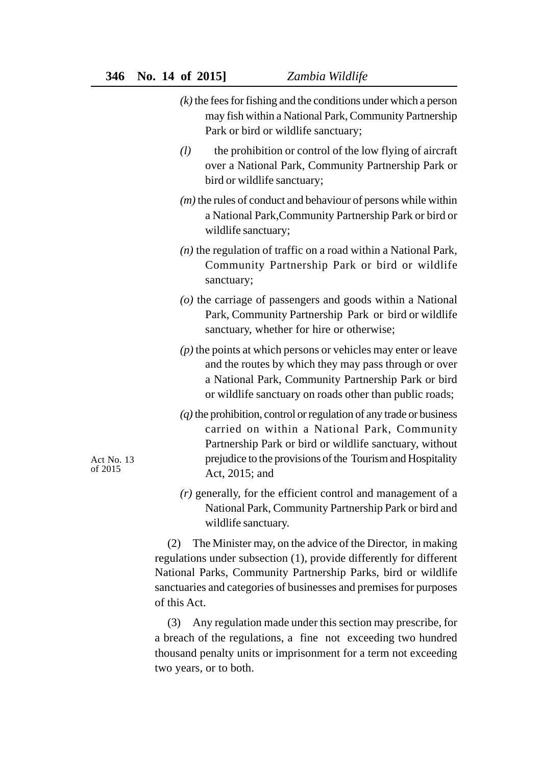- *(k)* the fees for fishing and the conditions under which a person may fish within a National Park, Community Partnership Park or bird or wildlife sanctuary;
- *(l)* the prohibition or control of the low flying of aircraft over a National Park, Community Partnership Park or bird or wildlife sanctuary;
- *(m)* the rules of conduct and behaviour of persons while within a National Park,Community Partnership Park or bird or wildlife sanctuary;
- *(n)* the regulation of traffic on a road within a National Park, Community Partnership Park or bird or wildlife sanctuary;
- *(o)* the carriage of passengers and goods within a National Park, Community Partnership Park or bird or wildlife sanctuary, whether for hire or otherwise;
- *(p)* the points at which persons or vehicles may enter or leave and the routes by which they may pass through or over a National Park, Community Partnership Park or bird or wildlife sanctuary on roads other than public roads;
- *(q)* the prohibition, control or regulation of any trade or business carried on within a National Park, Community Partnership Park or bird or wildlife sanctuary, without prejudice to the provisions of the Tourism and Hospitality Act, 2015; and
- *(r)* generally, for the efficient control and management of a National Park, Community Partnership Park or bird and wildlife sanctuary.

(2) The Minister may, on the advice of the Director, in making regulations under subsection (1), provide differently for different National Parks, Community Partnership Parks, bird or wildlife sanctuaries and categories of businesses and premises for purposes of this Act.

(3) Any regulation made under this section may prescribe, for a breach of the regulations, a fine not exceeding two hundred thousand penalty units or imprisonment for a term not exceeding two years, or to both.

Act No. 13 of 2015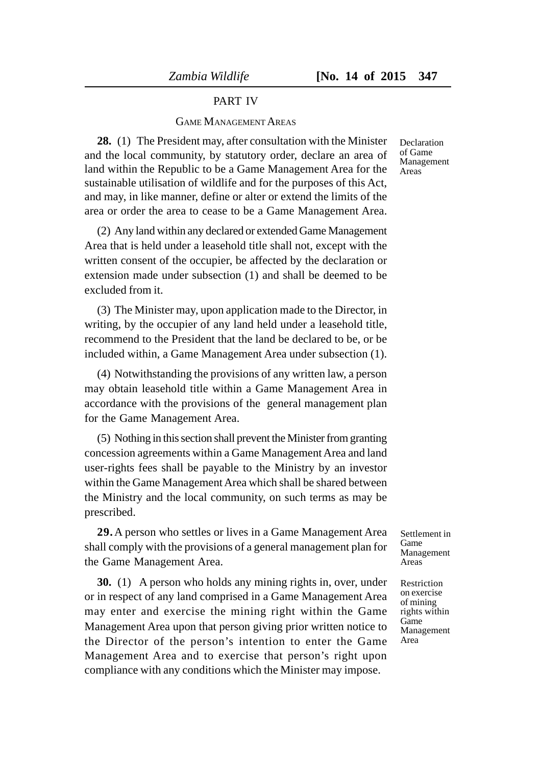#### PART IV

#### GAME MANAGEMENT AREAS

**28.** (1) The President may, after consultation with the Minister and the local community, by statutory order, declare an area of land within the Republic to be a Game Management Area for the sustainable utilisation of wildlife and for the purposes of this Act, and may, in like manner, define or alter or extend the limits of the area or order the area to cease to be a Game Management Area.

(2) Any land within any declared or extended Game Management Area that is held under a leasehold title shall not, except with the written consent of the occupier, be affected by the declaration or extension made under subsection (1) and shall be deemed to be excluded from it.

(3) The Minister may, upon application made to the Director, in writing, by the occupier of any land held under a leasehold title, recommend to the President that the land be declared to be, or be included within, a Game Management Area under subsection (1).

(4) Notwithstanding the provisions of any written law, a person may obtain leasehold title within a Game Management Area in accordance with the provisions of the general management plan for the Game Management Area.

(5) Nothing in this section shall prevent the Minister from granting concession agreements within a Game Management Area and land user-rights fees shall be payable to the Ministry by an investor within the Game Management Area which shall be shared between the Ministry and the local community, on such terms as may be prescribed.

**29.**A person who settles or lives in a Game Management Area shall comply with the provisions of a general management plan for the Game Management Area.

**30.** (1) A person who holds any mining rights in, over, under or in respect of any land comprised in a Game Management Area may enter and exercise the mining right within the Game Management Area upon that person giving prior written notice to the Director of the person's intention to enter the Game Management Area and to exercise that person's right upon compliance with any conditions which the Minister may impose.

Declaration of Game Management Areas

Settlement in Game Management Areas

Restriction on exercise of mining rights within Game Management Area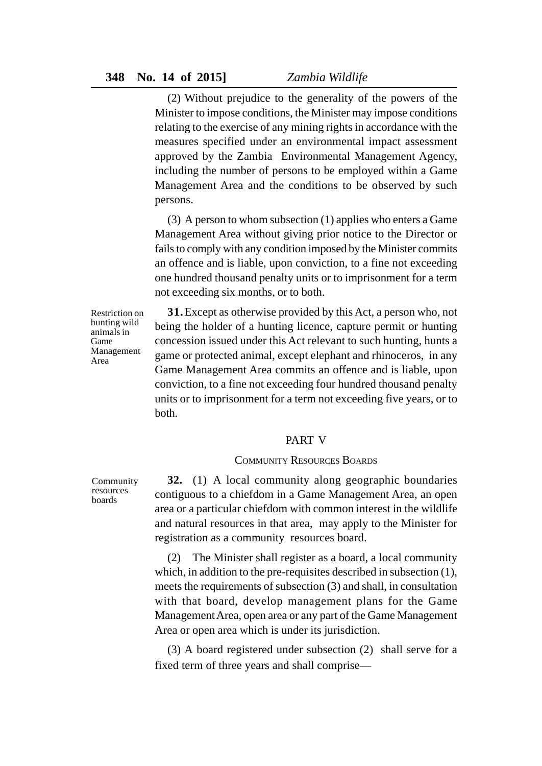(2) Without prejudice to the generality of the powers of the Minister to impose conditions, the Minister may impose conditions relating to the exercise of any mining rights in accordance with the measures specified under an environmental impact assessment approved by the Zambia Environmental Management Agency, including the number of persons to be employed within a Game Management Area and the conditions to be observed by such persons.

(3) A person to whom subsection (1) applies who enters a Game Management Area without giving prior notice to the Director or fails to comply with any condition imposed by the Minister commits an offence and is liable, upon conviction, to a fine not exceeding one hundred thousand penalty units or to imprisonment for a term not exceeding six months, or to both.

Restriction on hunting wild animals in Game Management Area

**31.**Except as otherwise provided by this Act, a person who, not being the holder of a hunting licence, capture permit or hunting concession issued under this Act relevant to such hunting, hunts a game or protected animal, except elephant and rhinoceros, in any Game Management Area commits an offence and is liable, upon conviction, to a fine not exceeding four hundred thousand penalty units or to imprisonment for a term not exceeding five years, or to both.

### PART V

### COMMUNITY RESOURCES BOARDS

Community resources boards

**32.** (1) A local community along geographic boundaries contiguous to a chiefdom in a Game Management Area, an open area or a particular chiefdom with common interest in the wildlife and natural resources in that area, may apply to the Minister for registration as a community resources board.

(2) The Minister shall register as a board, a local community which, in addition to the pre-requisites described in subsection (1), meets the requirements of subsection (3) and shall, in consultation with that board, develop management plans for the Game Management Area, open area or any part of the Game Management Area or open area which is under its jurisdiction.

(3) A board registered under subsection (2) shall serve for a fixed term of three years and shall comprise—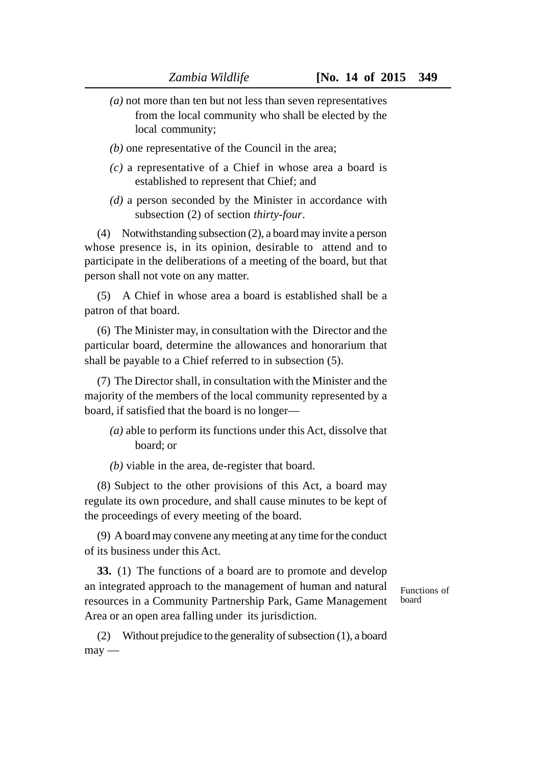- *(a)* not more than ten but not less than seven representatives from the local community who shall be elected by the local community;
- *(b)* one representative of the Council in the area;
- *(c)* a representative of a Chief in whose area a board is established to represent that Chief; and
- *(d)* a person seconded by the Minister in accordance with subsection (2) of section *thirty-four*.

(4) Notwithstanding subsection (2), a board may invite a person whose presence is, in its opinion, desirable to attend and to participate in the deliberations of a meeting of the board, but that person shall not vote on any matter.

(5) A Chief in whose area a board is established shall be a patron of that board.

(6) The Minister may, in consultation with the Director and the particular board, determine the allowances and honorarium that shall be payable to a Chief referred to in subsection (5).

(7) The Director shall, in consultation with the Minister and the majority of the members of the local community represented by a board, if satisfied that the board is no longer—

- *(a)* able to perform its functions under this Act, dissolve that board; or
- *(b)* viable in the area, de-register that board.

(8) Subject to the other provisions of this Act, a board may regulate its own procedure, and shall cause minutes to be kept of the proceedings of every meeting of the board.

(9) A board may convene any meeting at any time for the conduct of its business under this Act.

**33.** (1) The functions of a board are to promote and develop an integrated approach to the management of human and natural resources in a Community Partnership Park, Game Management Area or an open area falling under its jurisdiction.

Functions of board

(2) Without prejudice to the generality of subsection (1), a board  $may -$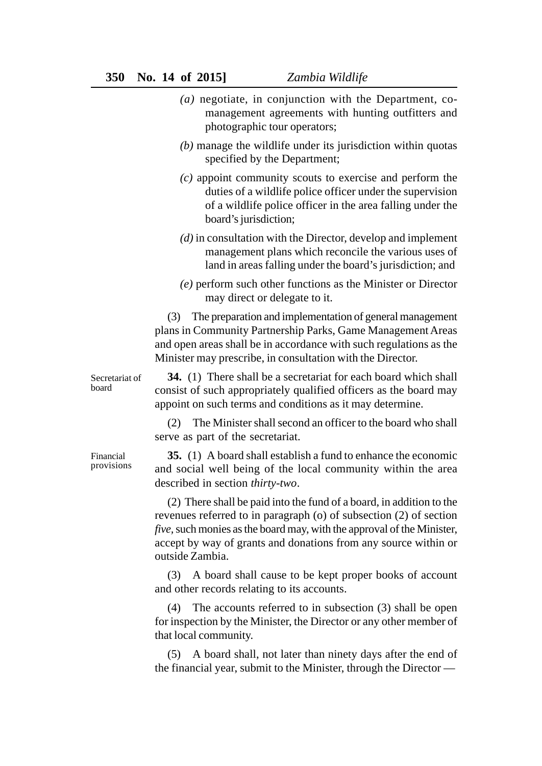- *(a)* negotiate, in conjunction with the Department, comanagement agreements with hunting outfitters and photographic tour operators;
- *(b)* manage the wildlife under its jurisdiction within quotas specified by the Department;
- *(c)* appoint community scouts to exercise and perform the duties of a wildlife police officer under the supervision of a wildlife police officer in the area falling under the board's jurisdiction;
- *(d)* in consultation with the Director, develop and implement management plans which reconcile the various uses of land in areas falling under the board's jurisdiction; and
- *(e)* perform such other functions as the Minister or Director may direct or delegate to it.

(3) The preparation and implementation of general management plans in Community Partnership Parks, Game Management Areas and open areas shall be in accordance with such regulations as the Minister may prescribe, in consultation with the Director.

**34.** (1) There shall be a secretariat for each board which shall consist of such appropriately qualified officers as the board may appoint on such terms and conditions as it may determine. Secretariat of

> (2) The Minister shall second an officer to the board who shall serve as part of the secretariat.

> **35.** (1) A board shall establish a fund to enhance the economic and social well being of the local community within the area described in section *thirty-two*.

> (2) There shall be paid into the fund of a board, in addition to the revenues referred to in paragraph (o) of subsection (2) of section *five,* such monies as the board may, with the approval of the Minister, accept by way of grants and donations from any source within or outside Zambia.

> (3) A board shall cause to be kept proper books of account and other records relating to its accounts.

> (4) The accounts referred to in subsection (3) shall be open for inspection by the Minister, the Director or any other member of that local community.

> (5) A board shall, not later than ninety days after the end of the financial year, submit to the Minister, through the Director —

Financial provisions

board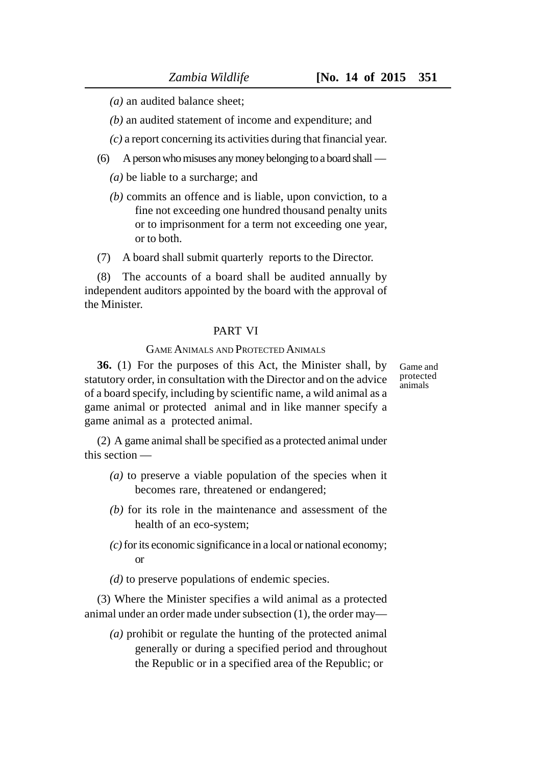Game and protected animals

*(a)* an audited balance sheet;

*(b)* an audited statement of income and expenditure; and

*(c)* a report concerning its activities during that financial year.

(6) A person who misuses any money belonging to a board shall —

*(a)* be liable to a surcharge; and

- *(b)* commits an offence and is liable, upon conviction, to a fine not exceeding one hundred thousand penalty units or to imprisonment for a term not exceeding one year, or to both.
- (7) A board shall submit quarterly reports to the Director.

(8) The accounts of a board shall be audited annually by independent auditors appointed by the board with the approval of the Minister.

## PART VI

#### GAME ANIMALS AND PROTECTED ANIMALS

**36.** (1) For the purposes of this Act, the Minister shall, by statutory order, in consultation with the Director and on the advice of a board specify, including by scientific name, a wild animal as a game animal or protected animal and in like manner specify a game animal as a protected animal.

(2) A game animal shall be specified as a protected animal under this section —

- *(a)* to preserve a viable population of the species when it becomes rare, threatened or endangered;
- *(b)* for its role in the maintenance and assessment of the health of an eco-system;
- *(c)* for its economic significance in a local or national economy; or
- *(d)* to preserve populations of endemic species.

(3) Where the Minister specifies a wild animal as a protected animal under an order made under subsection (1), the order may—

*(a)* prohibit or regulate the hunting of the protected animal generally or during a specified period and throughout the Republic or in a specified area of the Republic; or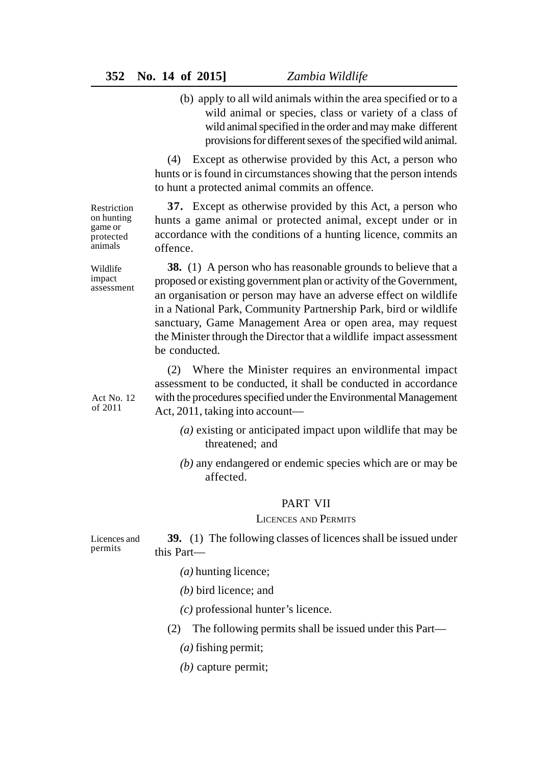(b) apply to all wild animals within the area specified or to a wild animal or species, class or variety of a class of wild animal specified in the order and may make different provisions for different sexes of the specified wild animal.

(4) Except as otherwise provided by this Act, a person who hunts or is found in circumstances showing that the person intends to hunt a protected animal commits an offence.

**37.** Except as otherwise provided by this Act, a person who hunts a game animal or protected animal, except under or in accordance with the conditions of a hunting licence, commits an offence.

**38.** (1) A person who has reasonable grounds to believe that a proposed or existing government plan or activity of the Government, an organisation or person may have an adverse effect on wildlife in a National Park, Community Partnership Park, bird or wildlife sanctuary, Game Management Area or open area, may request the Minister through the Director that a wildlife impact assessment be conducted.

(2) Where the Minister requires an environmental impact assessment to be conducted, it shall be conducted in accordance with the procedures specified under the Environmental Management Act, 2011, taking into account—

- *(a)* existing or anticipated impact upon wildlife that may be threatened; and
- *(b)* any endangered or endemic species which are or may be affected.

### PART VII

#### LICENCES AND PERMITS

**39.** (1) The following classes of licences shall be issued under this Part— Licences and permits

- *(a)* hunting licence;
- *(b)* bird licence; and
- *(c)* professional hunter's licence.
- (2) The following permits shall be issued under this Part—
	- *(a)* fishing permit;
	- *(b)* capture permit;

game or protected animals Wildlife

impact assessment

Restriction on hunting

Act No. 12 of 2011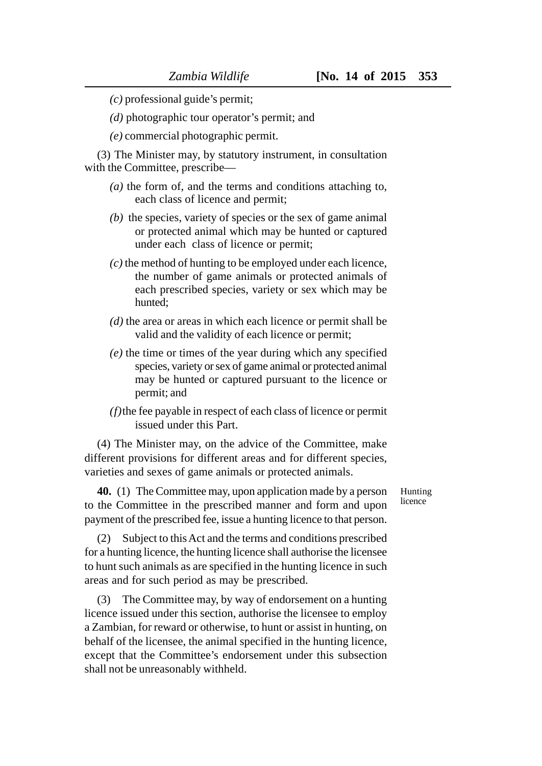*(c)* professional guide's permit;

*(d)* photographic tour operator's permit; and

*(e)* commercial photographic permit.

(3) The Minister may, by statutory instrument, in consultation with the Committee, prescribe—

- *(a)* the form of, and the terms and conditions attaching to, each class of licence and permit;
- *(b)* the species, variety of species or the sex of game animal or protected animal which may be hunted or captured under each class of licence or permit;
- *(c)* the method of hunting to be employed under each licence, the number of game animals or protected animals of each prescribed species, variety or sex which may be hunted;
- *(d)* the area or areas in which each licence or permit shall be valid and the validity of each licence or permit;
- *(e)* the time or times of the year during which any specified species, variety or sex of game animal or protected animal may be hunted or captured pursuant to the licence or permit; and
- *(f)*the fee payable in respect of each class of licence or permit issued under this Part.

(4) The Minister may, on the advice of the Committee, make different provisions for different areas and for different species, varieties and sexes of game animals or protected animals.

**40.** (1) The Committee may, upon application made by a person to the Committee in the prescribed manner and form and upon payment of the prescribed fee, issue a hunting licence to that person.

(2) Subject to this Act and the terms and conditions prescribed for a hunting licence, the hunting licence shall authorise the licensee to hunt such animals as are specified in the hunting licence in such areas and for such period as may be prescribed.

(3) The Committee may, by way of endorsement on a hunting licence issued under this section, authorise the licensee to employ a Zambian, for reward or otherwise, to hunt or assist in hunting, on behalf of the licensee, the animal specified in the hunting licence, except that the Committee's endorsement under this subsection shall not be unreasonably withheld.

Hunting **licence**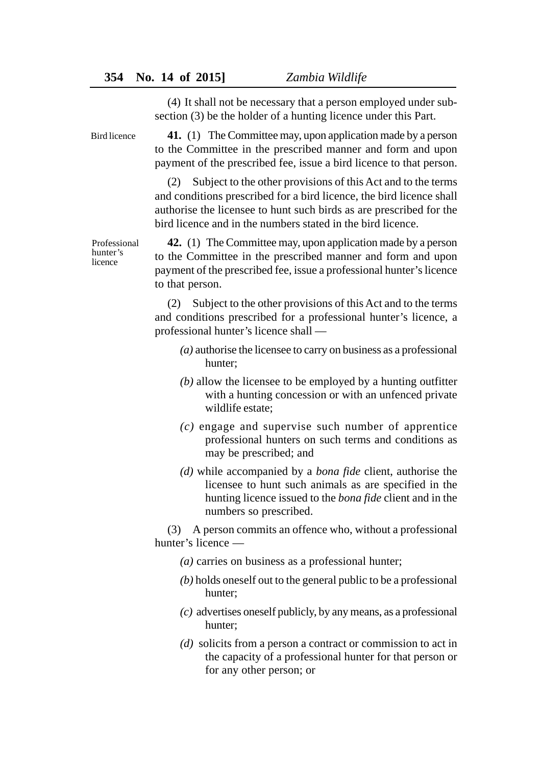(4) It shall not be necessary that a person employed under subsection (3) be the holder of a hunting licence under this Part.

Bird licence

**41.** (1) The Committee may, upon application made by a person to the Committee in the prescribed manner and form and upon payment of the prescribed fee, issue a bird licence to that person.

(2) Subject to the other provisions of this Act and to the terms and conditions prescribed for a bird licence, the bird licence shall authorise the licensee to hunt such birds as are prescribed for the bird licence and in the numbers stated in the bird licence.

**42.** (1) The Committee may, upon application made by a person to the Committee in the prescribed manner and form and upon payment of the prescribed fee, issue a professional hunter's licence to that person.

(2) Subject to the other provisions of this Act and to the terms and conditions prescribed for a professional hunter's licence, a professional hunter's licence shall —

- *(a)* authorise the licensee to carry on business as a professional hunter;
- *(b)* allow the licensee to be employed by a hunting outfitter with a hunting concession or with an unfenced private wildlife estate;
- *(c)* engage and supervise such number of apprentice professional hunters on such terms and conditions as may be prescribed; and
- *(d)* while accompanied by a *bona fide* client, authorise the licensee to hunt such animals as are specified in the hunting licence issued to the *bona fide* client and in the numbers so prescribed.

(3) A person commits an offence who, without a professional hunter's licence —

- *(a)* carries on business as a professional hunter;
- *(b)* holds oneself out to the general public to be a professional hunter;
- *(c)* advertises oneself publicly, by any means, as a professional hunter;
- *(d)* solicits from a person a contract or commission to act in the capacity of a professional hunter for that person or for any other person; or

Professional hunter's licence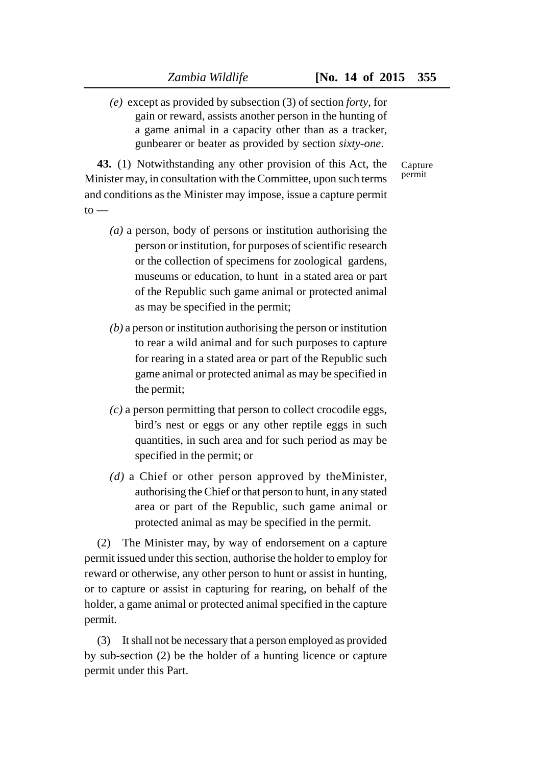*(e)* except as provided by subsection (3) of section *forty*, for gain or reward, assists another person in the hunting of a game animal in a capacity other than as a tracker, gunbearer or beater as provided by section *sixty-one*.

> Capture permit

**43.** (1) Notwithstanding any other provision of this Act, the Minister may, in consultation with the Committee, upon such terms and conditions as the Minister may impose, issue a capture permit  $to -$ 

- *(a)* a person, body of persons or institution authorising the person or institution, for purposes of scientific research or the collection of specimens for zoological gardens, museums or education, to hunt in a stated area or part of the Republic such game animal or protected animal as may be specified in the permit;
- *(b)* a person or institution authorising the person or institution to rear a wild animal and for such purposes to capture for rearing in a stated area or part of the Republic such game animal or protected animal as may be specified in the permit;
- *(c)* a person permitting that person to collect crocodile eggs, bird's nest or eggs or any other reptile eggs in such quantities, in such area and for such period as may be specified in the permit; or
- *(d)* a Chief or other person approved by theMinister, authorising the Chief or that person to hunt, in any stated area or part of the Republic, such game animal or protected animal as may be specified in the permit.

(2) The Minister may, by way of endorsement on a capture permit issued under this section, authorise the holder to employ for reward or otherwise, any other person to hunt or assist in hunting, or to capture or assist in capturing for rearing, on behalf of the holder, a game animal or protected animal specified in the capture permit.

(3) It shall not be necessary that a person employed as provided by sub-section (2) be the holder of a hunting licence or capture permit under this Part.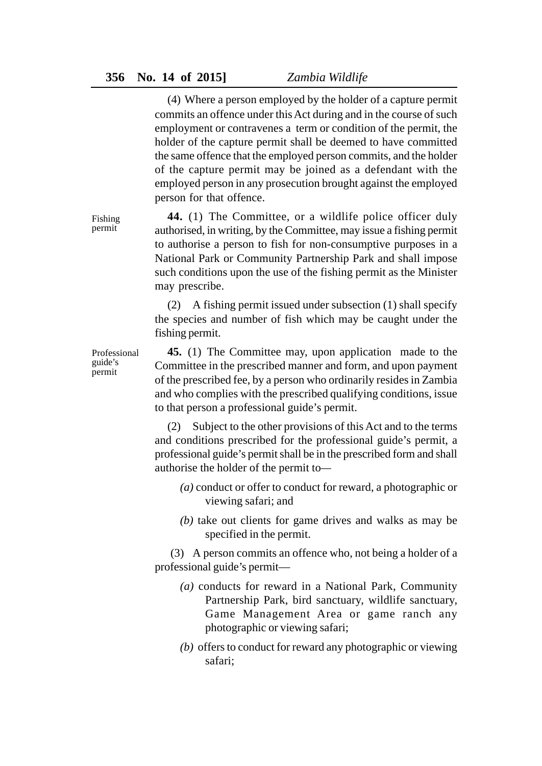(4) Where a person employed by the holder of a capture permit commits an offence under this Act during and in the course of such employment or contravenes a term or condition of the permit, the holder of the capture permit shall be deemed to have committed the same offence that the employed person commits, and the holder of the capture permit may be joined as a defendant with the employed person in any prosecution brought against the employed person for that offence.

**44.** (1) The Committee, or a wildlife police officer duly authorised, in writing, by the Committee, may issue a fishing permit to authorise a person to fish for non-consumptive purposes in a National Park or Community Partnership Park and shall impose such conditions upon the use of the fishing permit as the Minister may prescribe.

(2) A fishing permit issued under subsection (1) shall specify the species and number of fish which may be caught under the fishing permit.

Professional

**45.** (1) The Committee may, upon application made to the Committee in the prescribed manner and form, and upon payment of the prescribed fee, by a person who ordinarily resides in Zambia and who complies with the prescribed qualifying conditions, issue to that person a professional guide's permit.

(2) Subject to the other provisions of this Act and to the terms and conditions prescribed for the professional guide's permit, a professional guide's permit shall be in the prescribed form and shall authorise the holder of the permit to*—*

- *(a)* conduct or offer to conduct for reward, a photographic or viewing safari; and
- *(b)* take out clients for game drives and walks as may be specified in the permit.

 (3) A person commits an offence who, not being a holder of a professional guide's permit—

- *(a)* conducts for reward in a National Park, Community Partnership Park, bird sanctuary, wildlife sanctuary, Game Management Area or game ranch any photographic or viewing safari;
- *(b)* offers to conduct for reward any photographic or viewing safari;

guide's permit

Fishing permit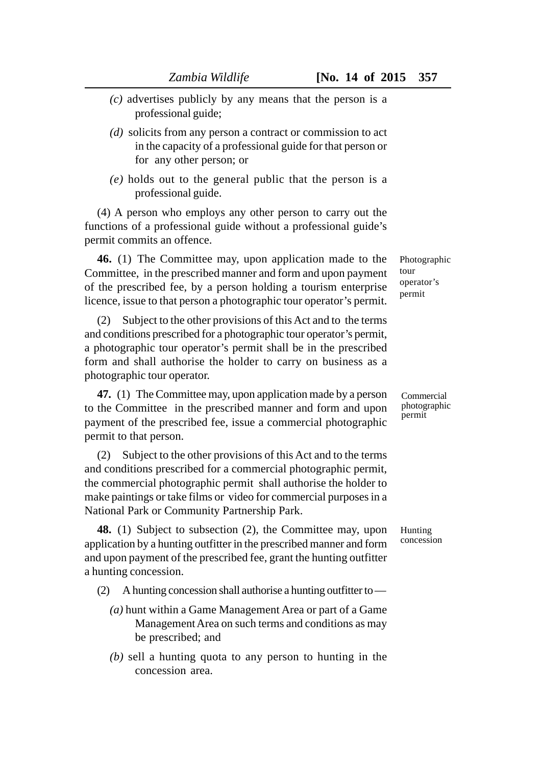- *(c)* advertises publicly by any means that the person is a professional guide;
- *(d)* solicits from any person a contract or commission to act in the capacity of a professional guide for that person or for any other person; or
- *(e)* holds out to the general public that the person is a professional guide.

(4) A person who employs any other person to carry out the functions of a professional guide without a professional guide's permit commits an offence.

**46.** (1) The Committee may, upon application made to the Committee, in the prescribed manner and form and upon payment of the prescribed fee, by a person holding a tourism enterprise licence, issue to that person a photographic tour operator's permit.

(2) Subject to the other provisions of this Act and to the terms and conditions prescribed for a photographic tour operator's permit, a photographic tour operator's permit shall be in the prescribed form and shall authorise the holder to carry on business as a photographic tour operator.

**47.** (1) The Committee may, upon application made by a person to the Committee in the prescribed manner and form and upon payment of the prescribed fee, issue a commercial photographic permit to that person.

(2) Subject to the other provisions of this Act and to the terms and conditions prescribed for a commercial photographic permit, the commercial photographic permit shall authorise the holder to make paintings or take films or video for commercial purposes in a National Park or Community Partnership Park.

**48.** (1) Subject to subsection (2), the Committee may, upon application by a hunting outfitter in the prescribed manner and form and upon payment of the prescribed fee, grant the hunting outfitter a hunting concession.

- (2) A hunting concession shall authorise a hunting outfitter to
	- *(a)* hunt within a Game Management Area or part of a Game Management Area on such terms and conditions as may be prescribed; and
	- *(b)* sell a hunting quota to any person to hunting in the concession area.

Photographic tour operator's permit

Commercial photographic permit

Hunting concession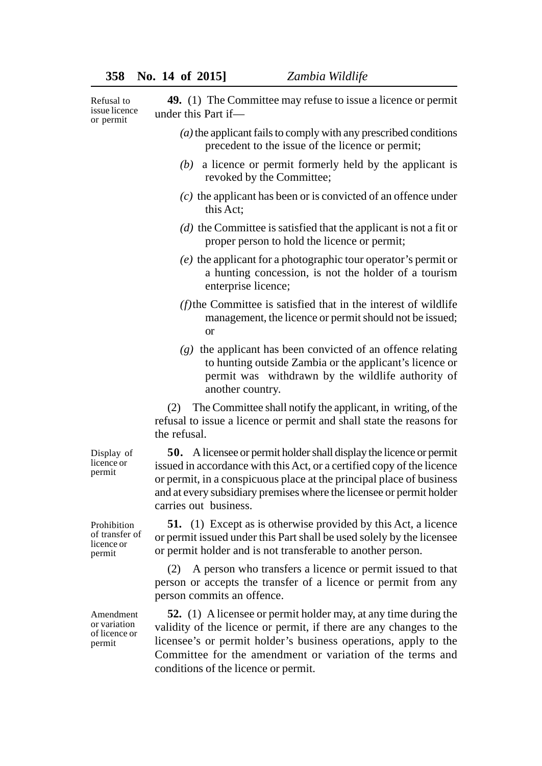Refusal to issue licence or permit

**49.** (1) The Committee may refuse to issue a licence or permit under this Part if— *(a)* the applicant fails to comply with any prescribed conditions precedent to the issue of the licence or permit; *(b)* a licence or permit formerly held by the applicant is revoked by the Committee;

- *(c)* the applicant has been or is convicted of an offence under this Act;
- *(d)* the Committee is satisfied that the applicant is not a fit or proper person to hold the licence or permit;
- *(e)* the applicant for a photographic tour operator's permit or a hunting concession, is not the holder of a tourism enterprise licence;
- *(f)*the Committee is satisfied that in the interest of wildlife management, the licence or permit should not be issued; or
- *(g)* the applicant has been convicted of an offence relating to hunting outside Zambia or the applicant's licence or permit was withdrawn by the wildlife authority of another country.

(2) The Committee shall notify the applicant, in writing, of the refusal to issue a licence or permit and shall state the reasons for the refusal.

**50.** A licensee or permit holder shall display the licence or permit issued in accordance with this Act, or a certified copy of the licence or permit, in a conspicuous place at the principal place of business and at every subsidiary premises where the licensee or permit holder carries out business.

**51.** (1) Except as is otherwise provided by this Act, a licence or permit issued under this Part shall be used solely by the licensee or permit holder and is not transferable to another person.

(2) A person who transfers a licence or permit issued to that person or accepts the transfer of a licence or permit from any person commits an offence.

**52.** (1) A licensee or permit holder may, at any time during the validity of the licence or permit, if there are any changes to the licensee's or permit holder's business operations, apply to the Committee for the amendment or variation of the terms and conditions of the licence or permit.

Display of licence or permit

Prohibition of transfer of licence or permit

Amendment or variation of licence or permit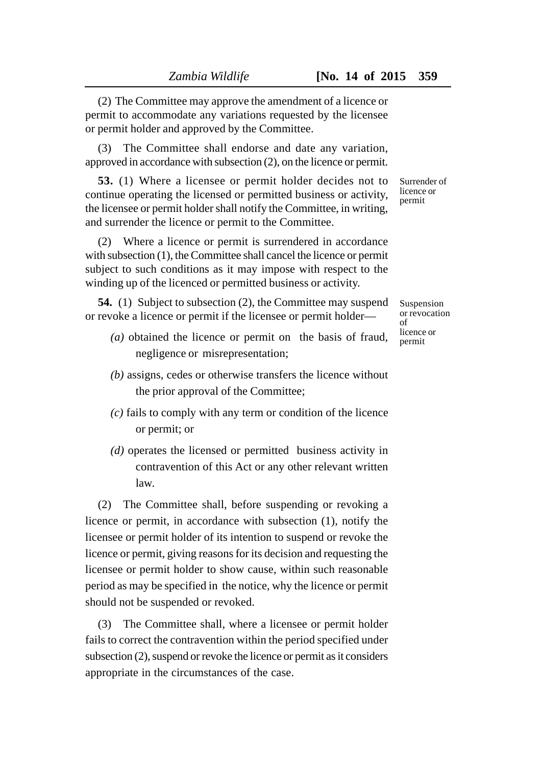(2) The Committee may approve the amendment of a licence or permit to accommodate any variations requested by the licensee or permit holder and approved by the Committee.

(3) The Committee shall endorse and date any variation, approved in accordance with subsection (2), on the licence or permit.

**53.** (1) Where a licensee or permit holder decides not to continue operating the licensed or permitted business or activity, the licensee or permit holder shall notify the Committee, in writing, and surrender the licence or permit to the Committee.

(2) Where a licence or permit is surrendered in accordance with subsection (1), the Committee shall cancel the licence or permit subject to such conditions as it may impose with respect to the winding up of the licenced or permitted business or activity.

**54.** (1) Subject to subsection (2), the Committee may suspend or revoke a licence or permit if the licensee or permit holder—

- *(a)* obtained the licence or permit on the basis of fraud, negligence or misrepresentation;
- *(b)* assigns, cedes or otherwise transfers the licence without the prior approval of the Committee;
- *(c)* fails to comply with any term or condition of the licence or permit; or
- *(d)* operates the licensed or permitted business activity in contravention of this Act or any other relevant written law.

(2) The Committee shall, before suspending or revoking a licence or permit, in accordance with subsection (1), notify the licensee or permit holder of its intention to suspend or revoke the licence or permit, giving reasons for its decision and requesting the licensee or permit holder to show cause, within such reasonable period as may be specified in the notice, why the licence or permit should not be suspended or revoked.

(3) The Committee shall, where a licensee or permit holder fails to correct the contravention within the period specified under subsection (2), suspend or revoke the licence or permit as it considers appropriate in the circumstances of the case.

Surrender of licence or permit

Suspension or revocation  $\alpha$ f licence or permit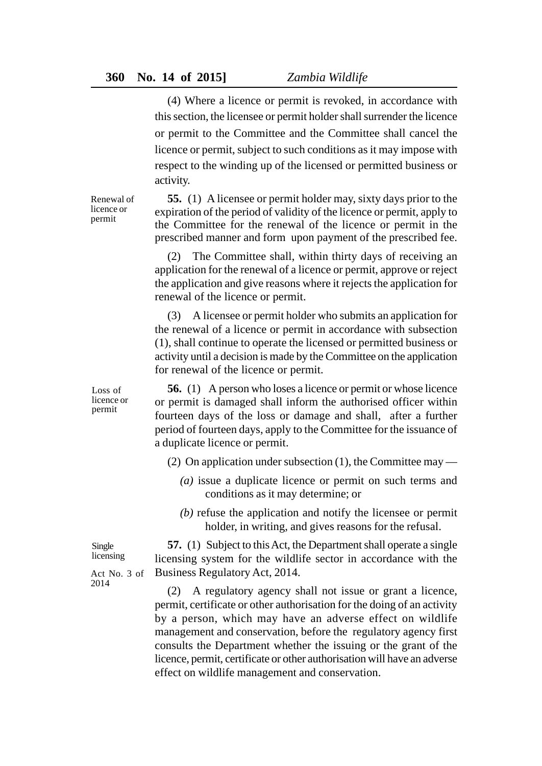(4) Where a licence or permit is revoked, in accordance with this section, the licensee or permit holder shall surrender the licence or permit to the Committee and the Committee shall cancel the licence or permit, subject to such conditions as it may impose with respect to the winding up of the licensed or permitted business or activity.

**55.** (1) A licensee or permit holder may, sixty days prior to the expiration of the period of validity of the licence or permit, apply to the Committee for the renewal of the licence or permit in the prescribed manner and form upon payment of the prescribed fee.

(2) The Committee shall, within thirty days of receiving an application for the renewal of a licence or permit, approve or reject the application and give reasons where it rejects the application for renewal of the licence or permit.

(3) A licensee or permit holder who submits an application for the renewal of a licence or permit in accordance with subsection (1), shall continue to operate the licensed or permitted business or activity until a decision is made by the Committee on the application for renewal of the licence or permit.

**56.** (1) A person who loses a licence or permit or whose licence or permit is damaged shall inform the authorised officer within fourteen days of the loss or damage and shall, after a further period of fourteen days, apply to the Committee for the issuance of a duplicate licence or permit.

(2) On application under subsection (1), the Committee may —

- *(a)* issue a duplicate licence or permit on such terms and conditions as it may determine; or
- *(b)* refuse the application and notify the licensee or permit holder, in writing, and gives reasons for the refusal.

**57.** (1) Subject to this Act, the Department shall operate a single licensing system for the wildlife sector in accordance with the Business Regulatory Act, 2014.

(2) A regulatory agency shall not issue or grant a licence, permit, certificate or other authorisation for the doing of an activity by a person, which may have an adverse effect on wildlife management and conservation, before the regulatory agency first consults the Department whether the issuing or the grant of the licence, permit, certificate or other authorisation will have an adverse effect on wildlife management and conservation.

Renewal of licence or permit

Loss of licence or permit

Single licensing

Act No. 3 of 2014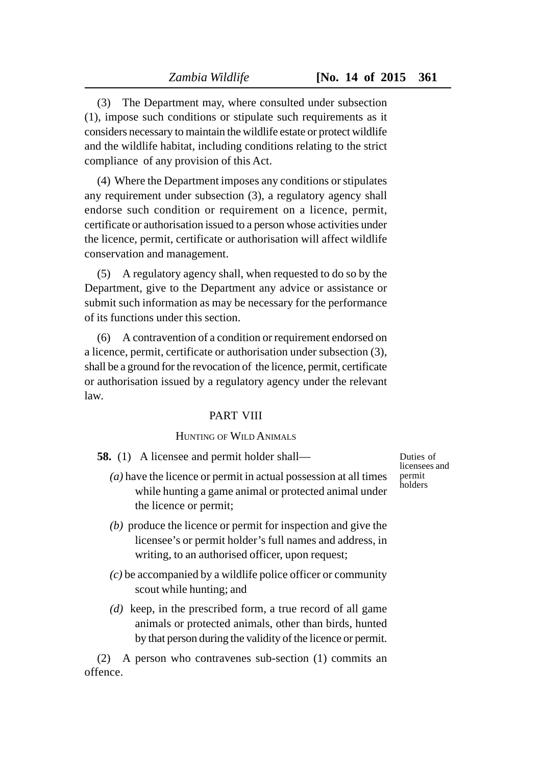(3) The Department may, where consulted under subsection (1), impose such conditions or stipulate such requirements as it considers necessary to maintain the wildlife estate or protect wildlife and the wildlife habitat, including conditions relating to the strict compliance of any provision of this Act.

(4) Where the Department imposes any conditions or stipulates any requirement under subsection (3), a regulatory agency shall endorse such condition or requirement on a licence, permit, certificate or authorisation issued to a person whose activities under the licence, permit, certificate or authorisation will affect wildlife conservation and management.

(5) A regulatory agency shall, when requested to do so by the Department, give to the Department any advice or assistance or submit such information as may be necessary for the performance of its functions under this section.

(6) A contravention of a condition or requirement endorsed on a licence, permit, certificate or authorisation under subsection (3), shall be a ground for the revocation of the licence, permit, certificate or authorisation issued by a regulatory agency under the relevant law.

# PART VIII

# HUNTING OF WILD ANIMALS

**58.** (1) A licensee and permit holder shall—

- *(a)* have the licence or permit in actual possession at all times while hunting a game animal or protected animal under the licence or permit;
- *(b)* produce the licence or permit for inspection and give the licensee's or permit holder's full names and address, in writing, to an authorised officer, upon request;
- *(c)* be accompanied by a wildlife police officer or community scout while hunting; and
- *(d)* keep, in the prescribed form, a true record of all game animals or protected animals, other than birds, hunted by that person during the validity of the licence or permit.

(2) A person who contravenes sub-section (1) commits an offence.

Duties of licensees and permit holders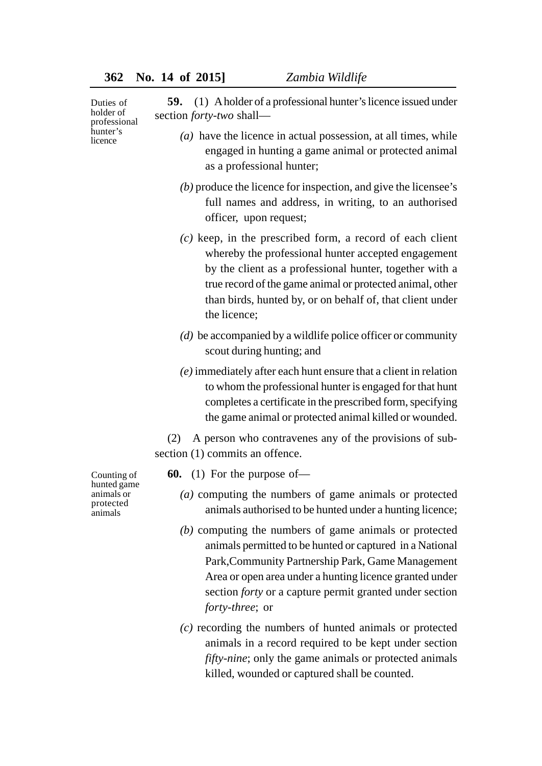| Duties of<br>holder of<br>professional<br>hunter's<br>licence    | (1) A holder of a professional hunter's licence issued under<br>59.<br>section <i>forty-two</i> shall-                                                                                                                                                                                                                  |
|------------------------------------------------------------------|-------------------------------------------------------------------------------------------------------------------------------------------------------------------------------------------------------------------------------------------------------------------------------------------------------------------------|
|                                                                  | $(a)$ have the licence in actual possession, at all times, while<br>engaged in hunting a game animal or protected animal<br>as a professional hunter;                                                                                                                                                                   |
|                                                                  | $(b)$ produce the licence for inspection, and give the licensee's<br>full names and address, in writing, to an authorised<br>officer, upon request;                                                                                                                                                                     |
|                                                                  | $(c)$ keep, in the prescribed form, a record of each client<br>whereby the professional hunter accepted engagement<br>by the client as a professional hunter, together with a<br>true record of the game animal or protected animal, other<br>than birds, hunted by, or on behalf of, that client under<br>the licence; |
|                                                                  | $(d)$ be accompanied by a wildlife police officer or community<br>scout during hunting; and                                                                                                                                                                                                                             |
|                                                                  | $(e)$ immediately after each hunt ensure that a client in relation<br>to whom the professional hunter is engaged for that hunt<br>completes a certificate in the prescribed form, specifying<br>the game animal or protected animal killed or wounded.                                                                  |
|                                                                  | A person who contravenes any of the provisions of sub-<br>(2)<br>section (1) commits an offence.                                                                                                                                                                                                                        |
| Counting of<br>hunted game<br>animals or<br>protected<br>animals | <b>60.</b> (1) For the purpose of—                                                                                                                                                                                                                                                                                      |
|                                                                  | $(a)$ computing the numbers of game animals or protected<br>animals authorised to be hunted under a hunting licence;                                                                                                                                                                                                    |
|                                                                  | $(b)$ computing the numbers of game animals or protected<br>animals permitted to be hunted or captured in a National<br>Park, Community Partnership Park, Game Management<br>Area or open area under a hunting licence granted under<br>section forty or a capture permit granted under section                         |

*forty-three*; or

*(c)* recording the numbers of hunted animals or protected animals in a record required to be kept under section *fifty-nine*; only the game animals or protected animals killed, wounded or captured shall be counted.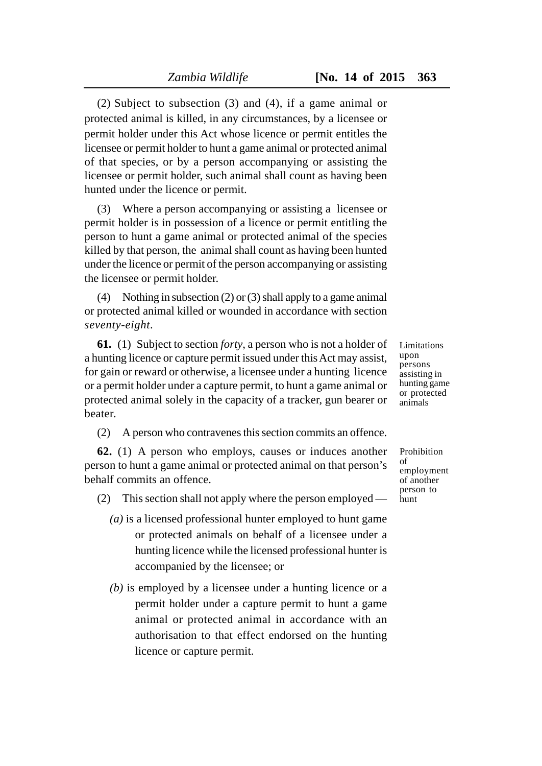(2) Subject to subsection (3) and (4), if a game animal or protected animal is killed, in any circumstances, by a licensee or permit holder under this Act whose licence or permit entitles the licensee or permit holder to hunt a game animal or protected animal of that species, or by a person accompanying or assisting the licensee or permit holder, such animal shall count as having been hunted under the licence or permit.

(3) Where a person accompanying or assisting a licensee or permit holder is in possession of a licence or permit entitling the person to hunt a game animal or protected animal of the species killed by that person, the animal shall count as having been hunted under the licence or permit of the person accompanying or assisting the licensee or permit holder.

(4) Nothing in subsection (2) or (3) shall apply to a game animal or protected animal killed or wounded in accordance with section *seventy-eight*.

**61.** (1) Subject to section *forty*, a person who is not a holder of a hunting licence or capture permit issued under this Act may assist, for gain or reward or otherwise, a licensee under a hunting licence or a permit holder under a capture permit, to hunt a game animal or protected animal solely in the capacity of a tracker, gun bearer or beater.

(2) A person who contravenes this section commits an offence.

**62.** (1) A person who employs, causes or induces another person to hunt a game animal or protected animal on that person's behalf commits an offence.

(2) This section shall not apply where the person employed —

- *(a)* is a licensed professional hunter employed to hunt game or protected animals on behalf of a licensee under a hunting licence while the licensed professional hunter is accompanied by the licensee; or
- *(b)* is employed by a licensee under a hunting licence or a permit holder under a capture permit to hunt a game animal or protected animal in accordance with an authorisation to that effect endorsed on the hunting licence or capture permit.

Limitations upon persons assisting in hunting game or protected animals

Prohibition of employment of another person to hunt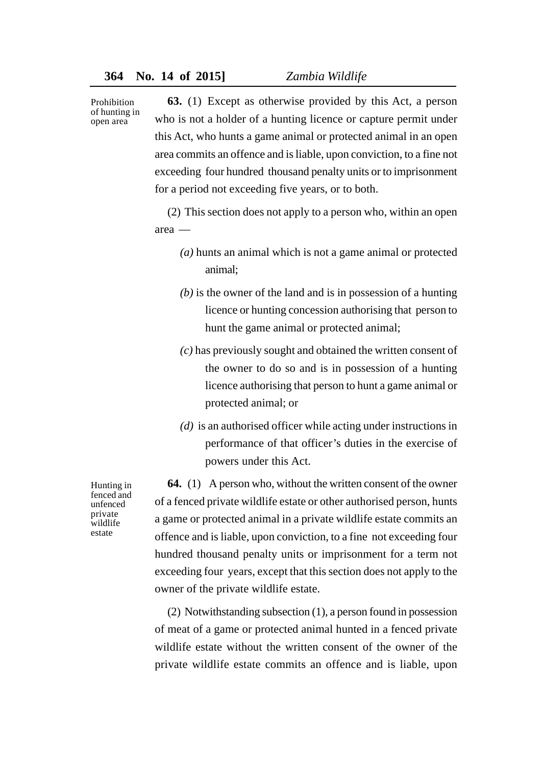Prohibition of hunting in open area

**63.** (1) Except as otherwise provided by this Act, a person who is not a holder of a hunting licence or capture permit under this Act, who hunts a game animal or protected animal in an open area commits an offence and is liable, upon conviction, to a fine not exceeding four hundred thousand penalty units or to imprisonment for a period not exceeding five years, or to both.

(2) This section does not apply to a person who, within an open area —

- *(a)* hunts an animal which is not a game animal or protected animal;
- *(b)* is the owner of the land and is in possession of a hunting licence or hunting concession authorising that person to hunt the game animal or protected animal;
- *(c)* has previously sought and obtained the written consent of the owner to do so and is in possession of a hunting licence authorising that person to hunt a game animal or protected animal; or
- *(d)* is an authorised officer while acting under instructions in performance of that officer's duties in the exercise of powers under this Act.

Hunting in fenced and unfenced private wildlife estate

**64.** (1) A person who, without the written consent of the owner of a fenced private wildlife estate or other authorised person, hunts a game or protected animal in a private wildlife estate commits an offence and is liable, upon conviction, to a fine not exceeding four hundred thousand penalty units or imprisonment for a term not exceeding four years, except that this section does not apply to the owner of the private wildlife estate.

(2) Notwithstanding subsection (1), a person found in possession of meat of a game or protected animal hunted in a fenced private wildlife estate without the written consent of the owner of the private wildlife estate commits an offence and is liable, upon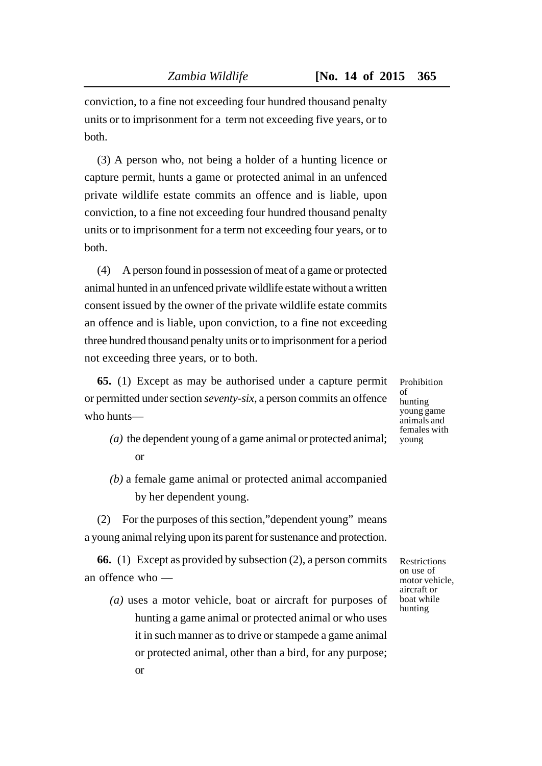conviction, to a fine not exceeding four hundred thousand penalty units or to imprisonment for a term not exceeding five years, or to both.

(3) A person who, not being a holder of a hunting licence or capture permit, hunts a game or protected animal in an unfenced private wildlife estate commits an offence and is liable, upon conviction, to a fine not exceeding four hundred thousand penalty units or to imprisonment for a term not exceeding four years, or to both.

(4) A person found in possession of meat of a game or protected animal hunted in an unfenced private wildlife estate without a written consent issued by the owner of the private wildlife estate commits an offence and is liable, upon conviction, to a fine not exceeding three hundred thousand penalty units or to imprisonment for a period not exceeding three years, or to both.

**65.** (1) Except as may be authorised under a capture permit or permitted under section *seventy-six*, a person commits an offence who hunts—

- *(a)* the dependent young of a game animal or protected animal; or
- *(b)* a female game animal or protected animal accompanied by her dependent young.

(2) For the purposes of this section,"dependent young" means a young animal relying upon its parent for sustenance and protection.

**66.** (1) Except as provided by subsection (2), a person commits an offence who —

*(a)* uses a motor vehicle, boat or aircraft for purposes of hunting a game animal or protected animal or who uses it in such manner as to drive or stampede a game animal or protected animal, other than a bird, for any purpose; or

Restrictions on use of motor vehicle, aircraft or boat while hunting

Prohibition of hunting young game animals and females with young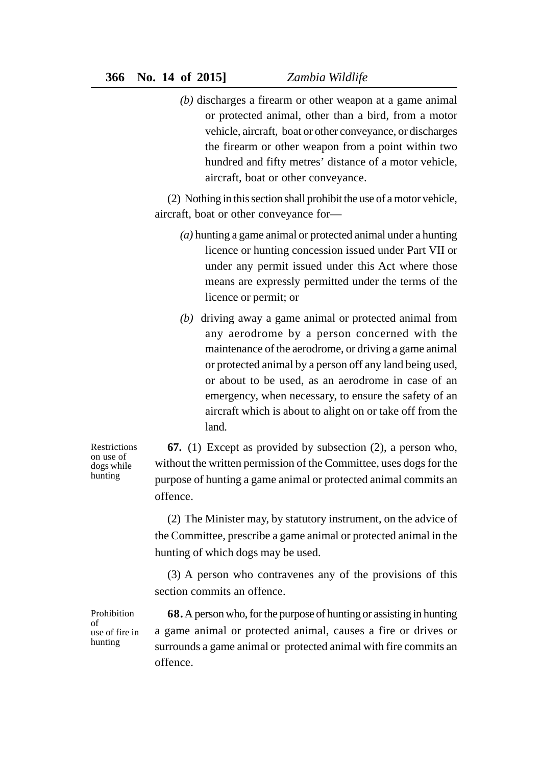*(b)* discharges a firearm or other weapon at a game animal or protected animal, other than a bird, from a motor vehicle, aircraft, boat or other conveyance, or discharges the firearm or other weapon from a point within two hundred and fifty metres' distance of a motor vehicle, aircraft, boat or other conveyance.

(2) Nothing in this section shall prohibit the use of a motor vehicle, aircraft, boat or other conveyance for—

- *(a)* hunting a game animal or protected animal under a hunting licence or hunting concession issued under Part VII or under any permit issued under this Act where those means are expressly permitted under the terms of the licence or permit; or
- *(b)* driving away a game animal or protected animal from any aerodrome by a person concerned with the maintenance of the aerodrome, or driving a game animal or protected animal by a person off any land being used, or about to be used, as an aerodrome in case of an emergency, when necessary, to ensure the safety of an aircraft which is about to alight on or take off from the land.

**Restrictions** on use of dogs while hunting

**67.** (1) Except as provided by subsection (2), a person who, without the written permission of the Committee, uses dogs for the purpose of hunting a game animal or protected animal commits an offence.

(2) The Minister may, by statutory instrument, on the advice of the Committee, prescribe a game animal or protected animal in the hunting of which dogs may be used.

(3) A person who contravenes any of the provisions of this section commits an offence.

**Prohibition** of use of fire in hunting

**68.**A person who, for the purpose of hunting or assisting in hunting a game animal or protected animal, causes a fire or drives or surrounds a game animal or protected animal with fire commits an offence.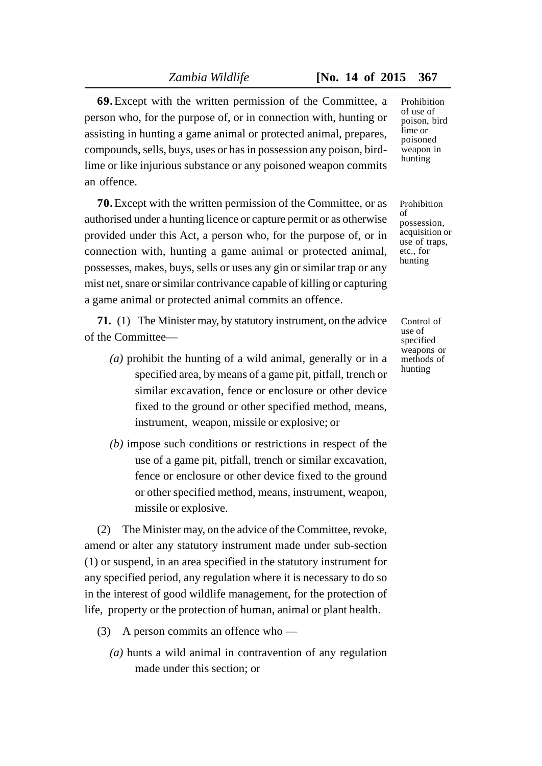**69.**Except with the written permission of the Committee, a person who, for the purpose of, or in connection with, hunting or assisting in hunting a game animal or protected animal, prepares, compounds, sells, buys, uses or has in possession any poison, birdlime or like injurious substance or any poisoned weapon commits an offence.

**70.**Except with the written permission of the Committee, or as authorised under a hunting licence or capture permit or as otherwise provided under this Act, a person who, for the purpose of, or in connection with, hunting a game animal or protected animal, possesses, makes, buys, sells or uses any gin or similar trap or any mist net, snare or similar contrivance capable of killing or capturing a game animal or protected animal commits an offence.

**71.** (1) The Minister may, by statutory instrument, on the advice of the Committee—

- *(a)* prohibit the hunting of a wild animal, generally or in a specified area, by means of a game pit, pitfall, trench or similar excavation, fence or enclosure or other device fixed to the ground or other specified method, means, instrument, weapon, missile or explosive; or
- *(b)* impose such conditions or restrictions in respect of the use of a game pit, pitfall, trench or similar excavation, fence or enclosure or other device fixed to the ground or other specified method, means, instrument, weapon, missile or explosive.

(2) The Minister may, on the advice of the Committee, revoke, amend or alter any statutory instrument made under sub-section (1) or suspend, in an area specified in the statutory instrument for any specified period, any regulation where it is necessary to do so in the interest of good wildlife management, for the protection of life, property or the protection of human, animal or plant health.

- (3) A person commits an offence who
	- *(a)* hunts a wild animal in contravention of any regulation made under this section; or

**Prohibition** of use of poison, bird lime or poisoned weapon in hunting

Prohibition of possession, acquisition or use of traps, etc., for hunting

Control of use of specified weapons or methods of hunting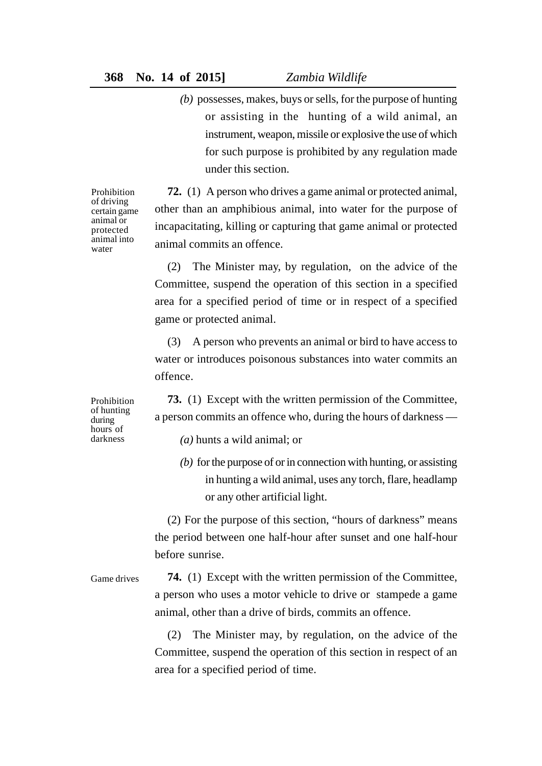*(b)* possesses, makes, buys or sells, for the purpose of hunting or assisting in the hunting of a wild animal, an instrument, weapon, missile or explosive the use of which for such purpose is prohibited by any regulation made under this section.

**72.** (1) A person who drives a game animal or protected animal, other than an amphibious animal, into water for the purpose of incapacitating, killing or capturing that game animal or protected animal commits an offence.

(2) The Minister may, by regulation, on the advice of the Committee, suspend the operation of this section in a specified area for a specified period of time or in respect of a specified game or protected animal.

(3) A person who prevents an animal or bird to have access to water or introduces poisonous substances into water commits an offence.

**73.** (1) Except with the written permission of the Committee, a person commits an offence who, during the hours of darkness —

*(a)* hunts a wild animal; or

*(b)* for the purpose of or in connection with hunting, or assisting in hunting a wild animal, uses any torch, flare, headlamp or any other artificial light.

(2) For the purpose of this section, "hours of darkness" means the period between one half-hour after sunset and one half-hour before sunrise.

**74.** (1) Except with the written permission of the Committee, a person who uses a motor vehicle to drive or stampede a game animal, other than a drive of birds, commits an offence. Game drives

> (2) The Minister may, by regulation, on the advice of the Committee, suspend the operation of this section in respect of an area for a specified period of time.

Prohibition of driving certain game animal or protected animal into water

Prohibition of hunting during hours of darkness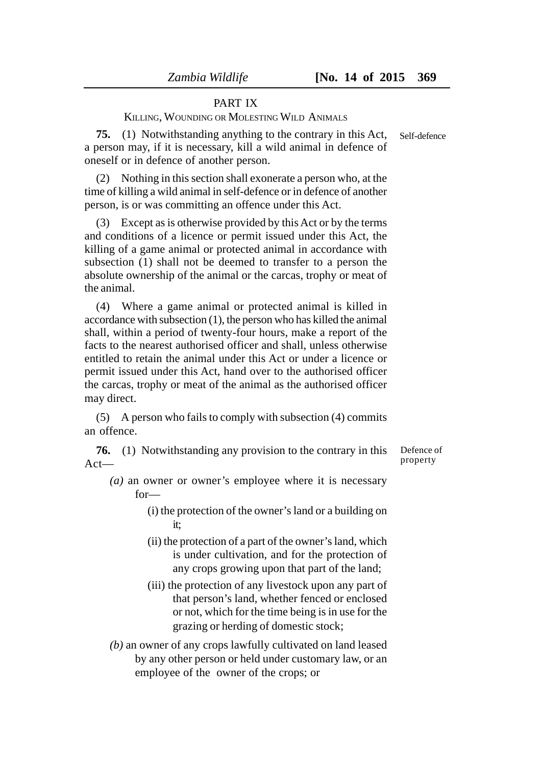# PART IX

KILLING, WOUNDING OR MOLESTING WILD ANIMALS

**75.** (1) Notwithstanding anything to the contrary in this Act, a person may, if it is necessary, kill a wild animal in defence of oneself or in defence of another person.

(2) Nothing in this section shall exonerate a person who, at the time of killing a wild animal in self-defence or in defence of another person, is or was committing an offence under this Act.

(3) Except as is otherwise provided by this Act or by the terms and conditions of a licence or permit issued under this Act, the killing of a game animal or protected animal in accordance with subsection (1) shall not be deemed to transfer to a person the absolute ownership of the animal or the carcas, trophy or meat of the animal.

(4) Where a game animal or protected animal is killed in accordance with subsection (1), the person who has killed the animal shall, within a period of twenty-four hours, make a report of the facts to the nearest authorised officer and shall, unless otherwise entitled to retain the animal under this Act or under a licence or permit issued under this Act, hand over to the authorised officer the carcas, trophy or meat of the animal as the authorised officer may direct.

(5) A person who fails to comply with subsection (4) commits an offence.

**76.** (1) Notwithstanding any provision to the contrary in this ActDefence of property

- *(a)* an owner or owner's employee where it is necessary for—
	- (i) the protection of the owner's land or a building on it;
	- (ii) the protection of a part of the owner's land, which is under cultivation, and for the protection of any crops growing upon that part of the land;
	- (iii) the protection of any livestock upon any part of that person's land, whether fenced or enclosed or not, which for the time being is in use for the grazing or herding of domestic stock;
- *(b)* an owner of any crops lawfully cultivated on land leased by any other person or held under customary law, or an employee of the owner of the crops; or

Self-defence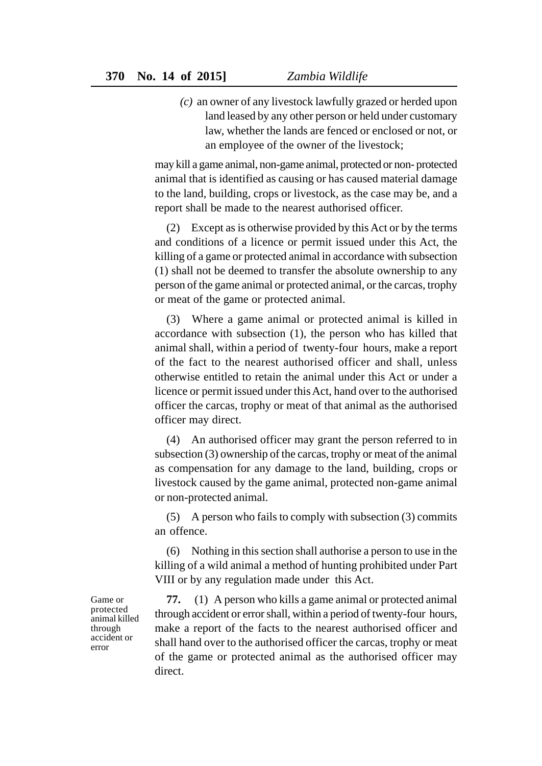*(c)* an owner of any livestock lawfully grazed or herded upon land leased by any other person or held under customary law, whether the lands are fenced or enclosed or not, or an employee of the owner of the livestock;

may kill a game animal, non-game animal, protected or non- protected animal that is identified as causing or has caused material damage to the land, building, crops or livestock, as the case may be, and a report shall be made to the nearest authorised officer.

(2) Except as is otherwise provided by this Act or by the terms and conditions of a licence or permit issued under this Act, the killing of a game or protected animal in accordance with subsection (1) shall not be deemed to transfer the absolute ownership to any person of the game animal or protected animal, or the carcas, trophy or meat of the game or protected animal.

(3) Where a game animal or protected animal is killed in accordance with subsection (1), the person who has killed that animal shall, within a period of twenty-four hours, make a report of the fact to the nearest authorised officer and shall, unless otherwise entitled to retain the animal under this Act or under a licence or permit issued under this Act, hand over to the authorised officer the carcas, trophy or meat of that animal as the authorised officer may direct.

(4) An authorised officer may grant the person referred to in subsection (3) ownership of the carcas, trophy or meat of the animal as compensation for any damage to the land, building, crops or livestock caused by the game animal, protected non-game animal or non-protected animal.

(5) A person who fails to comply with subsection (3) commits an offence.

(6) Nothing in this section shall authorise a person to use in the killing of a wild animal a method of hunting prohibited under Part VIII or by any regulation made under this Act.

**77.** (1) A person who kills a game animal or protected animal through accident or error shall, within a period of twenty-four hours, make a report of the facts to the nearest authorised officer and shall hand over to the authorised officer the carcas, trophy or meat of the game or protected animal as the authorised officer may direct.

Game or protected animal killed through accident or error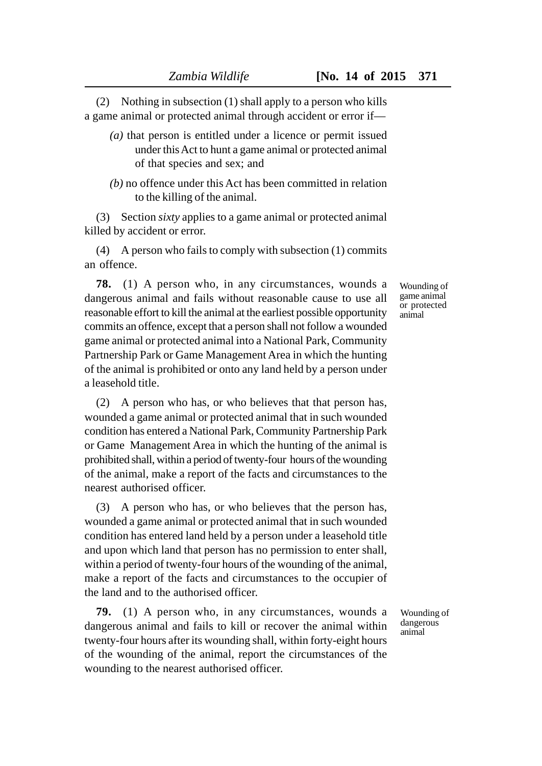(2) Nothing in subsection (1) shall apply to a person who kills a game animal or protected animal through accident or error if—

- *(a)* that person is entitled under a licence or permit issued under this Act to hunt a game animal or protected animal of that species and sex; and
- *(b)* no offence under this Act has been committed in relation to the killing of the animal.

(3) Section *sixty* applies to a game animal or protected animal killed by accident or error.

(4) A person who fails to comply with subsection (1) commits an offence.

**78.** (1) A person who, in any circumstances, wounds a dangerous animal and fails without reasonable cause to use all reasonable effort to kill the animal at the earliest possible opportunity commits an offence, except that a person shall not follow a wounded game animal or protected animal into a National Park, Community Partnership Park or Game Management Area in which the hunting of the animal is prohibited or onto any land held by a person under a leasehold title.

(2) A person who has, or who believes that that person has, wounded a game animal or protected animal that in such wounded condition has entered a National Park, Community Partnership Park or Game Management Area in which the hunting of the animal is prohibited shall, within a period of twenty-four hours of the wounding of the animal, make a report of the facts and circumstances to the nearest authorised officer.

(3) A person who has, or who believes that the person has, wounded a game animal or protected animal that in such wounded condition has entered land held by a person under a leasehold title and upon which land that person has no permission to enter shall, within a period of twenty-four hours of the wounding of the animal, make a report of the facts and circumstances to the occupier of the land and to the authorised officer.

**79.** (1) A person who, in any circumstances, wounds a dangerous animal and fails to kill or recover the animal within twenty-four hours after its wounding shall, within forty-eight hours of the wounding of the animal, report the circumstances of the wounding to the nearest authorised officer.

Wounding of game animal or protected animal

Wounding of dangerous animal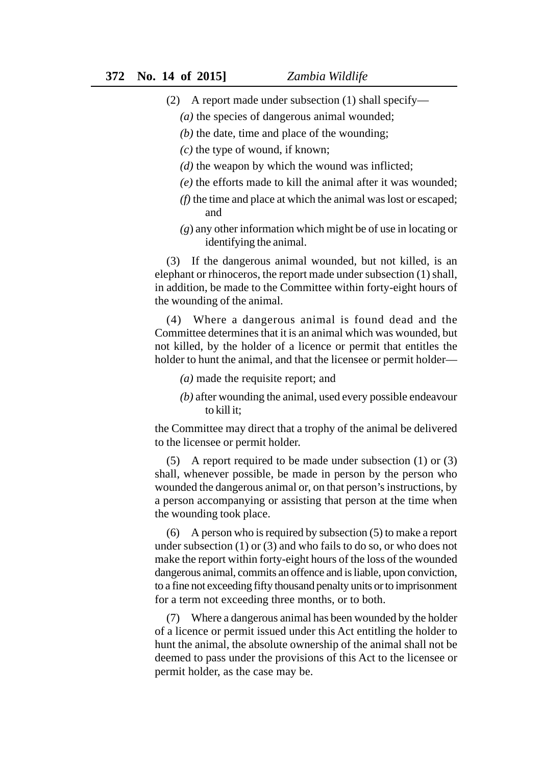- (2) A report made under subsection (1) shall specify—
	- *(a)* the species of dangerous animal wounded;
	- *(b)* the date, time and place of the wounding;
	- *(c)* the type of wound, if known;
	- *(d)* the weapon by which the wound was inflicted;
	- *(e)* the efforts made to kill the animal after it was wounded;
	- *(f)* the time and place at which the animal was lost or escaped; and
	- *(g*) any other information which might be of use in locating or identifying the animal.

(3) If the dangerous animal wounded, but not killed, is an elephant or rhinoceros, the report made under subsection (1) shall, in addition, be made to the Committee within forty-eight hours of the wounding of the animal.

(4) Where a dangerous animal is found dead and the Committee determines that it is an animal which was wounded, but not killed, by the holder of a licence or permit that entitles the holder to hunt the animal, and that the licensee or permit holder—

*(a)* made the requisite report; and

*(b)* after wounding the animal, used every possible endeavour to kill it;

the Committee may direct that a trophy of the animal be delivered to the licensee or permit holder.

(5) A report required to be made under subsection (1) or (3) shall, whenever possible, be made in person by the person who wounded the dangerous animal or, on that person's instructions, by a person accompanying or assisting that person at the time when the wounding took place.

(6) A person who is required by subsection (5) to make a report under subsection (1) or (3) and who fails to do so, or who does not make the report within forty-eight hours of the loss of the wounded dangerous animal, commits an offence and is liable, upon conviction, to a fine not exceeding fifty thousand penalty units or to imprisonment for a term not exceeding three months, or to both.

(7) Where a dangerous animal has been wounded by the holder of a licence or permit issued under this Act entitling the holder to hunt the animal, the absolute ownership of the animal shall not be deemed to pass under the provisions of this Act to the licensee or permit holder, as the case may be.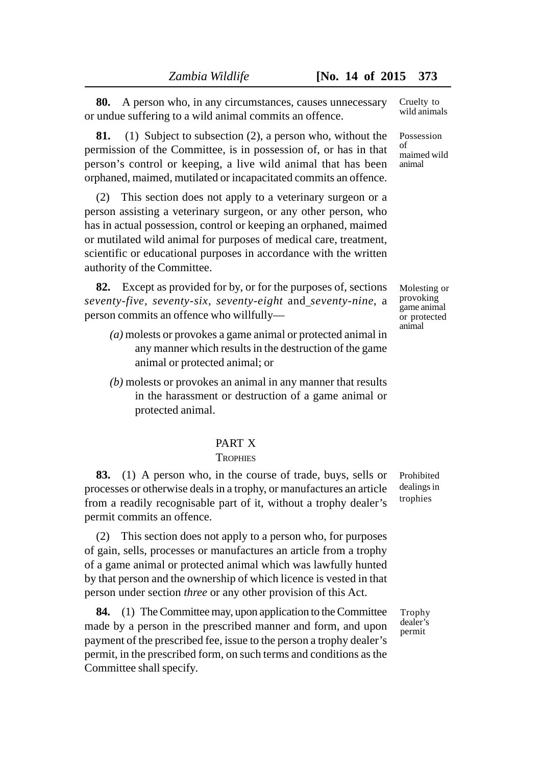**80.** A person who, in any circumstances, causes unnecessary or undue suffering to a wild animal commits an offence.

**81.** (1) Subject to subsection (2), a person who, without the permission of the Committee, is in possession of, or has in that person's control or keeping, a live wild animal that has been orphaned, maimed, mutilated or incapacitated commits an offence.

(2) This section does not apply to a veterinary surgeon or a person assisting a veterinary surgeon, or any other person, who has in actual possession, control or keeping an orphaned, maimed or mutilated wild animal for purposes of medical care, treatment, scientific or educational purposes in accordance with the written authority of the Committee.

**82.** Except as provided for by, or for the purposes of, sections *seventy-five, seventy-six, seventy-eight* and *seventy-nine*, a person commits an offence who willfully—

- *(a)* molests or provokes a game animal or protected animal in any manner which results in the destruction of the game animal or protected animal; or
- *(b)* molests or provokes an animal in any manner that results in the harassment or destruction of a game animal or protected animal.

# PART X

#### **TROPHIES**

**83.** (1) A person who, in the course of trade, buys, sells or processes or otherwise deals in a trophy, or manufactures an article from a readily recognisable part of it, without a trophy dealer's permit commits an offence.

(2) This section does not apply to a person who, for purposes of gain, sells, processes or manufactures an article from a trophy of a game animal or protected animal which was lawfully hunted by that person and the ownership of which licence is vested in that person under section *three* or any other provision of this Act.

**84.** (1) The Committee may, upon application to the Committee made by a person in the prescribed manner and form, and upon payment of the prescribed fee, issue to the person a trophy dealer's permit, in the prescribed form, on such terms and conditions as the Committee shall specify.

Prohibited dealings in trophies

Possession of maimed wild animal

Cruelty to wild animals

Molesting or provoking game animal or protected animal

Trophy dealer's permit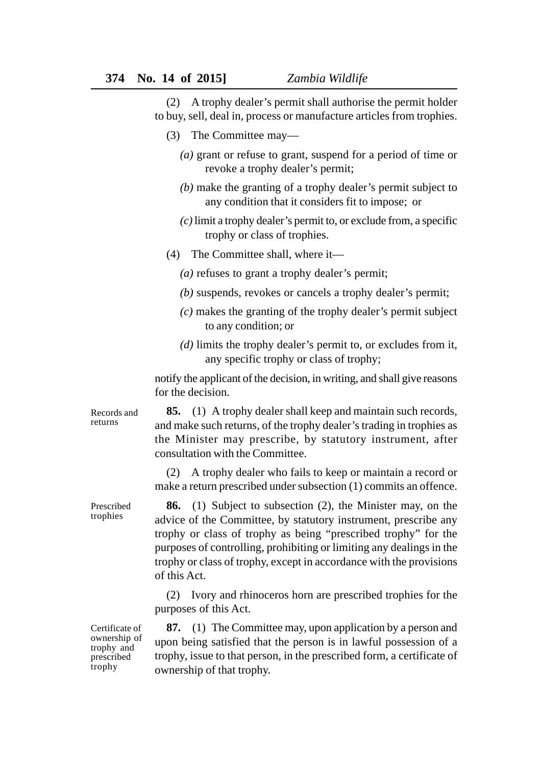(2) A trophy dealer's permit shall authorise the permit holder to buy, sell, deal in, process or manufacture articles from trophies.

- (3) The Committee may—
	- *(a)* grant or refuse to grant, suspend for a period of time or revoke a trophy dealer's permit;
	- *(b)* make the granting of a trophy dealer's permit subject to any condition that it considers fit to impose; or
	- *(c)* limit a trophy dealer's permit to, or exclude from, a specific trophy or class of trophies.
- (4) The Committee shall, where it—
	- *(a)* refuses to grant a trophy dealer's permit;
	- *(b)* suspends, revokes or cancels a trophy dealer's permit;
	- *(c)* makes the granting of the trophy dealer's permit subject to any condition; or
	- *(d)* limits the trophy dealer's permit to, or excludes from it, any specific trophy or class of trophy;

notify the applicant of the decision, in writing, and shall give reasons for the decision.

**85.** (1) A trophy dealer shall keep and maintain such records, and make such returns, of the trophy dealer's trading in trophies as the Minister may prescribe, by statutory instrument, after consultation with the Committee.

(2) A trophy dealer who fails to keep or maintain a record or make a return prescribed under subsection (1) commits an offence.

**86.** (1) Subject to subsection (2), the Minister may, on the advice of the Committee, by statutory instrument, prescribe any trophy or class of trophy as being "prescribed trophy" for the purposes of controlling, prohibiting or limiting any dealings in the trophy or class of trophy, except in accordance with the provisions of this Act.

(2) Ivory and rhinoceros horn are prescribed trophies for the purposes of this Act.

Certificate of ownership of trophy and prescribed trophy

**87.** (1) The Committee may, upon application by a person and upon being satisfied that the person is in lawful possession of a trophy, issue to that person, in the prescribed form, a certificate of ownership of that trophy.

Prescribed trophies

Records and returns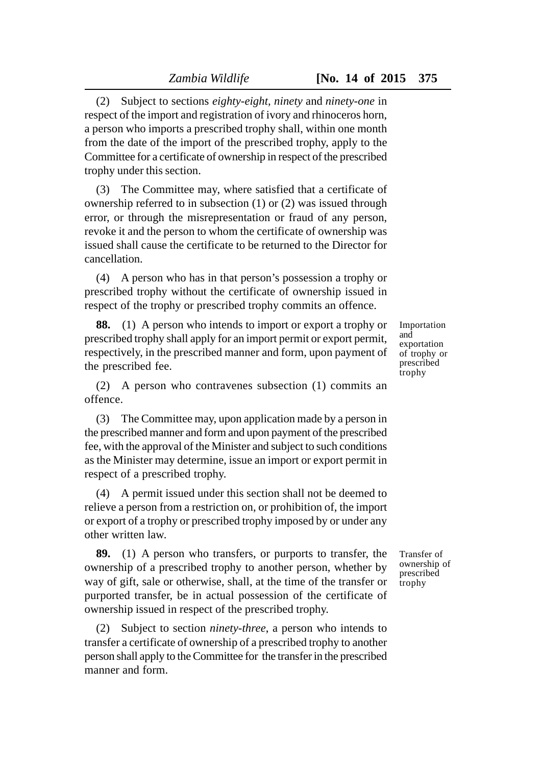(2) Subject to sections *eighty-eight, ninety* and *ninety-one* in respect of the import and registration of ivory and rhinoceros horn, a person who imports a prescribed trophy shall, within one month from the date of the import of the prescribed trophy, apply to the Committee for a certificate of ownership in respect of the prescribed trophy under this section.

(3) The Committee may, where satisfied that a certificate of ownership referred to in subsection (1) or (2) was issued through error, or through the misrepresentation or fraud of any person, revoke it and the person to whom the certificate of ownership was issued shall cause the certificate to be returned to the Director for cancellation.

(4) A person who has in that person's possession a trophy or prescribed trophy without the certificate of ownership issued in respect of the trophy or prescribed trophy commits an offence.

**88.** (1) A person who intends to import or export a trophy or prescribed trophy shall apply for an import permit or export permit, respectively, in the prescribed manner and form, upon payment of the prescribed fee.

(2) A person who contravenes subsection (1) commits an offence.

(3) The Committee may, upon application made by a person in the prescribed manner and form and upon payment of the prescribed fee, with the approval of the Minister and subject to such conditions as the Minister may determine, issue an import or export permit in respect of a prescribed trophy.

(4) A permit issued under this section shall not be deemed to relieve a person from a restriction on, or prohibition of, the import or export of a trophy or prescribed trophy imposed by or under any other written law.

**89.** (1) A person who transfers, or purports to transfer, the ownership of a prescribed trophy to another person, whether by way of gift, sale or otherwise, shall, at the time of the transfer or purported transfer, be in actual possession of the certificate of ownership issued in respect of the prescribed trophy.

(2) Subject to section *ninety-three*, a person who intends to transfer a certificate of ownership of a prescribed trophy to another person shall apply to the Committee for the transfer in the prescribed manner and form.

Importation and exportation of trophy or prescribed trophy

Transfer of ownership of prescribed trophy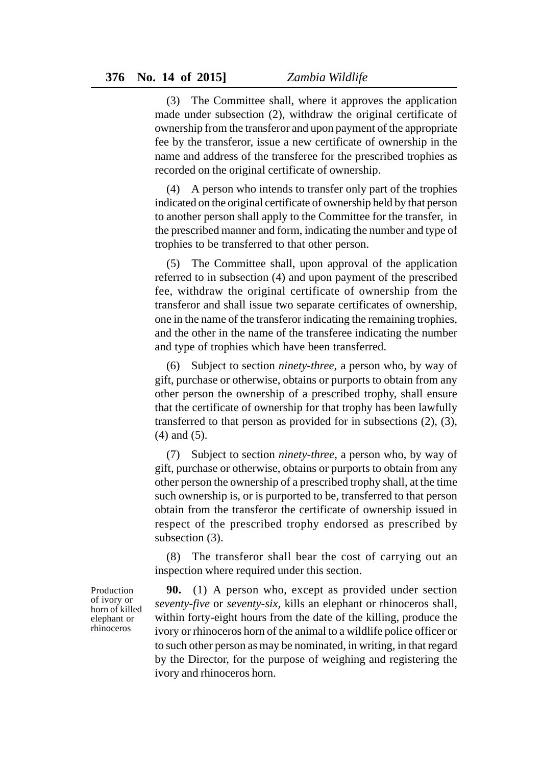(3) The Committee shall, where it approves the application made under subsection (2), withdraw the original certificate of ownership from the transferor and upon payment of the appropriate fee by the transferor, issue a new certificate of ownership in the name and address of the transferee for the prescribed trophies as recorded on the original certificate of ownership.

(4) A person who intends to transfer only part of the trophies indicated on the original certificate of ownership held by that person to another person shall apply to the Committee for the transfer, in the prescribed manner and form, indicating the number and type of trophies to be transferred to that other person.

(5) The Committee shall, upon approval of the application referred to in subsection (4) and upon payment of the prescribed fee, withdraw the original certificate of ownership from the transferor and shall issue two separate certificates of ownership, one in the name of the transferor indicating the remaining trophies, and the other in the name of the transferee indicating the number and type of trophies which have been transferred.

(6) Subject to section *ninety-three,* a person who, by way of gift, purchase or otherwise, obtains or purports to obtain from any other person the ownership of a prescribed trophy, shall ensure that the certificate of ownership for that trophy has been lawfully transferred to that person as provided for in subsections (2), (3), (4) and (5).

(7) Subject to section *ninety-three*, a person who, by way of gift, purchase or otherwise, obtains or purports to obtain from any other person the ownership of a prescribed trophy shall, at the time such ownership is, or is purported to be, transferred to that person obtain from the transferor the certificate of ownership issued in respect of the prescribed trophy endorsed as prescribed by subsection (3).

(8) The transferor shall bear the cost of carrying out an inspection where required under this section.

**90.** (1) A person who, except as provided under section *seventy-five* or *seventy-six,* kills an elephant or rhinoceros shall, within forty-eight hours from the date of the killing, produce the ivory or rhinoceros horn of the animal to a wildlife police officer or to such other person as may be nominated, in writing, in that regard by the Director, for the purpose of weighing and registering the ivory and rhinoceros horn.

Production of ivory or horn of killed elephant or rhinoceros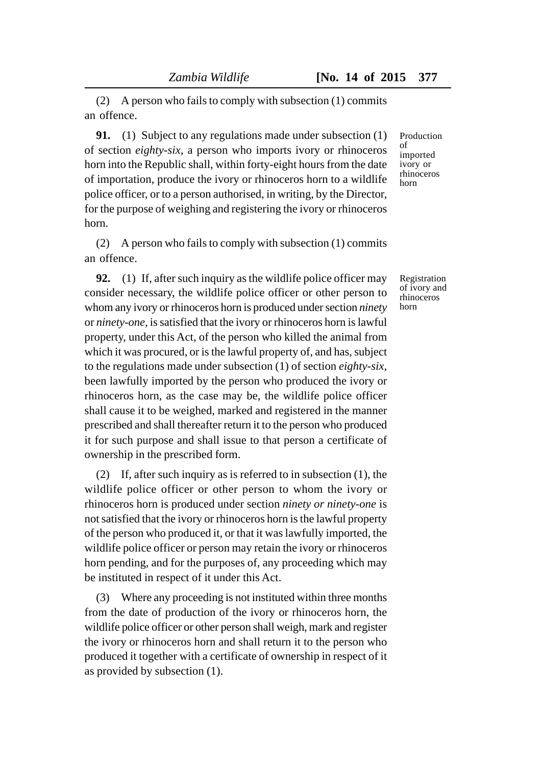(2) A person who fails to comply with subsection (1) commits an offence.

**91.** (1) Subject to any regulations made under subsection (1) of section *eighty-six*, a person who imports ivory or rhinoceros horn into the Republic shall, within forty-eight hours from the date of importation, produce the ivory or rhinoceros horn to a wildlife police officer, or to a person authorised, in writing, by the Director, for the purpose of weighing and registering the ivory or rhinoceros horn.

(2) A person who fails to comply with subsection (1) commits an offence.

**92.** (1) If, after such inquiry as the wildlife police officer may consider necessary, the wildlife police officer or other person to whom any ivory or rhinoceros horn is produced under section *ninety* or *ninety-one,* is satisfied that the ivory or rhinoceros horn is lawful property, under this Act, of the person who killed the animal from which it was procured, or is the lawful property of, and has, subject to the regulations made under subsection (1) of section *eighty-six,* been lawfully imported by the person who produced the ivory or rhinoceros horn, as the case may be, the wildlife police officer shall cause it to be weighed, marked and registered in the manner prescribed and shall thereafter return it to the person who produced it for such purpose and shall issue to that person a certificate of ownership in the prescribed form.

(2) If, after such inquiry as is referred to in subsection (1), the wildlife police officer or other person to whom the ivory or rhinoceros horn is produced under section *ninety or ninety-one* is not satisfied that the ivory or rhinoceros horn is the lawful property of the person who produced it, or that it was lawfully imported, the wildlife police officer or person may retain the ivory or rhinoceros horn pending, and for the purposes of, any proceeding which may be instituted in respect of it under this Act.

(3) Where any proceeding is not instituted within three months from the date of production of the ivory or rhinoceros horn, the wildlife police officer or other person shall weigh, mark and register the ivory or rhinoceros horn and shall return it to the person who produced it together with a certificate of ownership in respect of it as provided by subsection (1).

Production of imported ivory or rhinoceros horn

Registration of ivory and rhinoceros horn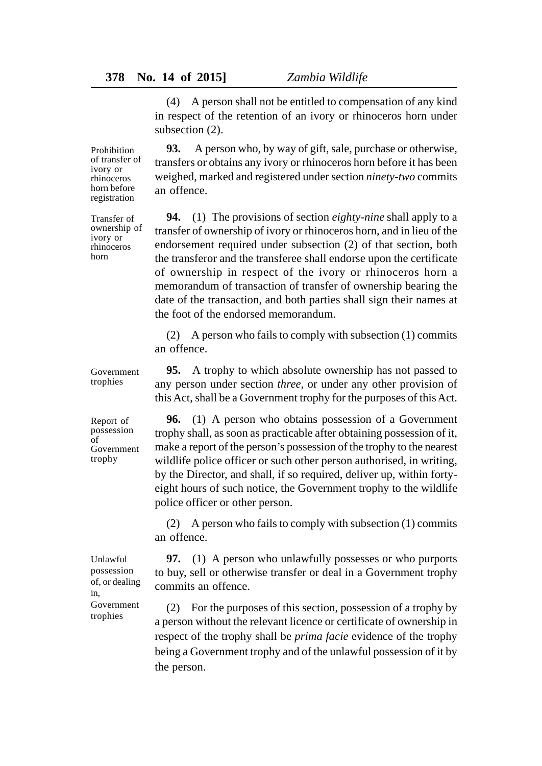(4) A person shall not be entitled to compensation of any kind in respect of the retention of an ivory or rhinoceros horn under subsection  $(2)$ .

**93.** A person who, by way of gift, sale, purchase or otherwise, transfers or obtains any ivory or rhinoceros horn before it has been weighed, marked and registered under section *ninety-two* commits an offence.

**94.** (1) The provisions of section *eighty-nine* shall apply to a transfer of ownership of ivory or rhinoceros horn, and in lieu of the endorsement required under subsection (2) of that section, both the transferor and the transferee shall endorse upon the certificate of ownership in respect of the ivory or rhinoceros horn a memorandum of transaction of transfer of ownership bearing the date of the transaction, and both parties shall sign their names at the foot of the endorsed memorandum.

(2) A person who fails to comply with subsection (1) commits an offence.

**95.** A trophy to which absolute ownership has not passed to any person under section *three,* or under any other provision of this Act, shall be a Government trophy for the purposes of this Act.

**96.** (1) A person who obtains possession of a Government trophy shall, as soon as practicable after obtaining possession of it, make a report of the person's possession of the trophy to the nearest wildlife police officer or such other person authorised, in writing, by the Director, and shall, if so required, deliver up, within fortyeight hours of such notice, the Government trophy to the wildlife police officer or other person.

(2) A person who fails to comply with subsection (1) commits an offence.

**97.** (1) A person who unlawfully possesses or who purports to buy, sell or otherwise transfer or deal in a Government trophy commits an offence.

(2) For the purposes of this section, possession of a trophy by a person without the relevant licence or certificate of ownership in respect of the trophy shall be *prima facie* evidence of the trophy being a Government trophy and of the unlawful possession of it by the person.

Prohibition of transfer of ivory or rhinoceros horn before registration

Transfer of ownership of ivory or rhinoceros horn

Government trophies

Report of possession of Government trophy

Unlawful possession of, or dealing in, Government trophies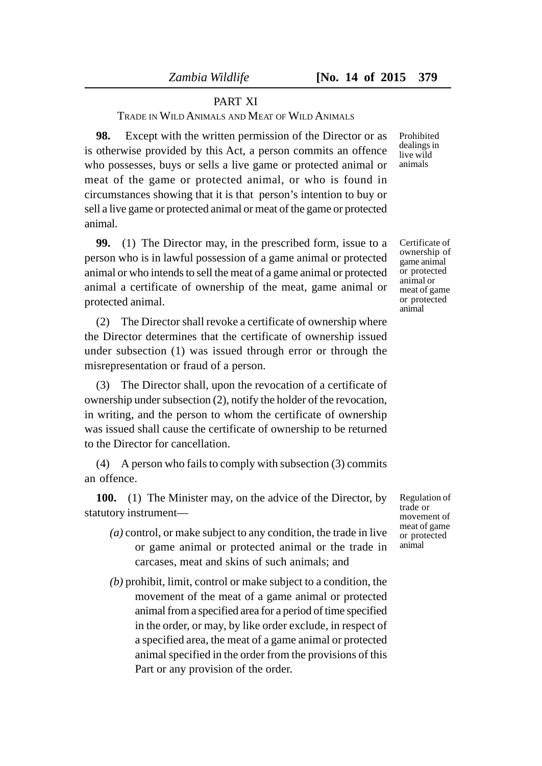### PART XI

TRADE IN WILD ANIMALS AND MEAT OF WILD ANIMALS

**98.** Except with the written permission of the Director or as is otherwise provided by this Act, a person commits an offence who possesses, buys or sells a live game or protected animal or meat of the game or protected animal, or who is found in circumstances showing that it is that person's intention to buy or sell a live game or protected animal or meat of the game or protected animal.

**99.** (1) The Director may, in the prescribed form, issue to a person who is in lawful possession of a game animal or protected animal or who intends to sell the meat of a game animal or protected animal a certificate of ownership of the meat, game animal or protected animal.

(2) The Director shall revoke a certificate of ownership where the Director determines that the certificate of ownership issued under subsection (1) was issued through error or through the misrepresentation or fraud of a person.

(3) The Director shall, upon the revocation of a certificate of ownership under subsection (2), notify the holder of the revocation, in writing, and the person to whom the certificate of ownership was issued shall cause the certificate of ownership to be returned to the Director for cancellation.

(4) A person who fails to comply with subsection (3) commits an offence.

**100.** (1) The Minister may, on the advice of the Director, by statutory instrument—

- *(a)* control, or make subject to any condition, the trade in live or game animal or protected animal or the trade in carcases, meat and skins of such animals; and
- *(b)* prohibit, limit, control or make subject to a condition, the movement of the meat of a game animal or protected animal from a specified area for a period of time specified in the order, or may, by like order exclude, in respect of a specified area, the meat of a game animal or protected animal specified in the order from the provisions of this Part or any provision of the order.

Prohibited dealings in live wild animals

Certificate of ownership of game animal or protected animal or meat of game or protected animal

Regulation of trade or movement of meat of game or protected animal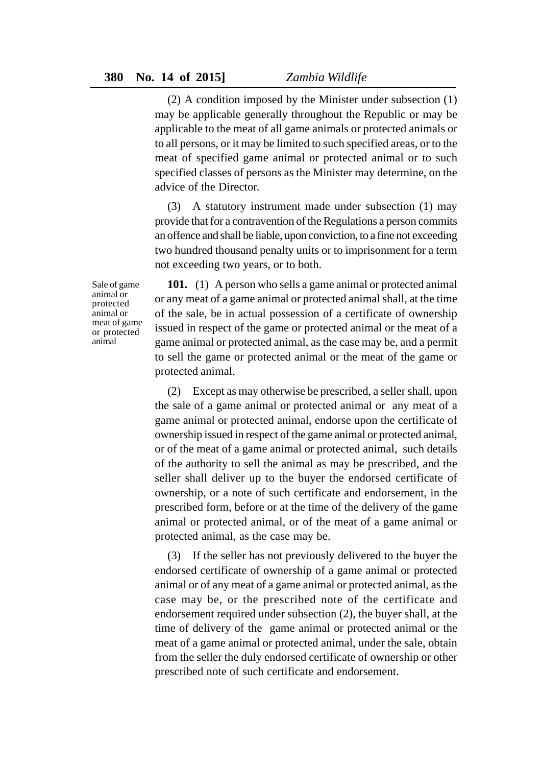(2) A condition imposed by the Minister under subsection (1) may be applicable generally throughout the Republic or may be applicable to the meat of all game animals or protected animals or to all persons, or it may be limited to such specified areas, or to the meat of specified game animal or protected animal or to such specified classes of persons as the Minister may determine, on the advice of the Director.

(3) A statutory instrument made under subsection (1) may provide that for a contravention of the Regulations a person commits an offence and shall be liable, upon conviction, to a fine not exceeding two hundred thousand penalty units or to imprisonment for a term not exceeding two years, or to both.

Sale of game animal or protected animal or meat of game or protected animal

**101.** (1) A person who sells a game animal or protected animal or any meat of a game animal or protected animal shall, at the time of the sale, be in actual possession of a certificate of ownership issued in respect of the game or protected animal or the meat of a game animal or protected animal, as the case may be, and a permit to sell the game or protected animal or the meat of the game or protected animal.

(2) Except as may otherwise be prescribed, a seller shall, upon the sale of a game animal or protected animal or any meat of a game animal or protected animal, endorse upon the certificate of ownership issued in respect of the game animal or protected animal, or of the meat of a game animal or protected animal, such details of the authority to sell the animal as may be prescribed, and the seller shall deliver up to the buyer the endorsed certificate of ownership, or a note of such certificate and endorsement, in the prescribed form, before or at the time of the delivery of the game animal or protected animal, or of the meat of a game animal or protected animal, as the case may be.

(3) If the seller has not previously delivered to the buyer the endorsed certificate of ownership of a game animal or protected animal or of any meat of a game animal or protected animal, as the case may be, or the prescribed note of the certificate and endorsement required under subsection (2), the buyer shall, at the time of delivery of the game animal or protected animal or the meat of a game animal or protected animal, under the sale, obtain from the seller the duly endorsed certificate of ownership or other prescribed note of such certificate and endorsement.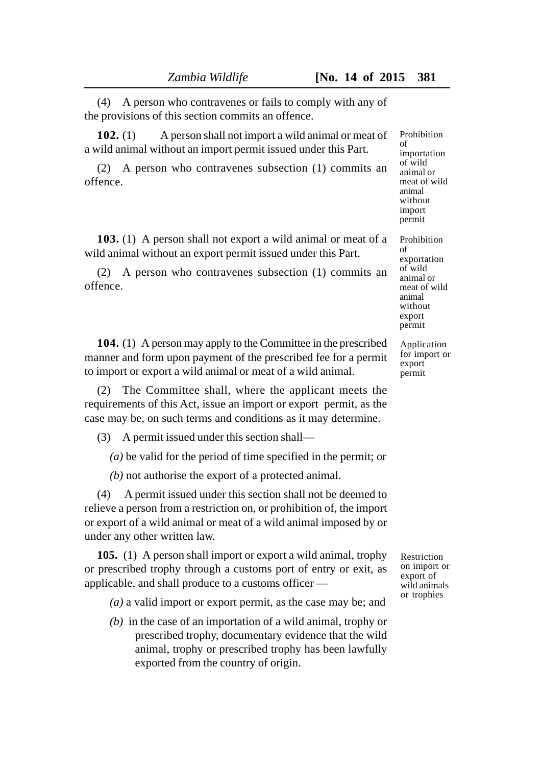(4) A person who contravenes or fails to comply with any of the provisions of this section commits an offence.

**102.** (1) A person shall not import a wild animal or meat of a wild animal without an import permit issued under this Part.

(2) A person who contravenes subsection (1) commits an offence.

**103.** (1) A person shall not export a wild animal or meat of a wild animal without an export permit issued under this Part.

(2) A person who contravenes subsection (1) commits an offence.

**104.** (1) A person may apply to the Committee in the prescribed manner and form upon payment of the prescribed fee for a permit to import or export a wild animal or meat of a wild animal.

(2) The Committee shall, where the applicant meets the requirements of this Act, issue an import or export permit, as the case may be, on such terms and conditions as it may determine.

(3) A permit issued under this section shall—

*(a)* be valid for the period of time specified in the permit; or

*(b)* not authorise the export of a protected animal.

(4) A permit issued under this section shall not be deemed to relieve a person from a restriction on, or prohibition of, the import or export of a wild animal or meat of a wild animal imposed by or under any other written law.

**105.** (1) A person shall import or export a wild animal, trophy or prescribed trophy through a customs port of entry or exit, as applicable, and shall produce to a customs officer —

*(a)* a valid import or export permit, as the case may be; and

*(b)* in the case of an importation of a wild animal, trophy or prescribed trophy, documentary evidence that the wild animal, trophy or prescribed trophy has been lawfully exported from the country of origin.

Prohibition of importation of wild animal or meat of wild animal without import permit

Prohibition of exportation of wild animal or meat of wild animal without export permit

Application for import or export permit

Restriction on import or export of wild animals or trophies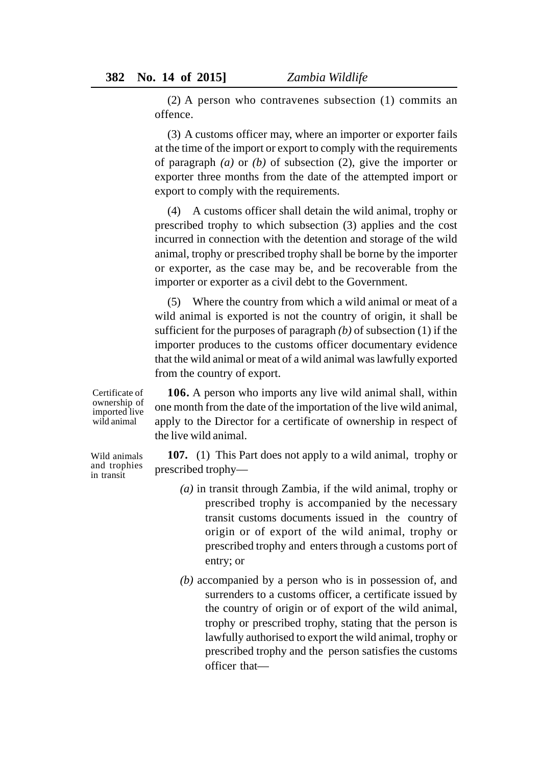(2) A person who contravenes subsection (1) commits an offence.

(3) A customs officer may, where an importer or exporter fails at the time of the import or export to comply with the requirements of paragraph *(a)* or *(b)* of subsection (2), give the importer or exporter three months from the date of the attempted import or export to comply with the requirements.

(4) A customs officer shall detain the wild animal, trophy or prescribed trophy to which subsection (3) applies and the cost incurred in connection with the detention and storage of the wild animal, trophy or prescribed trophy shall be borne by the importer or exporter, as the case may be, and be recoverable from the importer or exporter as a civil debt to the Government.

(5) Where the country from which a wild animal or meat of a wild animal is exported is not the country of origin, it shall be sufficient for the purposes of paragraph *(b)* of subsection (1) if the importer produces to the customs officer documentary evidence that the wild animal or meat of a wild animal was lawfully exported from the country of export.

Certificate of ownership of imported live wild animal

Wild animals and trophies in transit

**106.** A person who imports any live wild animal shall, within one month from the date of the importation of the live wild animal, apply to the Director for a certificate of ownership in respect of the live wild animal.

**107.** (1) This Part does not apply to a wild animal, trophy or prescribed trophy—

- *(a)* in transit through Zambia, if the wild animal, trophy or prescribed trophy is accompanied by the necessary transit customs documents issued in the country of origin or of export of the wild animal, trophy or prescribed trophy and enters through a customs port of entry; or
- *(b)* accompanied by a person who is in possession of, and surrenders to a customs officer, a certificate issued by the country of origin or of export of the wild animal, trophy or prescribed trophy, stating that the person is lawfully authorised to export the wild animal, trophy or prescribed trophy and the person satisfies the customs officer that—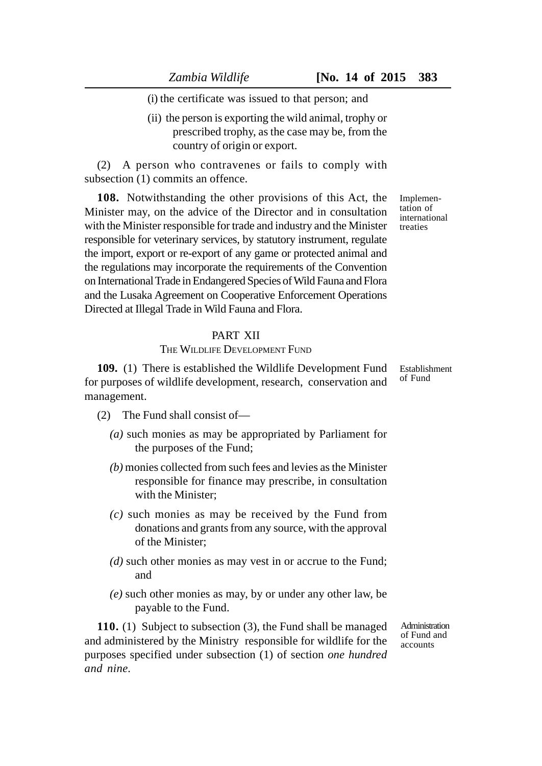(i) the certificate was issued to that person; and

(ii) the person is exporting the wild animal, trophy or prescribed trophy, as the case may be, from the country of origin or export.

(2) A person who contravenes or fails to comply with subsection  $(1)$  commits an offence.

**108.** Notwithstanding the other provisions of this Act, the Minister may, on the advice of the Director and in consultation with the Minister responsible for trade and industry and the Minister responsible for veterinary services, by statutory instrument, regulate the import, export or re-export of any game or protected animal and the regulations may incorporate the requirements of the Convention on International Trade in Endangered Species of Wild Fauna and Flora and the Lusaka Agreement on Cooperative Enforcement Operations Directed at Illegal Trade in Wild Fauna and Flora.

## PART XII

### THE WILDLIFE DEVELOPMENT FUND

**109.** (1) There is established the Wildlife Development Fund for purposes of wildlife development, research, conservation and management.

(2) The Fund shall consist of—

- *(a)* such monies as may be appropriated by Parliament for the purposes of the Fund;
- *(b)* monies collected from such fees and levies as the Minister responsible for finance may prescribe, in consultation with the Minister;
- *(c)* such monies as may be received by the Fund from donations and grants from any source, with the approval of the Minister;
- *(d)* such other monies as may vest in or accrue to the Fund; and
- *(e)* such other monies as may, by or under any other law, be payable to the Fund.

**110.** (1) Subject to subsection (3), the Fund shall be managed and administered by the Ministry responsible for wildlife for the purposes specified under subsection (1) of section *one hundred and nine.*

Administration of Fund and accounts

Implementation of international treaties

Establishment of Fund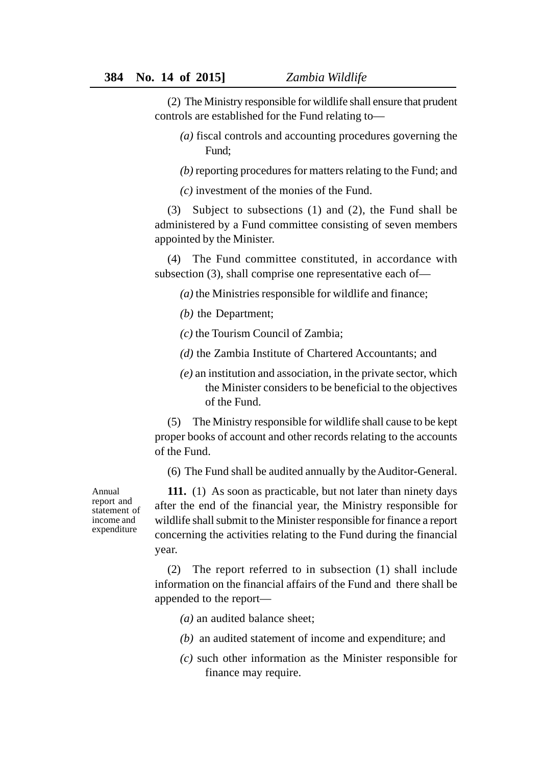(2) The Ministry responsible for wildlife shall ensure that prudent controls are established for the Fund relating to—

- *(a)* fiscal controls and accounting procedures governing the Fund;
- *(b)* reporting procedures for matters relating to the Fund; and

*(c)* investment of the monies of the Fund.

(3) Subject to subsections (1) and (2), the Fund shall be administered by a Fund committee consisting of seven members appointed by the Minister.

(4) The Fund committee constituted, in accordance with subsection (3), shall comprise one representative each of—

*(a)* the Ministries responsible for wildlife and finance;

*(b)* the Department;

*(c)* the Tourism Council of Zambia;

*(d)* the Zambia Institute of Chartered Accountants; and

*(e)* an institution and association, in the private sector, which the Minister considers to be beneficial to the objectives of the Fund.

(5) The Ministry responsible for wildlife shall cause to be kept proper books of account and other records relating to the accounts of the Fund.

(6) The Fund shall be audited annually by the Auditor-General.

Annual report and statement of income and expenditure

**111.** (1) As soon as practicable, but not later than ninety days after the end of the financial year, the Ministry responsible for wildlife shall submit to the Minister responsible for finance a report concerning the activities relating to the Fund during the financial year.

(2) The report referred to in subsection (1) shall include information on the financial affairs of the Fund and there shall be appended to the report—

*(a)* an audited balance sheet;

- *(b)* an audited statement of income and expenditure; and
- *(c)* such other information as the Minister responsible for finance may require.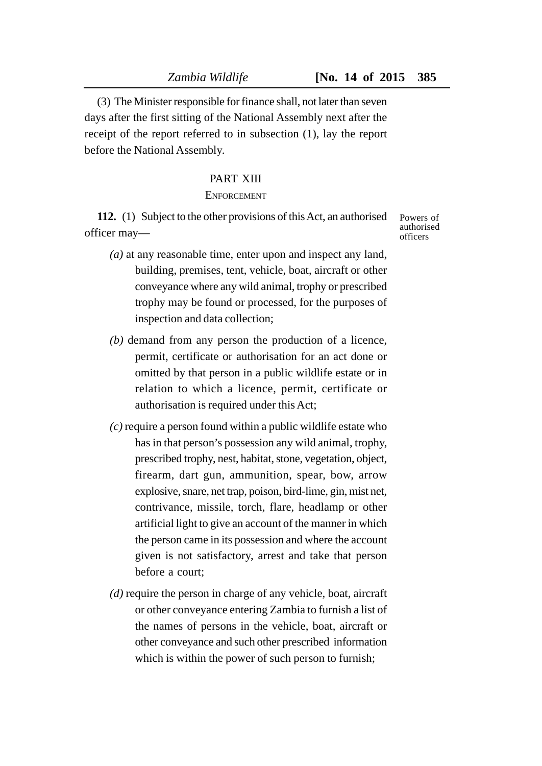(3) The Minister responsible for finance shall, not later than seven days after the first sitting of the National Assembly next after the receipt of the report referred to in subsection (1), lay the report before the National Assembly.

#### PART XIII

#### **ENFORCEMENT**

**112.** (1) Subject to the other provisions of this Act, an authorised officer may—

- *(a)* at any reasonable time, enter upon and inspect any land, building, premises, tent, vehicle, boat, aircraft or other conveyance where any wild animal, trophy or prescribed trophy may be found or processed, for the purposes of inspection and data collection;
- *(b)* demand from any person the production of a licence, permit, certificate or authorisation for an act done or omitted by that person in a public wildlife estate or in relation to which a licence, permit, certificate or authorisation is required under this Act;
- *(c)* require a person found within a public wildlife estate who has in that person's possession any wild animal, trophy, prescribed trophy, nest, habitat, stone, vegetation, object, firearm, dart gun, ammunition, spear, bow, arrow explosive, snare, net trap, poison, bird-lime, gin, mist net, contrivance, missile, torch, flare, headlamp or other artificial light to give an account of the manner in which the person came in its possession and where the account given is not satisfactory, arrest and take that person before a court;
- *(d)* require the person in charge of any vehicle, boat, aircraft or other conveyance entering Zambia to furnish a list of the names of persons in the vehicle, boat, aircraft or other conveyance and such other prescribed information which is within the power of such person to furnish;

Powers of authorised officers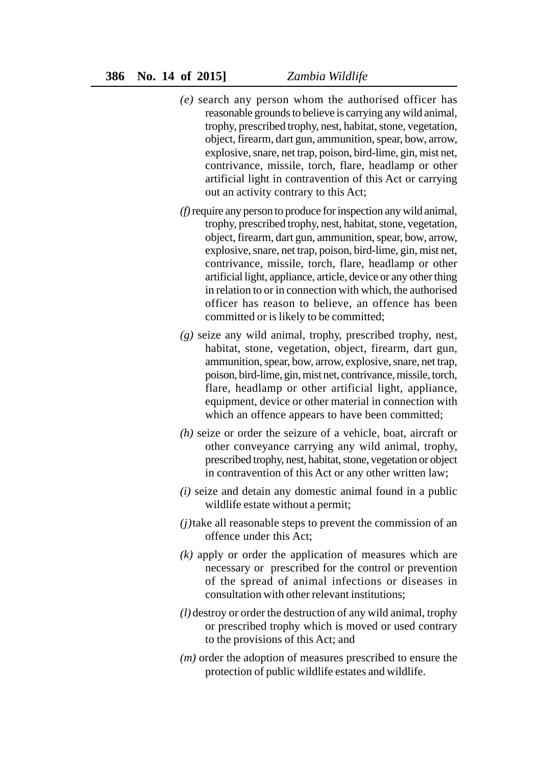- *(e)* search any person whom the authorised officer has reasonable grounds to believe is carrying any wild animal, trophy, prescribed trophy, nest, habitat, stone, vegetation, object, firearm, dart gun, ammunition, spear, bow, arrow, explosive, snare, net trap, poison, bird-lime, gin, mist net, contrivance, missile, torch, flare, headlamp or other artificial light in contravention of this Act or carrying out an activity contrary to this Act;
- *(f)* require any person to produce for inspection any wild animal, trophy, prescribed trophy, nest, habitat, stone, vegetation, object, firearm, dart gun, ammunition, spear, bow, arrow, explosive, snare, net trap, poison, bird-lime, gin, mist net, contrivance, missile, torch, flare, headlamp or other artificial light, appliance, article, device or any other thing in relation to or in connection with which, the authorised officer has reason to believe, an offence has been committed or is likely to be committed;
- *(g)* seize any wild animal, trophy, prescribed trophy, nest, habitat, stone, vegetation, object, firearm, dart gun, ammunition, spear, bow, arrow, explosive, snare, net trap, poison, bird-lime, gin, mist net, contrivance, missile, torch, flare, headlamp or other artificial light, appliance, equipment, device or other material in connection with which an offence appears to have been committed;
- *(h)* seize or order the seizure of a vehicle, boat, aircraft or other conveyance carrying any wild animal, trophy, prescribed trophy, nest, habitat, stone, vegetation or object in contravention of this Act or any other written law;
- *(i)* seize and detain any domestic animal found in a public wildlife estate without a permit;
- *(j)*take all reasonable steps to prevent the commission of an offence under this Act;
- *(k)* apply or order the application of measures which are necessary or prescribed for the control or prevention of the spread of animal infections or diseases in consultation with other relevant institutions;
- *(l)* destroy or order the destruction of any wild animal, trophy or prescribed trophy which is moved or used contrary to the provisions of this Act; and
- *(m)* order the adoption of measures prescribed to ensure the protection of public wildlife estates and wildlife.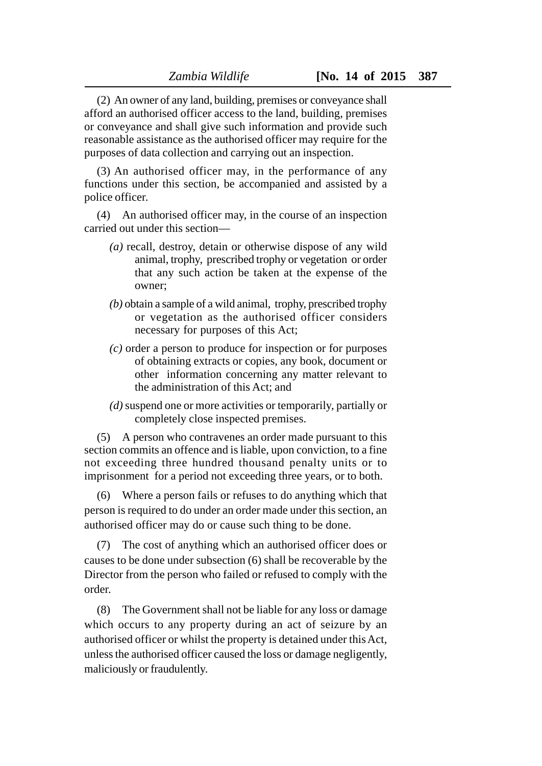(2) An owner of any land, building, premises or conveyance shall afford an authorised officer access to the land, building, premises or conveyance and shall give such information and provide such reasonable assistance as the authorised officer may require for the purposes of data collection and carrying out an inspection.

(3) An authorised officer may, in the performance of any functions under this section, be accompanied and assisted by a police officer.

(4) An authorised officer may, in the course of an inspection carried out under this section—

- *(a)* recall, destroy, detain or otherwise dispose of any wild animal, trophy, prescribed trophy or vegetation or order that any such action be taken at the expense of the owner;
- *(b)* obtain a sample of a wild animal, trophy, prescribed trophy or vegetation as the authorised officer considers necessary for purposes of this Act;
- *(c)* order a person to produce for inspection or for purposes of obtaining extracts or copies, any book, document or other information concerning any matter relevant to the administration of this Act; and
- *(d)* suspend one or more activities or temporarily, partially or completely close inspected premises.

(5) A person who contravenes an order made pursuant to this section commits an offence and is liable, upon conviction, to a fine not exceeding three hundred thousand penalty units or to imprisonment for a period not exceeding three years, or to both.

(6) Where a person fails or refuses to do anything which that person is required to do under an order made under this section, an authorised officer may do or cause such thing to be done.

(7) The cost of anything which an authorised officer does or causes to be done under subsection (6) shall be recoverable by the Director from the person who failed or refused to comply with the order.

(8) The Government shall not be liable for any loss or damage which occurs to any property during an act of seizure by an authorised officer or whilst the property is detained under this Act, unless the authorised officer caused the loss or damage negligently, maliciously or fraudulently.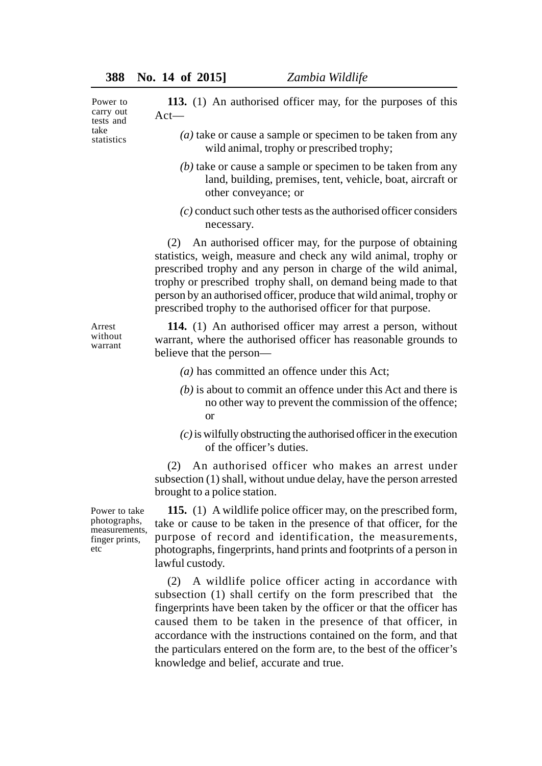Power to carry out tests and take statistics

Arrest without warrant

**113.** (1) An authorised officer may, for the purposes of this Act—

- *(a)* take or cause a sample or specimen to be taken from any wild animal, trophy or prescribed trophy;
- *(b)* take or cause a sample or specimen to be taken from any land, building, premises, tent, vehicle, boat, aircraft or other conveyance; or
- *(c)* conduct such other tests as the authorised officer considers necessary.

(2) An authorised officer may, for the purpose of obtaining statistics, weigh, measure and check any wild animal, trophy or prescribed trophy and any person in charge of the wild animal, trophy or prescribed trophy shall, on demand being made to that person by an authorised officer, produce that wild animal, trophy or prescribed trophy to the authorised officer for that purpose.

**114.** (1) An authorised officer may arrest a person, without warrant, where the authorised officer has reasonable grounds to believe that the person—

- *(a)* has committed an offence under this Act;
- *(b)* is about to commit an offence under this Act and there is no other way to prevent the commission of the offence; or
- *(c)* is wilfully obstructing the authorised officer in the execution of the officer's duties.

(2) An authorised officer who makes an arrest under subsection (1) shall, without undue delay, have the person arrested brought to a police station.

Power to take photographs, measurements, finger prints, etc

**115.** (1) A wildlife police officer may, on the prescribed form, take or cause to be taken in the presence of that officer, for the purpose of record and identification, the measurements, photographs, fingerprints, hand prints and footprints of a person in lawful custody.

(2) A wildlife police officer acting in accordance with subsection (1) shall certify on the form prescribed that the fingerprints have been taken by the officer or that the officer has caused them to be taken in the presence of that officer, in accordance with the instructions contained on the form, and that the particulars entered on the form are, to the best of the officer's knowledge and belief, accurate and true.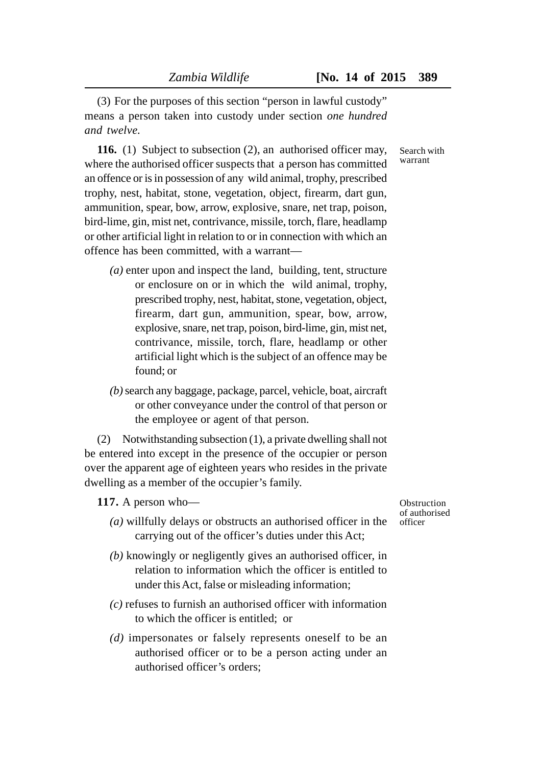(3) For the purposes of this section "person in lawful custody" means a person taken into custody under section *one hundred and twelve.*

**116.** (1) Subject to subsection (2), an authorised officer may, where the authorised officer suspects that a person has committed an offence or is in possession of any wild animal, trophy, prescribed trophy, nest, habitat, stone, vegetation, object, firearm, dart gun, ammunition, spear, bow, arrow, explosive, snare, net trap, poison, bird-lime, gin, mist net, contrivance, missile, torch, flare, headlamp or other artificial light in relation to or in connection with which an offence has been committed, with a warrant—

- *(a)* enter upon and inspect the land, building, tent, structure or enclosure on or in which the wild animal, trophy, prescribed trophy, nest, habitat, stone, vegetation, object, firearm, dart gun, ammunition, spear, bow, arrow, explosive, snare, net trap, poison, bird-lime, gin, mist net, contrivance, missile, torch, flare, headlamp or other artificial light which is the subject of an offence may be found; or
- *(b)* search any baggage, package, parcel, vehicle, boat, aircraft or other conveyance under the control of that person or the employee or agent of that person.

(2) Notwithstanding subsection (1), a private dwelling shall not be entered into except in the presence of the occupier or person over the apparent age of eighteen years who resides in the private dwelling as a member of the occupier's family.

**117.** A person who—

- *(a)* willfully delays or obstructs an authorised officer in the carrying out of the officer's duties under this Act;
- *(b)* knowingly or negligently gives an authorised officer, in relation to information which the officer is entitled to under this Act, false or misleading information;
- *(c)* refuses to furnish an authorised officer with information to which the officer is entitled; or
- *(d)* impersonates or falsely represents oneself to be an authorised officer or to be a person acting under an authorised officer's orders;

**Obstruction** of authorised officer

Search with warrant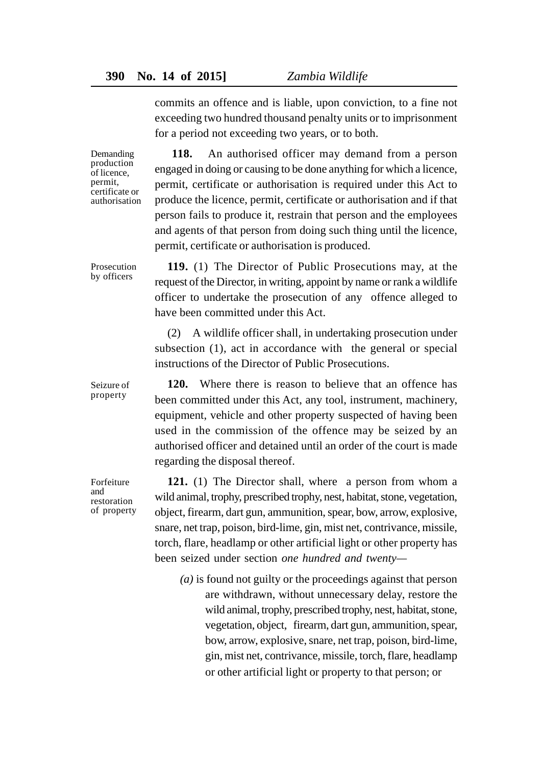commits an offence and is liable, upon conviction, to a fine not exceeding two hundred thousand penalty units or to imprisonment for a period not exceeding two years, or to both.

Demanding production of licence, permit, certificate or authorisation

Prosecution by officers

Seizure of property

**118.** An authorised officer may demand from a person engaged in doing or causing to be done anything for which a licence, permit, certificate or authorisation is required under this Act to produce the licence, permit, certificate or authorisation and if that person fails to produce it, restrain that person and the employees and agents of that person from doing such thing until the licence, permit, certificate or authorisation is produced.

**119.** (1) The Director of Public Prosecutions may, at the request of the Director, in writing, appoint by name or rank a wildlife officer to undertake the prosecution of any offence alleged to have been committed under this Act.

(2) A wildlife officer shall, in undertaking prosecution under subsection (1), act in accordance with the general or special instructions of the Director of Public Prosecutions.

**120.** Where there is reason to believe that an offence has been committed under this Act, any tool, instrument, machinery, equipment, vehicle and other property suspected of having been used in the commission of the offence may be seized by an authorised officer and detained until an order of the court is made regarding the disposal thereof.

Forfeiture and restoration of property

**121.** (1) The Director shall, where a person from whom a wild animal, trophy, prescribed trophy, nest, habitat, stone, vegetation, object, firearm, dart gun, ammunition, spear, bow, arrow, explosive, snare, net trap, poison, bird-lime, gin, mist net, contrivance, missile, torch, flare, headlamp or other artificial light or other property has been seized under section *one hundred and twenty—*

*(a)* is found not guilty or the proceedings against that person are withdrawn, without unnecessary delay, restore the wild animal, trophy, prescribed trophy, nest, habitat, stone, vegetation, object, firearm, dart gun, ammunition, spear, bow, arrow, explosive, snare, net trap, poison, bird-lime, gin, mist net, contrivance, missile, torch, flare, headlamp or other artificial light or property to that person; or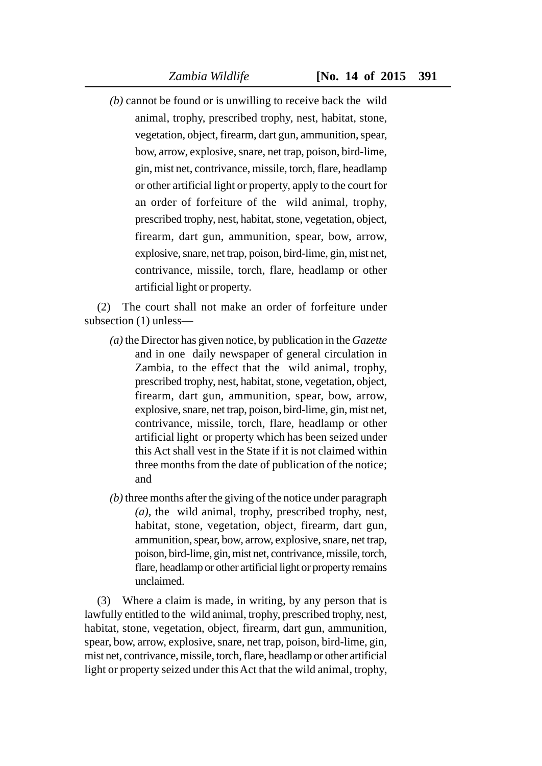*(b)* cannot be found or is unwilling to receive back the wild animal, trophy, prescribed trophy, nest, habitat, stone, vegetation, object, firearm, dart gun, ammunition, spear, bow, arrow, explosive, snare, net trap, poison, bird-lime, gin, mist net, contrivance, missile, torch, flare, headlamp or other artificial light or property, apply to the court for an order of forfeiture of the wild animal, trophy, prescribed trophy, nest, habitat, stone, vegetation, object, firearm, dart gun, ammunition, spear, bow, arrow, explosive, snare, net trap, poison, bird-lime, gin, mist net, contrivance, missile, torch, flare, headlamp or other artificial light or property.

(2) The court shall not make an order of forfeiture under subsection (1) unless—

- *(a)* the Director has given notice, by publication in the *Gazette* and in one daily newspaper of general circulation in Zambia, to the effect that the wild animal, trophy, prescribed trophy, nest, habitat, stone, vegetation, object, firearm, dart gun, ammunition, spear, bow, arrow, explosive, snare, net trap, poison, bird-lime, gin, mist net, contrivance, missile, torch, flare, headlamp or other artificial light or property which has been seized under this Act shall vest in the State if it is not claimed within three months from the date of publication of the notice; and
- *(b)* three months after the giving of the notice under paragraph *(a),* the wild animal, trophy, prescribed trophy, nest, habitat, stone, vegetation, object, firearm, dart gun, ammunition, spear, bow, arrow, explosive, snare, net trap, poison, bird-lime, gin, mist net, contrivance, missile, torch, flare, headlamp or other artificial light or property remains unclaimed.

(3) Where a claim is made, in writing, by any person that is lawfully entitled to the wild animal, trophy, prescribed trophy, nest, habitat, stone, vegetation, object, firearm, dart gun, ammunition, spear, bow, arrow, explosive, snare, net trap, poison, bird-lime, gin, mist net, contrivance, missile, torch, flare, headlamp or other artificial light or property seized under this Act that the wild animal, trophy,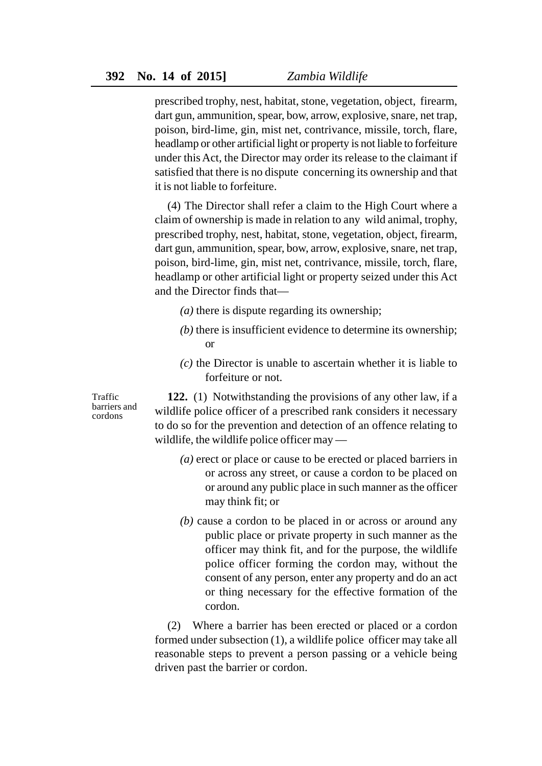prescribed trophy, nest, habitat, stone, vegetation, object, firearm, dart gun, ammunition, spear, bow, arrow, explosive, snare, net trap, poison, bird-lime, gin, mist net, contrivance, missile, torch, flare, headlamp or other artificial light or property is not liable to forfeiture under this Act, the Director may order its release to the claimant if satisfied that there is no dispute concerning its ownership and that it is not liable to forfeiture.

(4) The Director shall refer a claim to the High Court where a claim of ownership is made in relation to any wild animal, trophy, prescribed trophy, nest, habitat, stone, vegetation, object, firearm, dart gun, ammunition, spear, bow, arrow, explosive, snare, net trap, poison, bird-lime, gin, mist net, contrivance, missile, torch, flare, headlamp or other artificial light or property seized under this Act and the Director finds that—

- *(a)* there is dispute regarding its ownership;
- *(b)* there is insufficient evidence to determine its ownership; or
- *(c)* the Director is unable to ascertain whether it is liable to forfeiture or not.

Traffic barriers and cordons

**122.** (1) Notwithstanding the provisions of any other law, if a wildlife police officer of a prescribed rank considers it necessary to do so for the prevention and detection of an offence relating to wildlife, the wildlife police officer may —

- *(a)* erect or place or cause to be erected or placed barriers in or across any street, or cause a cordon to be placed on or around any public place in such manner as the officer may think fit; or
- *(b)* cause a cordon to be placed in or across or around any public place or private property in such manner as the officer may think fit, and for the purpose, the wildlife police officer forming the cordon may, without the consent of any person, enter any property and do an act or thing necessary for the effective formation of the cordon.

(2) Where a barrier has been erected or placed or a cordon formed under subsection (1), a wildlife police officer may take all reasonable steps to prevent a person passing or a vehicle being driven past the barrier or cordon.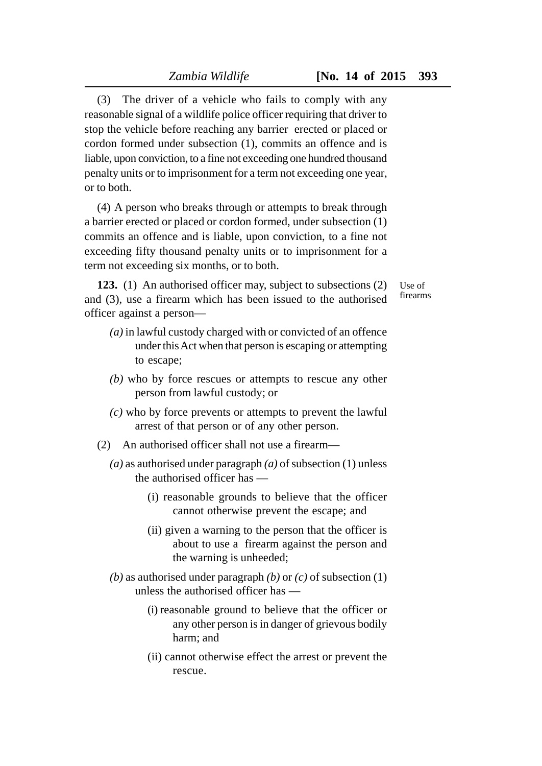(3) The driver of a vehicle who fails to comply with any reasonable signal of a wildlife police officer requiring that driver to stop the vehicle before reaching any barrier erected or placed or cordon formed under subsection (1), commits an offence and is liable, upon conviction, to a fine not exceeding one hundred thousand penalty units or to imprisonment for a term not exceeding one year, or to both.

(4) A person who breaks through or attempts to break through a barrier erected or placed or cordon formed, under subsection (1) commits an offence and is liable, upon conviction, to a fine not exceeding fifty thousand penalty units or to imprisonment for a term not exceeding six months, or to both.

**123.** (1) An authorised officer may, subject to subsections (2) and (3), use a firearm which has been issued to the authorised officer against a person—

- Use of firearms
- *(a)* in lawful custody charged with or convicted of an offence under this Act when that person is escaping or attempting to escape;
- *(b)* who by force rescues or attempts to rescue any other person from lawful custody; or
- *(c)* who by force prevents or attempts to prevent the lawful arrest of that person or of any other person.
- (2) An authorised officer shall not use a firearm—
	- *(a)* as authorised under paragraph *(a)* of subsection (1) unless the authorised officer has —
		- (i) reasonable grounds to believe that the officer cannot otherwise prevent the escape; and
		- (ii) given a warning to the person that the officer is about to use a firearm against the person and the warning is unheeded;
	- *(b)* as authorised under paragraph *(b)* or *(c)* of subsection (1) unless the authorised officer has —
		- (i) reasonable ground to believe that the officer or any other person is in danger of grievous bodily harm; and
		- (ii) cannot otherwise effect the arrest or prevent the rescue.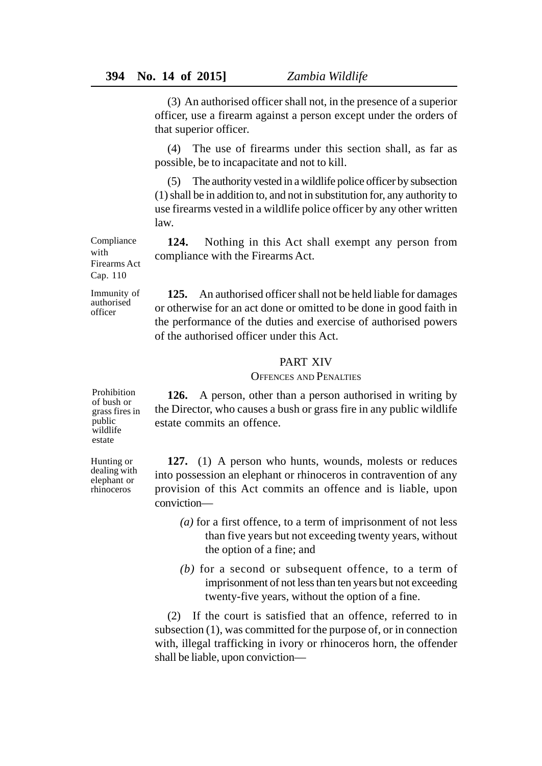(3) An authorised officer shall not, in the presence of a superior officer, use a firearm against a person except under the orders of that superior officer.

(4) The use of firearms under this section shall, as far as possible, be to incapacitate and not to kill.

(5) The authority vested in a wildlife police officer by subsection (1) shall be in addition to, and not in substitution for, any authority to use firearms vested in a wildlife police officer by any other written law.

**124.** Nothing in this Act shall exempt any person from compliance with the Firearms Act.

**125.** An authorised officer shall not be held liable for damages or otherwise for an act done or omitted to be done in good faith in the performance of the duties and exercise of authorised powers of the authorised officer under this Act.

# PART XIV

# OFFENCES AND PENALTIES

**126.** A person, other than a person authorised in writing by the Director, who causes a bush or grass fire in any public wildlife estate commits an offence.

**127.** (1) A person who hunts, wounds, molests or reduces into possession an elephant or rhinoceros in contravention of any provision of this Act commits an offence and is liable, upon conviction—

- *(a)* for a first offence, to a term of imprisonment of not less than five years but not exceeding twenty years, without the option of a fine; and
- *(b)* for a second or subsequent offence, to a term of imprisonment of not less than ten years but not exceeding twenty-five years, without the option of a fine.

(2) If the court is satisfied that an offence, referred to in subsection (1), was committed for the purpose of, or in connection with, illegal trafficking in ivory or rhinoceros horn, the offender shall be liable, upon conviction—

Compliance with Firearms Act Cap. 110

Immunity of authorised officer

Hunting or dealing with elephant or rhinoceros

Prohibition of bush or grass fires in public wildlife estate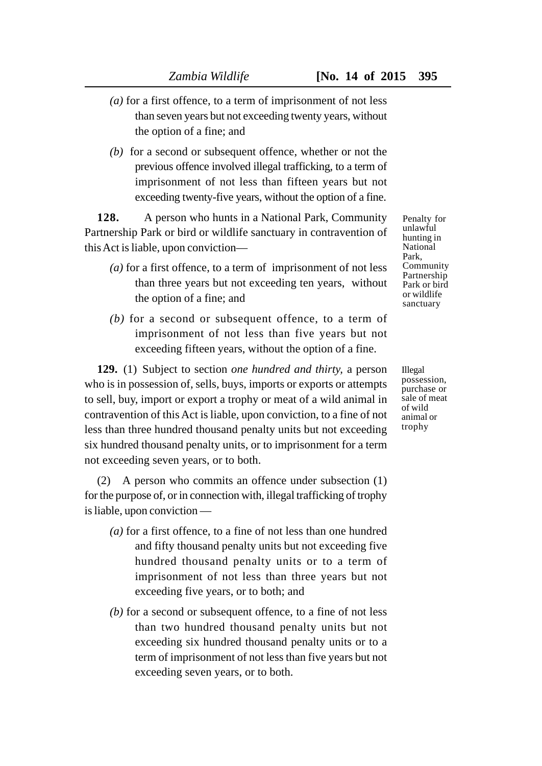- *(a)* for a first offence, to a term of imprisonment of not less than seven years but not exceeding twenty years, without the option of a fine; and
- *(b)* for a second or subsequent offence, whether or not the previous offence involved illegal trafficking, to a term of imprisonment of not less than fifteen years but not exceeding twenty-five years, without the option of a fine.

**128.** A person who hunts in a National Park, Community Partnership Park or bird or wildlife sanctuary in contravention of this Act is liable, upon conviction—

- *(a)* for a first offence, to a term of imprisonment of not less than three years but not exceeding ten years, without the option of a fine; and
- *(b)* for a second or subsequent offence, to a term of imprisonment of not less than five years but not exceeding fifteen years, without the option of a fine.

**129.** (1) Subject to section *one hundred and thirty,* a person who is in possession of, sells, buys, imports or exports or attempts to sell, buy, import or export a trophy or meat of a wild animal in contravention of this Act is liable, upon conviction, to a fine of not less than three hundred thousand penalty units but not exceeding six hundred thousand penalty units, or to imprisonment for a term not exceeding seven years, or to both.

(2) A person who commits an offence under subsection (1) for the purpose of, or in connection with, illegal trafficking of trophy is liable, upon conviction —

- *(a)* for a first offence, to a fine of not less than one hundred and fifty thousand penalty units but not exceeding five hundred thousand penalty units or to a term of imprisonment of not less than three years but not exceeding five years, or to both; and
- *(b)* for a second or subsequent offence, to a fine of not less than two hundred thousand penalty units but not exceeding six hundred thousand penalty units or to a term of imprisonment of not less than five years but not exceeding seven years, or to both.

Penalty for unlawful hunting in National Park, Community Partnership Park or bird or wildlife sanctuary

Illegal possession, purchase or sale of meat of wild animal or trophy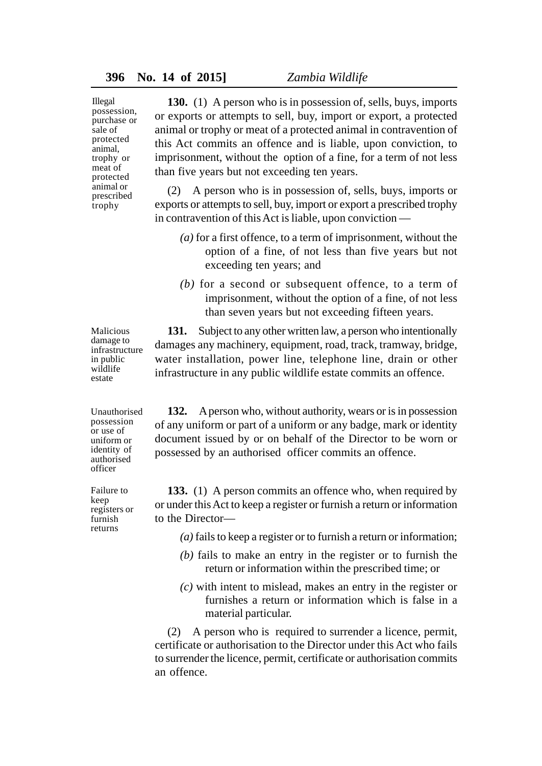Illegal possession, purchase or sale of protected animal, trophy or meat of protected animal or prescribed trophy

**130.** (1) A person who is in possession of, sells, buys, imports or exports or attempts to sell, buy, import or export, a protected animal or trophy or meat of a protected animal in contravention of this Act commits an offence and is liable, upon conviction, to imprisonment, without the option of a fine, for a term of not less than five years but not exceeding ten years.

(2) A person who is in possession of, sells, buys, imports or exports or attempts to sell, buy, import or export a prescribed trophy in contravention of this Act is liable, upon conviction —

- *(a)* for a first offence, to a term of imprisonment, without the option of a fine, of not less than five years but not exceeding ten years; and
- *(b)* for a second or subsequent offence, to a term of imprisonment, without the option of a fine, of not less than seven years but not exceeding fifteen years.

**131.** Subject to any other written law, a person who intentionally damages any machinery, equipment, road, track, tramway, bridge, water installation, power line, telephone line, drain or other infrastructure in any public wildlife estate commits an offence.

**132.** A person who, without authority, wears or is in possession of any uniform or part of a uniform or any badge, mark or identity document issued by or on behalf of the Director to be worn or possessed by an authorised officer commits an offence.

**133.** (1) A person commits an offence who, when required by or under this Act to keep a register or furnish a return or information to the Director—

*(a)* fails to keep a register or to furnish a return or information;

- *(b)* fails to make an entry in the register or to furnish the return or information within the prescribed time; or
- *(c)* with intent to mislead, makes an entry in the register or furnishes a return or information which is false in a material particular.

(2) A person who is required to surrender a licence, permit, certificate or authorisation to the Director under this Act who fails to surrender the licence, permit, certificate or authorisation commits an offence.

Malicious damage to infrastructure in public wildlife estate

Unauthorised possession or use of uniform or identity of authorised officer

Failure to keep registers or furnish returns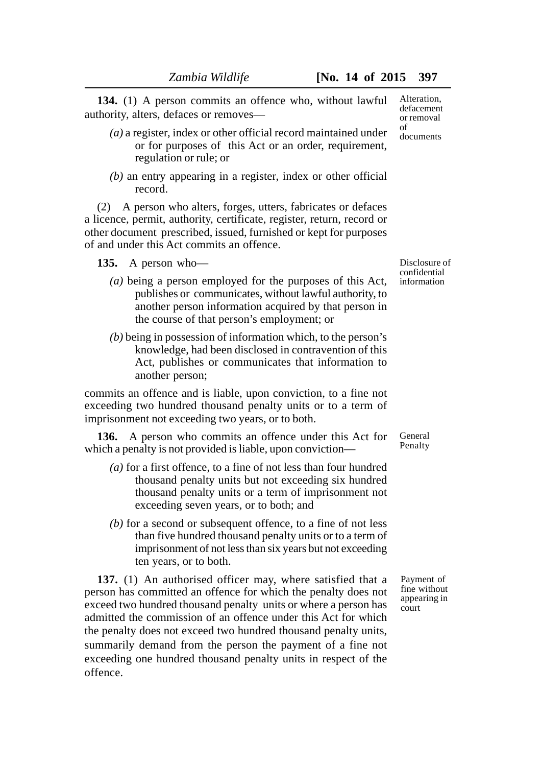**134.** (1) A person commits an offence who, without lawful authority, alters, defaces or removes—

- *(a)* a register, index or other official record maintained under or for purposes of this Act or an order, requirement, regulation or rule; or
- *(b)* an entry appearing in a register, index or other official record.

(2) A person who alters, forges, utters, fabricates or defaces a licence, permit, authority, certificate, register, return, record or other document prescribed, issued, furnished or kept for purposes of and under this Act commits an offence.

**135.** A person who—

- *(a)* being a person employed for the purposes of this Act, publishes or communicates, without lawful authority, to another person information acquired by that person in the course of that person's employment; or
- *(b)* being in possession of information which, to the person's knowledge, had been disclosed in contravention of this Act, publishes or communicates that information to another person;

commits an offence and is liable, upon conviction, to a fine not exceeding two hundred thousand penalty units or to a term of imprisonment not exceeding two years, or to both.

**136.** A person who commits an offence under this Act for which a penalty is not provided is liable, upon conviction—

- *(a)* for a first offence, to a fine of not less than four hundred thousand penalty units but not exceeding six hundred thousand penalty units or a term of imprisonment not exceeding seven years, or to both; and
- *(b)* for a second or subsequent offence, to a fine of not less than five hundred thousand penalty units or to a term of imprisonment of not less than six years but not exceeding ten years, or to both.

**137.** (1) An authorised officer may, where satisfied that a person has committed an offence for which the penalty does not exceed two hundred thousand penalty units or where a person has admitted the commission of an offence under this Act for which the penalty does not exceed two hundred thousand penalty units, summarily demand from the person the payment of a fine not exceeding one hundred thousand penalty units in respect of the offence.

Disclosure of confidential information

General Penalty

Payment of fine without appearing in court

Alteration, defacement or removal of documents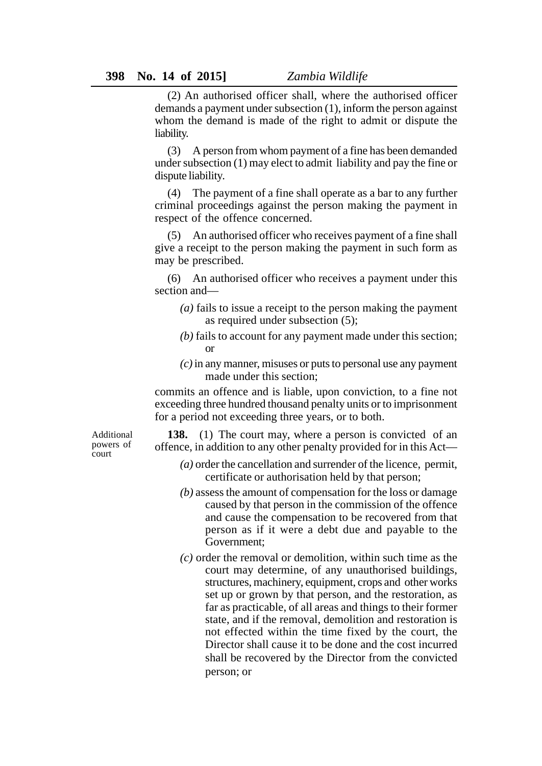(2) An authorised officer shall, where the authorised officer demands a payment under subsection (1), inform the person against whom the demand is made of the right to admit or dispute the liability.

(3) A person from whom payment of a fine has been demanded under subsection (1) may elect to admit liability and pay the fine or dispute liability.

(4) The payment of a fine shall operate as a bar to any further criminal proceedings against the person making the payment in respect of the offence concerned.

(5) An authorised officer who receives payment of a fine shall give a receipt to the person making the payment in such form as may be prescribed.

(6) An authorised officer who receives a payment under this section and—

- *(a)* fails to issue a receipt to the person making the payment as required under subsection (5);
- *(b)* fails to account for any payment made under this section; or
- *(c)* in any manner, misuses or puts to personal use any payment made under this section;

commits an offence and is liable, upon conviction, to a fine not exceeding three hundred thousand penalty units or to imprisonment for a period not exceeding three years, or to both.

Additional powers of court

**138.** (1) The court may, where a person is convicted of an offence, in addition to any other penalty provided for in this Act—

- *(a)* order the cancellation and surrender of the licence, permit, certificate or authorisation held by that person;
- *(b)* assess the amount of compensation for the loss or damage caused by that person in the commission of the offence and cause the compensation to be recovered from that person as if it were a debt due and payable to the Government;
- *(c)* order the removal or demolition, within such time as the court may determine, of any unauthorised buildings, structures, machinery, equipment, crops and other works set up or grown by that person, and the restoration, as far as practicable, of all areas and things to their former state, and if the removal, demolition and restoration is not effected within the time fixed by the court, the Director shall cause it to be done and the cost incurred shall be recovered by the Director from the convicted person; or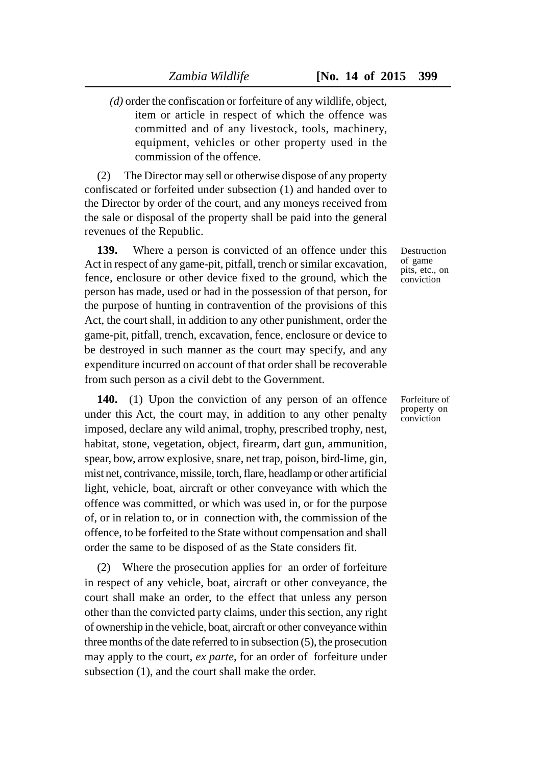*(d)* order the confiscation or forfeiture of any wildlife, object, item or article in respect of which the offence was committed and of any livestock, tools, machinery, equipment, vehicles or other property used in the commission of the offence.

(2) The Director may sell or otherwise dispose of any property confiscated or forfeited under subsection (1) and handed over to the Director by order of the court, and any moneys received from the sale or disposal of the property shall be paid into the general revenues of the Republic.

**139.** Where a person is convicted of an offence under this Act in respect of any game-pit, pitfall, trench or similar excavation, fence, enclosure or other device fixed to the ground, which the person has made, used or had in the possession of that person, for the purpose of hunting in contravention of the provisions of this Act, the court shall, in addition to any other punishment, order the game-pit, pitfall, trench, excavation, fence, enclosure or device to be destroyed in such manner as the court may specify, and any expenditure incurred on account of that order shall be recoverable from such person as a civil debt to the Government.

**140.** (1) Upon the conviction of any person of an offence under this Act, the court may, in addition to any other penalty imposed, declare any wild animal, trophy, prescribed trophy, nest, habitat, stone, vegetation, object, firearm, dart gun, ammunition, spear, bow, arrow explosive, snare, net trap, poison, bird-lime, gin, mist net, contrivance, missile, torch, flare, headlamp or other artificial light, vehicle, boat, aircraft or other conveyance with which the offence was committed, or which was used in, or for the purpose of, or in relation to, or in connection with, the commission of the offence, to be forfeited to the State without compensation and shall order the same to be disposed of as the State considers fit.

(2) Where the prosecution applies for an order of forfeiture in respect of any vehicle, boat, aircraft or other conveyance, the court shall make an order, to the effect that unless any person other than the convicted party claims, under this section, any right of ownership in the vehicle, boat, aircraft or other conveyance within three months of the date referred to in subsection (5), the prosecution may apply to the court, *ex parte*, for an order of forfeiture under subsection (1), and the court shall make the order.

Destruction of game pits, etc., on conviction

Forfeiture of property on conviction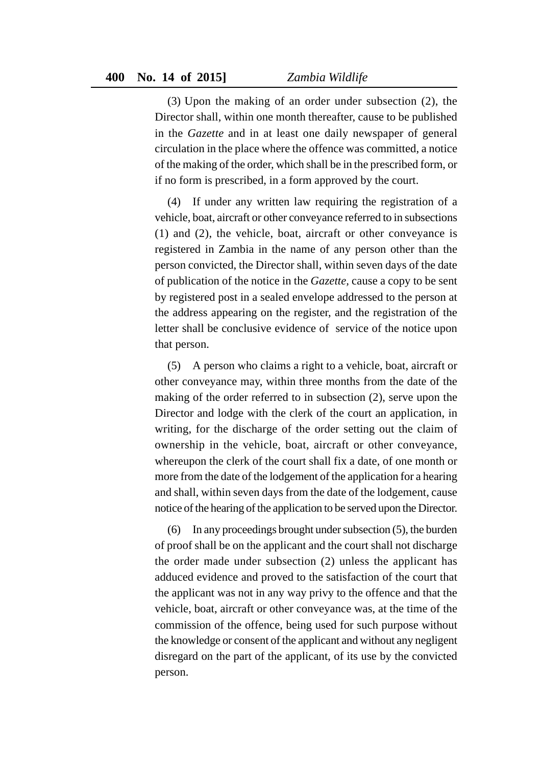(3) Upon the making of an order under subsection (2), the Director shall, within one month thereafter, cause to be published in the *Gazette* and in at least one daily newspaper of general circulation in the place where the offence was committed, a notice of the making of the order, which shall be in the prescribed form, or if no form is prescribed, in a form approved by the court.

(4) If under any written law requiring the registration of a vehicle, boat, aircraft or other conveyance referred to in subsections (1) and (2), the vehicle, boat, aircraft or other conveyance is registered in Zambia in the name of any person other than the person convicted, the Director shall, within seven days of the date of publication of the notice in the *Gazette,* cause a copy to be sent by registered post in a sealed envelope addressed to the person at the address appearing on the register, and the registration of the letter shall be conclusive evidence of service of the notice upon that person.

(5) A person who claims a right to a vehicle, boat, aircraft or other conveyance may, within three months from the date of the making of the order referred to in subsection (2), serve upon the Director and lodge with the clerk of the court an application, in writing, for the discharge of the order setting out the claim of ownership in the vehicle, boat, aircraft or other conveyance, whereupon the clerk of the court shall fix a date, of one month or more from the date of the lodgement of the application for a hearing and shall, within seven days from the date of the lodgement, cause notice of the hearing of the application to be served upon the Director.

(6) In any proceedings brought under subsection (5), the burden of proof shall be on the applicant and the court shall not discharge the order made under subsection (2) unless the applicant has adduced evidence and proved to the satisfaction of the court that the applicant was not in any way privy to the offence and that the vehicle, boat, aircraft or other conveyance was, at the time of the commission of the offence, being used for such purpose without the knowledge or consent of the applicant and without any negligent disregard on the part of the applicant, of its use by the convicted person.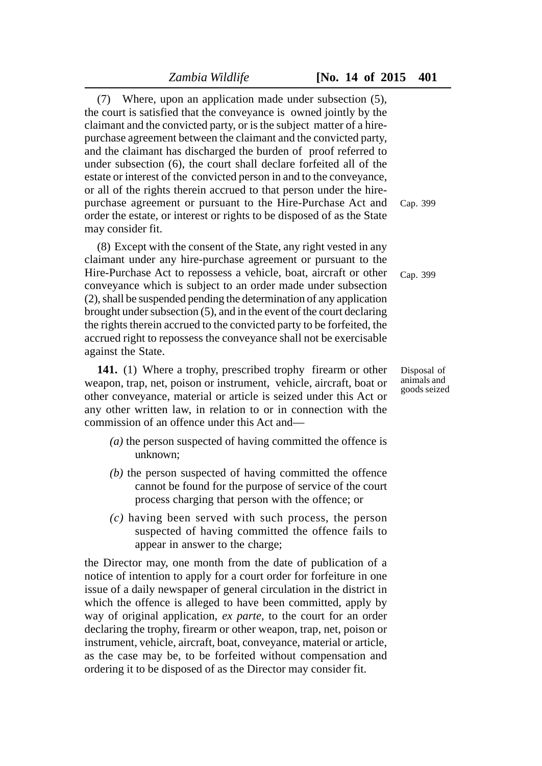(7) Where, upon an application made under subsection (5), the court is satisfied that the conveyance is owned jointly by the claimant and the convicted party, or is the subject matter of a hirepurchase agreement between the claimant and the convicted party, and the claimant has discharged the burden of proof referred to under subsection (6), the court shall declare forfeited all of the estate or interest of the convicted person in and to the conveyance, or all of the rights therein accrued to that person under the hirepurchase agreement or pursuant to the Hire-Purchase Act and order the estate, or interest or rights to be disposed of as the State may consider fit.

(8) Except with the consent of the State, any right vested in any claimant under any hire-purchase agreement or pursuant to the Hire-Purchase Act to repossess a vehicle, boat, aircraft or other conveyance which is subject to an order made under subsection (2), shall be suspended pending the determination of any application brought under subsection (5), and in the event of the court declaring the rights therein accrued to the convicted party to be forfeited, the accrued right to repossess the conveyance shall not be exercisable against the State.

**141.** (1) Where a trophy, prescribed trophy firearm or other weapon, trap, net, poison or instrument, vehicle, aircraft, boat or other conveyance, material or article is seized under this Act or any other written law, in relation to or in connection with the commission of an offence under this Act and—

- *(a)* the person suspected of having committed the offence is unknown;
- *(b)* the person suspected of having committed the offence cannot be found for the purpose of service of the court process charging that person with the offence; or
- *(c)* having been served with such process, the person suspected of having committed the offence fails to appear in answer to the charge;

the Director may, one month from the date of publication of a notice of intention to apply for a court order for forfeiture in one issue of a daily newspaper of general circulation in the district in which the offence is alleged to have been committed, apply by way of original application, *ex parte,* to the court for an order declaring the trophy, firearm or other weapon, trap, net, poison or instrument, vehicle, aircraft, boat, conveyance, material or article, as the case may be, to be forfeited without compensation and ordering it to be disposed of as the Director may consider fit.

Cap. 399

Cap. 399

Disposal of animals and goods seized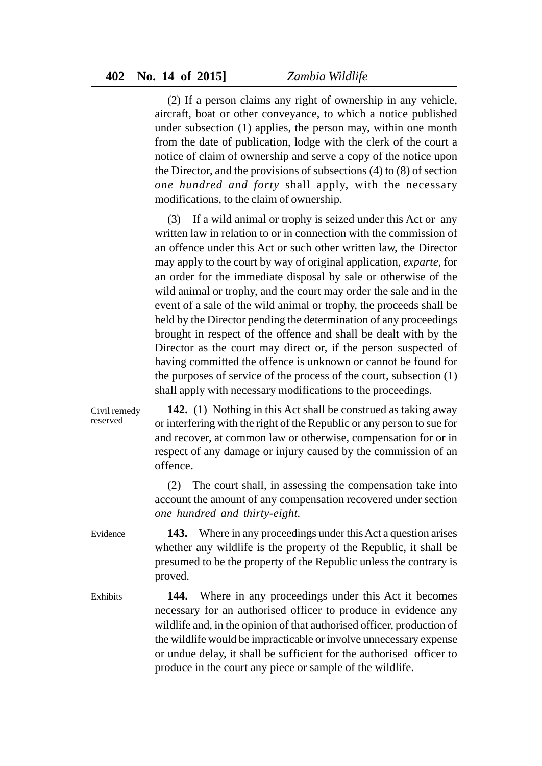(2) If a person claims any right of ownership in any vehicle, aircraft, boat or other conveyance, to which a notice published under subsection (1) applies, the person may, within one month from the date of publication, lodge with the clerk of the court a notice of claim of ownership and serve a copy of the notice upon the Director, and the provisions of subsections (4) to (8) of section *one hundred and forty* shall apply, with the necessary modifications, to the claim of ownership.

(3) If a wild animal or trophy is seized under this Act or any written law in relation to or in connection with the commission of an offence under this Act or such other written law, the Director may apply to the court by way of original application, *exparte*, for an order for the immediate disposal by sale or otherwise of the wild animal or trophy, and the court may order the sale and in the event of a sale of the wild animal or trophy, the proceeds shall be held by the Director pending the determination of any proceedings brought in respect of the offence and shall be dealt with by the Director as the court may direct or, if the person suspected of having committed the offence is unknown or cannot be found for the purposes of service of the process of the court, subsection (1) shall apply with necessary modifications to the proceedings.

**142.** (1) Nothing in this Act shall be construed as taking away or interfering with the right of the Republic or any person to sue for and recover, at common law or otherwise, compensation for or in respect of any damage or injury caused by the commission of an offence. Civil remedy reserved

> (2) The court shall, in assessing the compensation take into account the amount of any compensation recovered under section *one hundred and thirty-eight.*

**143.** Where in any proceedings under this Act a question arises whether any wildlife is the property of the Republic, it shall be presumed to be the property of the Republic unless the contrary is proved. Evidence

**144.** Where in any proceedings under this Act it becomes necessary for an authorised officer to produce in evidence any wildlife and, in the opinion of that authorised officer, production of the wildlife would be impracticable or involve unnecessary expense or undue delay, it shall be sufficient for the authorised officer to produce in the court any piece or sample of the wildlife. Exhibits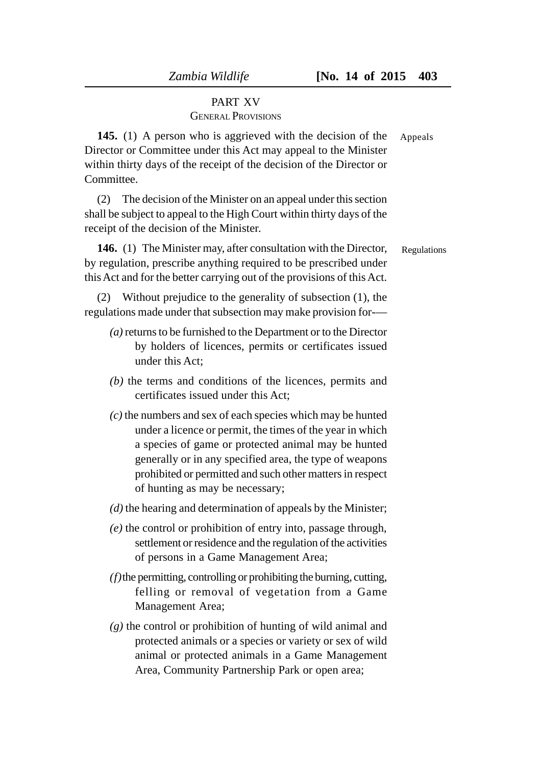# PART XV GENERAL PROVISIONS

**145.** (1) A person who is aggrieved with the decision of the Director or Committee under this Act may appeal to the Minister within thirty days of the receipt of the decision of the Director or **Committee** Appeals

(2) The decision of the Minister on an appeal under this section shall be subject to appeal to the High Court within thirty days of the receipt of the decision of the Minister.

**146.** (1) The Minister may, after consultation with the Director, by regulation, prescribe anything required to be prescribed under this Act and for the better carrying out of the provisions of this Act. Regulations

(2) Without prejudice to the generality of subsection (1), the regulations made under that subsection may make provision for-—

- *(a)* returns to be furnished to the Department or to the Director by holders of licences, permits or certificates issued under this Act;
- *(b)* the terms and conditions of the licences, permits and certificates issued under this Act;
- *(c)* the numbers and sex of each species which may be hunted under a licence or permit, the times of the year in which a species of game or protected animal may be hunted generally or in any specified area, the type of weapons prohibited or permitted and such other matters in respect of hunting as may be necessary;
- *(d)* the hearing and determination of appeals by the Minister;
- *(e)* the control or prohibition of entry into, passage through, settlement or residence and the regulation of the activities of persons in a Game Management Area;
- *(f)*the permitting, controlling or prohibiting the burning, cutting, felling or removal of vegetation from a Game Management Area;
- *(g)* the control or prohibition of hunting of wild animal and protected animals or a species or variety or sex of wild animal or protected animals in a Game Management Area, Community Partnership Park or open area;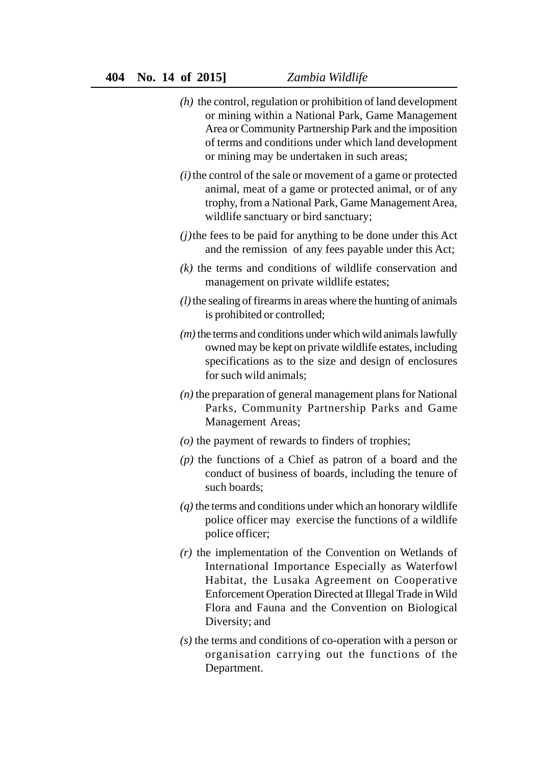- *(h)* the control, regulation or prohibition of land development or mining within a National Park, Game Management Area or Community Partnership Park and the imposition of terms and conditions under which land development or mining may be undertaken in such areas;
- *(i)*the control of the sale or movement of a game or protected animal, meat of a game or protected animal, or of any trophy, from a National Park, Game Management Area, wildlife sanctuary or bird sanctuary;
- *(j)*the fees to be paid for anything to be done under this Act and the remission of any fees payable under this Act;
- *(k)* the terms and conditions of wildlife conservation and management on private wildlife estates;
- *(l)*the sealing of firearms in areas where the hunting of animals is prohibited or controlled;
- *(m)* the terms and conditions under which wild animals lawfully owned may be kept on private wildlife estates, including specifications as to the size and design of enclosures for such wild animals;
- *(n)* the preparation of general management plans for National Parks, Community Partnership Parks and Game Management Areas;
- *(o)* the payment of rewards to finders of trophies;
- *(p)* the functions of a Chief as patron of a board and the conduct of business of boards, including the tenure of such boards;
- *(q)* the terms and conditions under which an honorary wildlife police officer may exercise the functions of a wildlife police officer;
- *(r)* the implementation of the Convention on Wetlands of International Importance Especially as Waterfowl Habitat, the Lusaka Agreement on Cooperative Enforcement Operation Directed at Illegal Trade in Wild Flora and Fauna and the Convention on Biological Diversity; and
- *(s)* the terms and conditions of co-operation with a person or organisation carrying out the functions of the Department.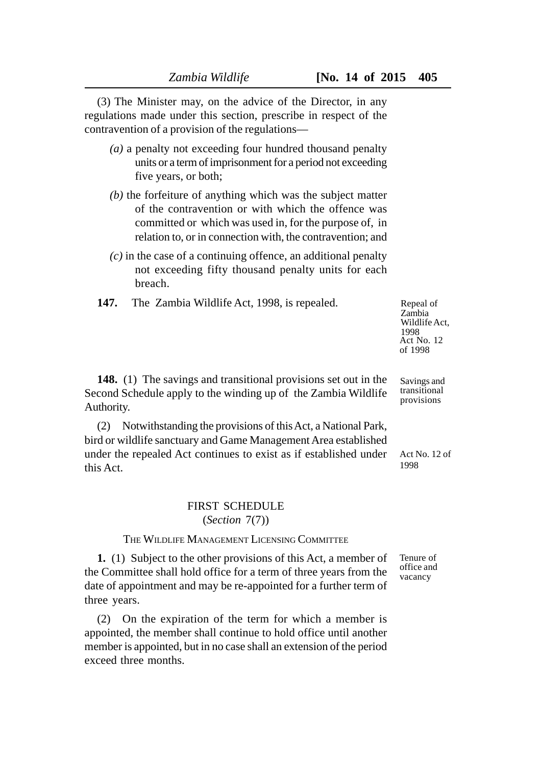(3) The Minister may, on the advice of the Director, in any regulations made under this section, prescribe in respect of the contravention of a provision of the regulations—

- *(a)* a penalty not exceeding four hundred thousand penalty units or a term of imprisonment for a period not exceeding five years, or both;
- *(b)* the forfeiture of anything which was the subject matter of the contravention or with which the offence was committed or which was used in, for the purpose of, in relation to, or in connection with, the contravention; and
- *(c)* in the case of a continuing offence, an additional penalty not exceeding fifty thousand penalty units for each breach.
- **147.** The Zambia Wildlife Act, 1998, is repealed.

Repeal of Zambia Wildlife Act, 1998 Act No. 12 of 1998

Savings and transitional provisions

**148.** (1) The savings and transitional provisions set out in the Second Schedule apply to the winding up of the Zambia Wildlife Authority.

(2) Notwithstanding the provisions of this Act, a National Park, bird or wildlife sanctuary and Game Management Area established under the repealed Act continues to exist as if established under this Act.

## FIRST SCHEDULE (*Section* 7(7))

## THE WILDLIFE MANAGEMENT LICENSING COMMITTEE

**1.** (1) Subject to the other provisions of this Act, a member of the Committee shall hold office for a term of three years from the date of appointment and may be re-appointed for a further term of three years.

(2) On the expiration of the term for which a member is appointed, the member shall continue to hold office until another member is appointed, but in no case shall an extension of the period exceed three months.

Act No. 12 of 1998

Tenure of office and vacancy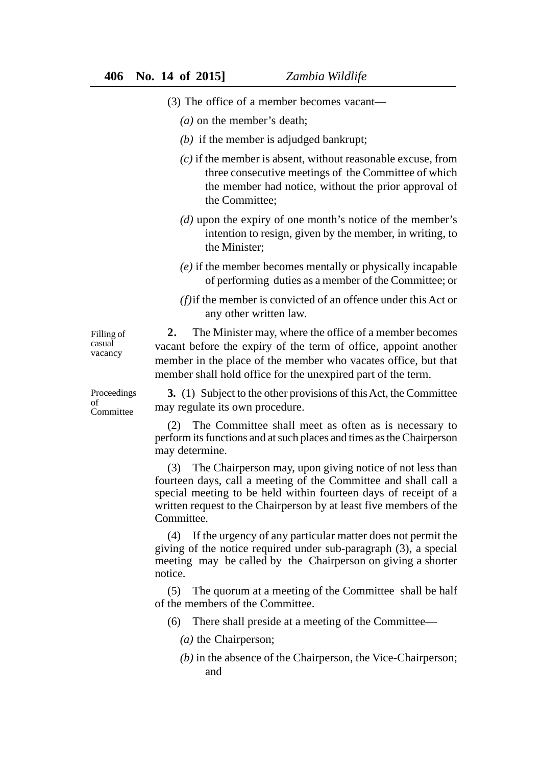- (3) The office of a member becomes vacant—
	- *(a)* on the member's death;
	- *(b)* if the member is adjudged bankrupt;
	- *(c)* if the member is absent, without reasonable excuse, from three consecutive meetings of the Committee of which the member had notice, without the prior approval of the Committee;
	- *(d)* upon the expiry of one month's notice of the member's intention to resign, given by the member, in writing, to the Minister;
	- *(e)* if the member becomes mentally or physically incapable of performing duties as a member of the Committee; or
	- *(f)*if the member is convicted of an offence under this Act or any other written law.

Filling of casual vacancy

**2.** The Minister may, where the office of a member becomes vacant before the expiry of the term of office, appoint another member in the place of the member who vacates office, but that member shall hold office for the unexpired part of the term.

Proceedings of Committee

**3.** (1) Subject to the other provisions of this Act, the Committee may regulate its own procedure.

(2) The Committee shall meet as often as is necessary to perform its functions and at such places and times as the Chairperson may determine.

(3) The Chairperson may, upon giving notice of not less than fourteen days, call a meeting of the Committee and shall call a special meeting to be held within fourteen days of receipt of a written request to the Chairperson by at least five members of the Committee.

(4) If the urgency of any particular matter does not permit the giving of the notice required under sub-paragraph (3), a special meeting may be called by the Chairperson on giving a shorter notice.

(5) The quorum at a meeting of the Committee shall be half of the members of the Committee.

(6) There shall preside at a meeting of the Committee—

- *(a)* the Chairperson;
- *(b)* in the absence of the Chairperson, the Vice-Chairperson; and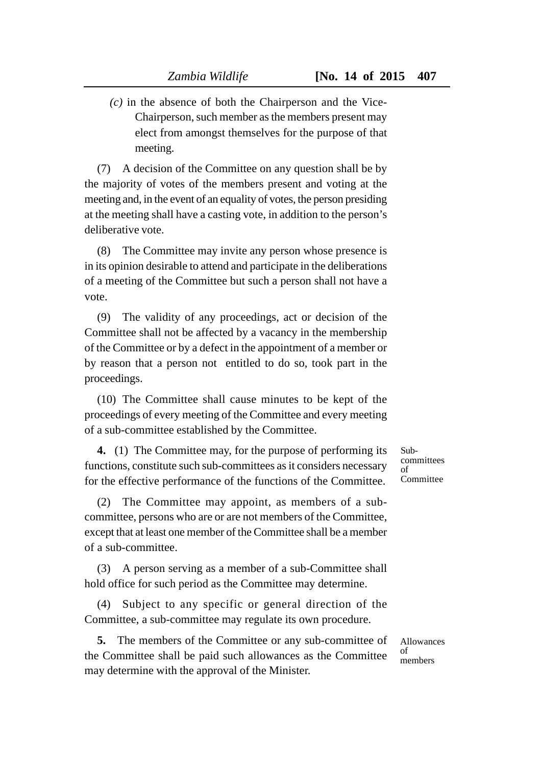*(c)* in the absence of both the Chairperson and the Vice-Chairperson, such member as the members present may elect from amongst themselves for the purpose of that meeting.

(7) A decision of the Committee on any question shall be by the majority of votes of the members present and voting at the meeting and, in the event of an equality of votes, the person presiding at the meeting shall have a casting vote, in addition to the person's deliberative vote.

(8) The Committee may invite any person whose presence is in its opinion desirable to attend and participate in the deliberations of a meeting of the Committee but such a person shall not have a vote.

(9) The validity of any proceedings, act or decision of the Committee shall not be affected by a vacancy in the membership of the Committee or by a defect in the appointment of a member or by reason that a person not entitled to do so, took part in the proceedings.

(10) The Committee shall cause minutes to be kept of the proceedings of every meeting of the Committee and every meeting of a sub-committee established by the Committee.

**4.** (1) The Committee may, for the purpose of performing its functions, constitute such sub-committees as it considers necessary for the effective performance of the functions of the Committee.

(2) The Committee may appoint, as members of a subcommittee, persons who are or are not members of the Committee, except that at least one member of the Committee shall be a member of a sub-committee.

(3) A person serving as a member of a sub-Committee shall hold office for such period as the Committee may determine.

(4) Subject to any specific or general direction of the Committee, a sub-committee may regulate its own procedure.

**5.** The members of the Committee or any sub-committee of the Committee shall be paid such allowances as the Committee may determine with the approval of the Minister.

Subcommittees of Committee

Allowances of members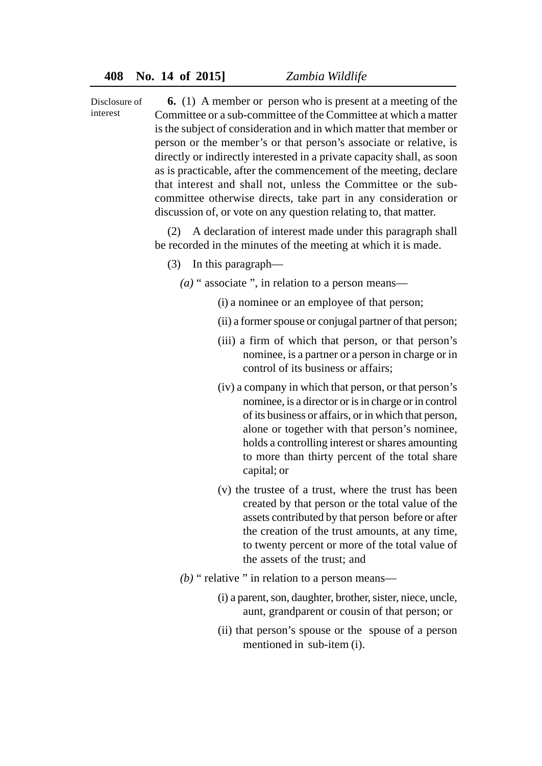**6.** (1) A member or person who is present at a meeting of the Committee or a sub-committee of the Committee at which a matter is the subject of consideration and in which matter that member or person or the member's or that person's associate or relative, is directly or indirectly interested in a private capacity shall, as soon as is practicable, after the commencement of the meeting, declare that interest and shall not, unless the Committee or the subcommittee otherwise directs, take part in any consideration or discussion of, or vote on any question relating to, that matter. Disclosure of interest

> (2) A declaration of interest made under this paragraph shall be recorded in the minutes of the meeting at which it is made.

- (3) In this paragraph—
	- *(a)* " associate ", in relation to a person means—
		- (i) a nominee or an employee of that person;
		- (ii) a former spouse or conjugal partner of that person;
		- (iii) a firm of which that person, or that person's nominee, is a partner or a person in charge or in control of its business or affairs;
		- (iv) a company in which that person, or that person's nominee, is a director or is in charge or in control of its business or affairs, or in which that person, alone or together with that person's nominee, holds a controlling interest or shares amounting to more than thirty percent of the total share capital; or
		- (v) the trustee of a trust, where the trust has been created by that person or the total value of the assets contributed by that person before or after the creation of the trust amounts, at any time, to twenty percent or more of the total value of the assets of the trust; and
	- *(b)* " relative " in relation to a person means—
		- (i) a parent, son, daughter, brother, sister, niece, uncle, aunt, grandparent or cousin of that person; or
		- (ii) that person's spouse or the spouse of a person mentioned in sub-item (i).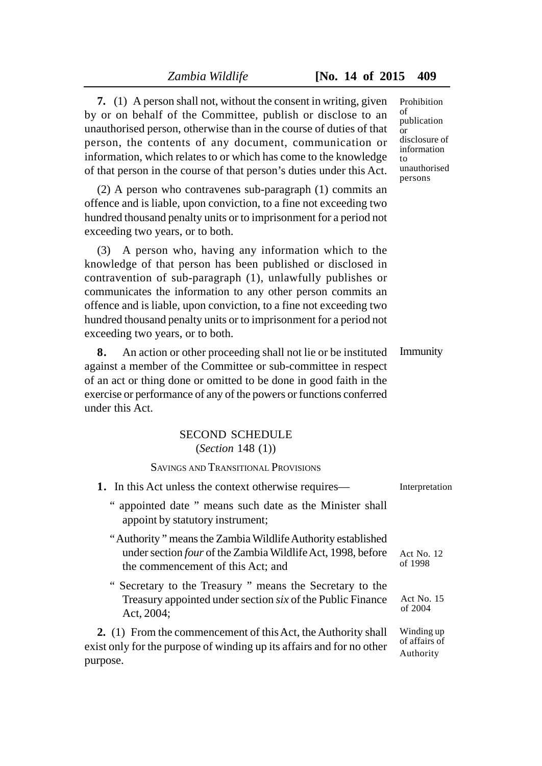**7.** (1) A person shall not, without the consent in writing, given by or on behalf of the Committee, publish or disclose to an unauthorised person, otherwise than in the course of duties of that person, the contents of any document, communication or information, which relates to or which has come to the knowledge of that person in the course of that person's duties under this Act.

(2) A person who contravenes sub-paragraph (1) commits an offence and is liable, upon conviction, to a fine not exceeding two hundred thousand penalty units or to imprisonment for a period not exceeding two years, or to both.

(3) A person who, having any information which to the knowledge of that person has been published or disclosed in contravention of sub-paragraph (1), unlawfully publishes or communicates the information to any other person commits an offence and is liable, upon conviction, to a fine not exceeding two hundred thousand penalty units or to imprisonment for a period not exceeding two years, or to both.

**8.** An action or other proceeding shall not lie or be instituted against a member of the Committee or sub-committee in respect of an act or thing done or omitted to be done in good faith in the exercise or performance of any of the powers or functions conferred under this Act.

# SECOND SCHEDULE (*Section* 148 (1))

SAVINGS AND TRANSITIONAL PROVISIONS

| 1. In this Act unless the context otherwise requires—                                                                                                                  | Interpretation                           |
|------------------------------------------------------------------------------------------------------------------------------------------------------------------------|------------------------------------------|
| " appointed date " means such date as the Minister shall<br>appoint by statutory instrument;                                                                           |                                          |
| "Authority" means the Zambia Wildlife Authority established<br>under section <i>four</i> of the Zambia Wildlife Act, 1998, before<br>the commencement of this Act; and | Act No. $12$<br>of 1998                  |
| "Secretary to the Treasury" means the Secretary to the<br>Treasury appointed under section <i>six</i> of the Public Finance<br>Act, 2004;                              | Act No. 15<br>of $2004$                  |
| 2. (1) From the commencement of this Act, the Authority shall<br>exist only for the purpose of winding up its affairs and for no other<br>purpose.                     | Winding up<br>of affairs of<br>Authority |

Prohibition of publication or disclosure of information to unauthorised persons

Immunity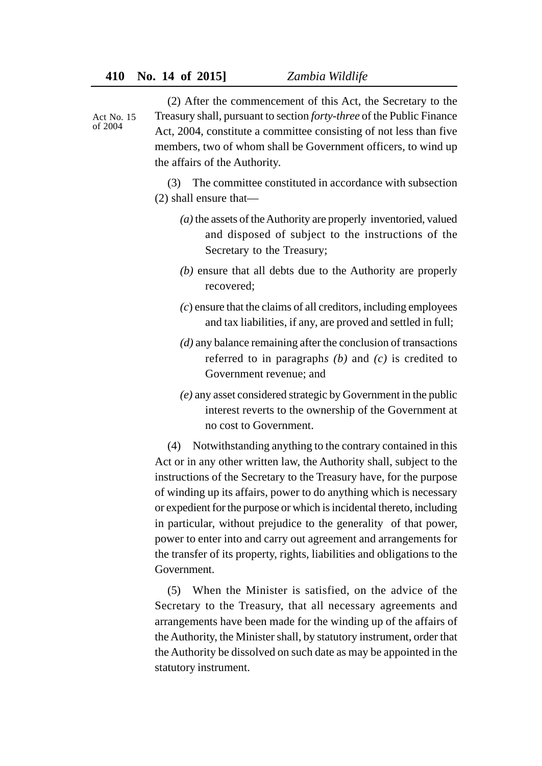Act No. 15  $of 2004$ 

(2) After the commencement of this Act, the Secretary to the Treasury shall, pursuant to section *forty-three* of the Public Finance Act, 2004, constitute a committee consisting of not less than five members, two of whom shall be Government officers, to wind up the affairs of the Authority.

(3) The committee constituted in accordance with subsection (2) shall ensure that—

- *(a)* the assets of the Authority are properly inventoried, valued and disposed of subject to the instructions of the Secretary to the Treasury;
- *(b)* ensure that all debts due to the Authority are properly recovered;
- *(c*) ensure that the claims of all creditors, including employees and tax liabilities, if any, are proved and settled in full;
- *(d)* any balance remaining after the conclusion of transactions referred to in paragraph*s (b)* and *(c)* is credited to Government revenue; and
- *(e)* any asset considered strategic by Government in the public interest reverts to the ownership of the Government at no cost to Government.

(4) Notwithstanding anything to the contrary contained in this Act or in any other written law, the Authority shall, subject to the instructions of the Secretary to the Treasury have, for the purpose of winding up its affairs, power to do anything which is necessary or expedient for the purpose or which is incidental thereto, including in particular, without prejudice to the generality of that power, power to enter into and carry out agreement and arrangements for the transfer of its property, rights, liabilities and obligations to the Government.

(5) When the Minister is satisfied, on the advice of the Secretary to the Treasury, that all necessary agreements and arrangements have been made for the winding up of the affairs of the Authority, the Minister shall, by statutory instrument, order that the Authority be dissolved on such date as may be appointed in the statutory instrument.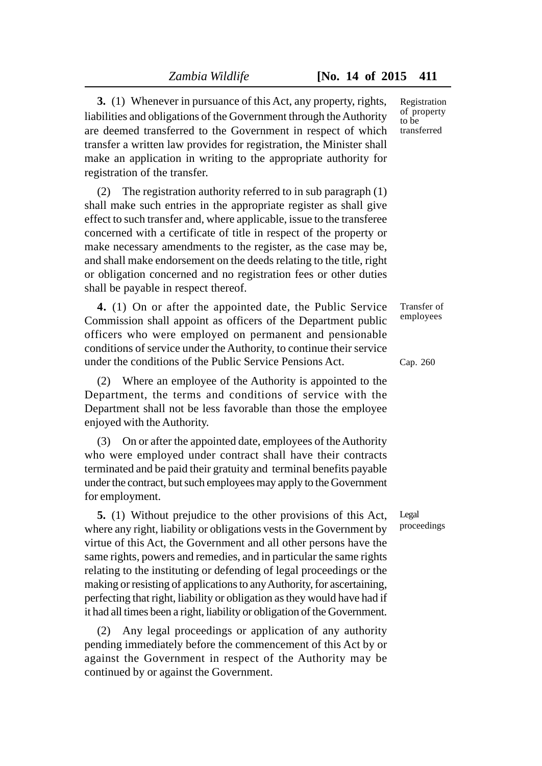**3.** (1) Whenever in pursuance of this Act, any property, rights, liabilities and obligations of the Government through the Authority are deemed transferred to the Government in respect of which transfer a written law provides for registration, the Minister shall make an application in writing to the appropriate authority for registration of the transfer.

(2) The registration authority referred to in sub paragraph (1) shall make such entries in the appropriate register as shall give effect to such transfer and, where applicable, issue to the transferee concerned with a certificate of title in respect of the property or make necessary amendments to the register, as the case may be, and shall make endorsement on the deeds relating to the title, right or obligation concerned and no registration fees or other duties shall be payable in respect thereof.

**4.** (1) On or after the appointed date, the Public Service Commission shall appoint as officers of the Department public officers who were employed on permanent and pensionable conditions of service under the Authority, to continue their service under the conditions of the Public Service Pensions Act.

(2) Where an employee of the Authority is appointed to the Department, the terms and conditions of service with the Department shall not be less favorable than those the employee enjoyed with the Authority.

(3) On or after the appointed date, employees of the Authority who were employed under contract shall have their contracts terminated and be paid their gratuity and terminal benefits payable under the contract, but such employees may apply to the Government for employment.

**5.** (1) Without prejudice to the other provisions of this Act, where any right, liability or obligations vests in the Government by virtue of this Act, the Government and all other persons have the same rights, powers and remedies, and in particular the same rights relating to the instituting or defending of legal proceedings or the making or resisting of applications to any Authority, for ascertaining, perfecting that right, liability or obligation as they would have had if it had all times been a right, liability or obligation of the Government.

(2) Any legal proceedings or application of any authority pending immediately before the commencement of this Act by or against the Government in respect of the Authority may be continued by or against the Government.

Registration of property to be transferred

Transfer of employees

#### Cap. 260

Legal proceedings